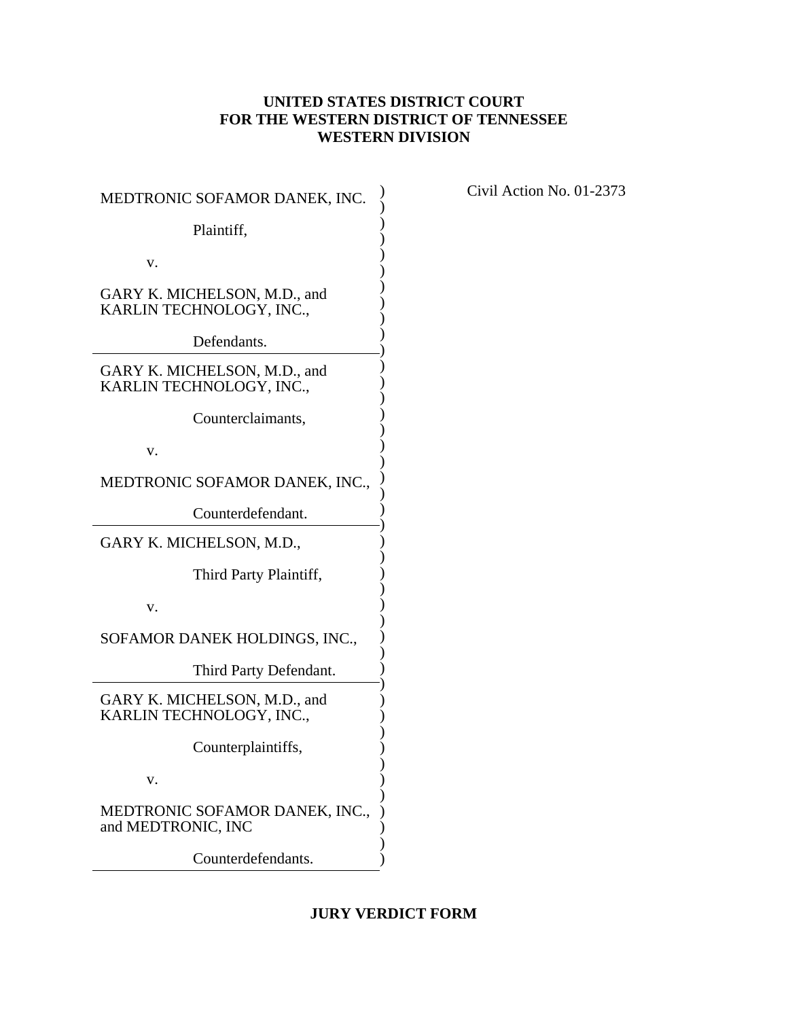# **UNITED STATES DISTRICT COURT FOR THE WESTERN DISTRICT OF TENNESSEE WESTERN DIVISION**

| MEDTRONIC SOFAMOR DANEK, INC.                            |  |  |
|----------------------------------------------------------|--|--|
| Plaintiff,                                               |  |  |
| v.                                                       |  |  |
| GARY K. MICHELSON, M.D., and<br>KARLIN TECHNOLOGY, INC., |  |  |
| Defendants.                                              |  |  |
| GARY K. MICHELSON, M.D., and<br>KARLIN TECHNOLOGY, INC., |  |  |
| Counterclaimants,                                        |  |  |
| v.                                                       |  |  |
| MEDTRONIC SOFAMOR DANEK, INC.,                           |  |  |
| Counterdefendant.                                        |  |  |
| GARY K. MICHELSON, M.D.,                                 |  |  |
| Third Party Plaintiff,                                   |  |  |
| v.                                                       |  |  |
| SOFAMOR DANEK HOLDINGS, INC.,                            |  |  |
| Third Party Defendant.                                   |  |  |
| GARY K. MICHELSON, M.D., and<br>KARLIN TECHNOLOGY, INC., |  |  |
| Counterplaintiffs,                                       |  |  |
| v.                                                       |  |  |
| MEDTRONIC SOFAMOR DANEK, INC.,<br>and MEDTRONIC, INC     |  |  |
| Counterdefendants.                                       |  |  |

Civil Action No. 01-2373

# **JURY VERDICT FORM**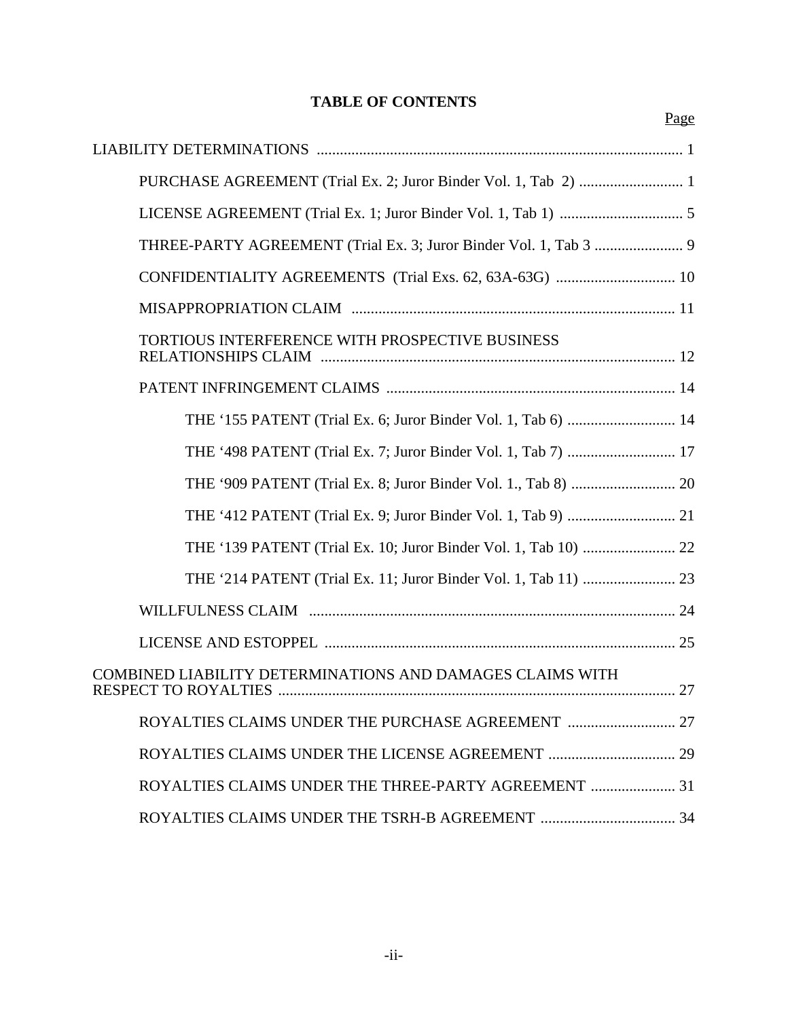# **TABLE OF CONTENTS**

Page

| CONFIDENTIALITY AGREEMENTS (Trial Exs. 62, 63A-63G)  10       |  |
|---------------------------------------------------------------|--|
|                                                               |  |
| TORTIOUS INTERFERENCE WITH PROSPECTIVE BUSINESS               |  |
|                                                               |  |
| THE '155 PATENT (Trial Ex. 6; Juror Binder Vol. 1, Tab 6)  14 |  |
| THE '498 PATENT (Trial Ex. 7; Juror Binder Vol. 1, Tab 7)  17 |  |
|                                                               |  |
|                                                               |  |
|                                                               |  |
|                                                               |  |
|                                                               |  |
|                                                               |  |
| COMBINED LIABILITY DETERMINATIONS AND DAMAGES CLAIMS WITH     |  |
| ROYALTIES CLAIMS UNDER THE PURCHASE AGREEMENT  27             |  |
|                                                               |  |
| ROYALTIES CLAIMS UNDER THE THREE-PARTY AGREEMENT  31          |  |
|                                                               |  |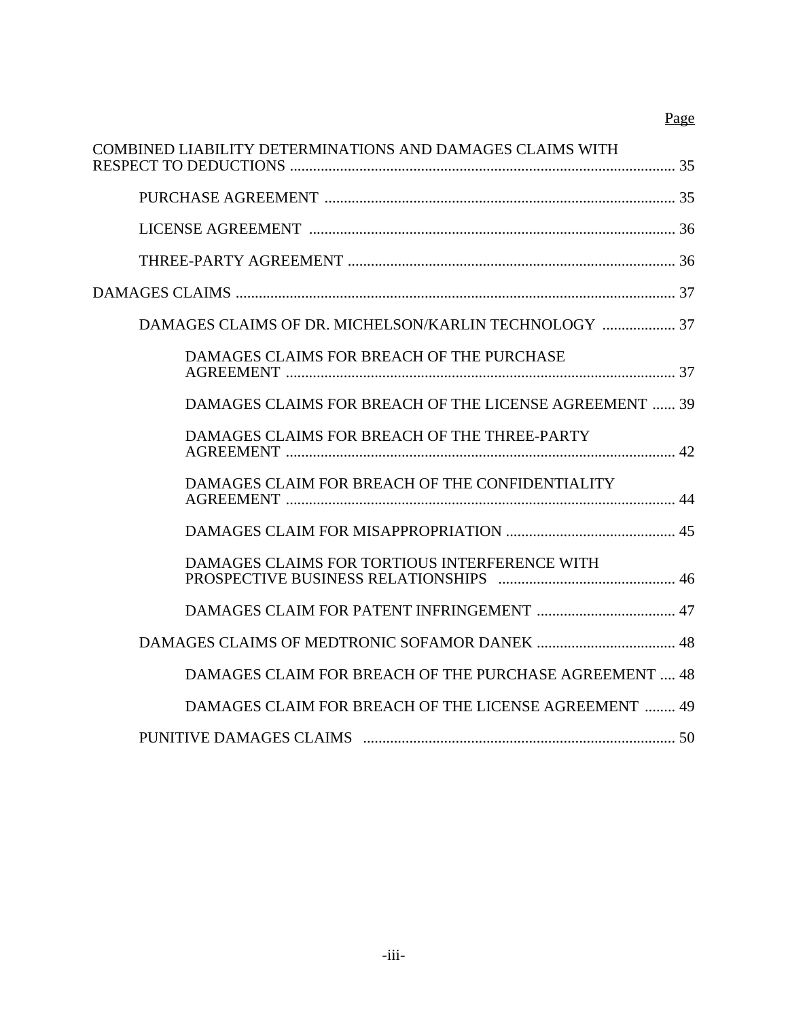# Page

| COMBINED LIABILITY DETERMINATIONS AND DAMAGES CLAIMS WITH |  |
|-----------------------------------------------------------|--|
|                                                           |  |
|                                                           |  |
|                                                           |  |
|                                                           |  |
| DAMAGES CLAIMS OF DR. MICHELSON/KARLIN TECHNOLOGY  37     |  |
| DAMAGES CLAIMS FOR BREACH OF THE PURCHASE                 |  |
| DAMAGES CLAIMS FOR BREACH OF THE LICENSE AGREEMENT  39    |  |
| DAMAGES CLAIMS FOR BREACH OF THE THREE-PARTY              |  |
| DAMAGES CLAIM FOR BREACH OF THE CONFIDENTIALITY           |  |
|                                                           |  |
| DAMAGES CLAIMS FOR TORTIOUS INTERFERENCE WITH             |  |
|                                                           |  |
|                                                           |  |
| DAMAGES CLAIM FOR BREACH OF THE PURCHASE AGREEMENT  48    |  |
| DAMAGES CLAIM FOR BREACH OF THE LICENSE AGREEMENT  49     |  |
|                                                           |  |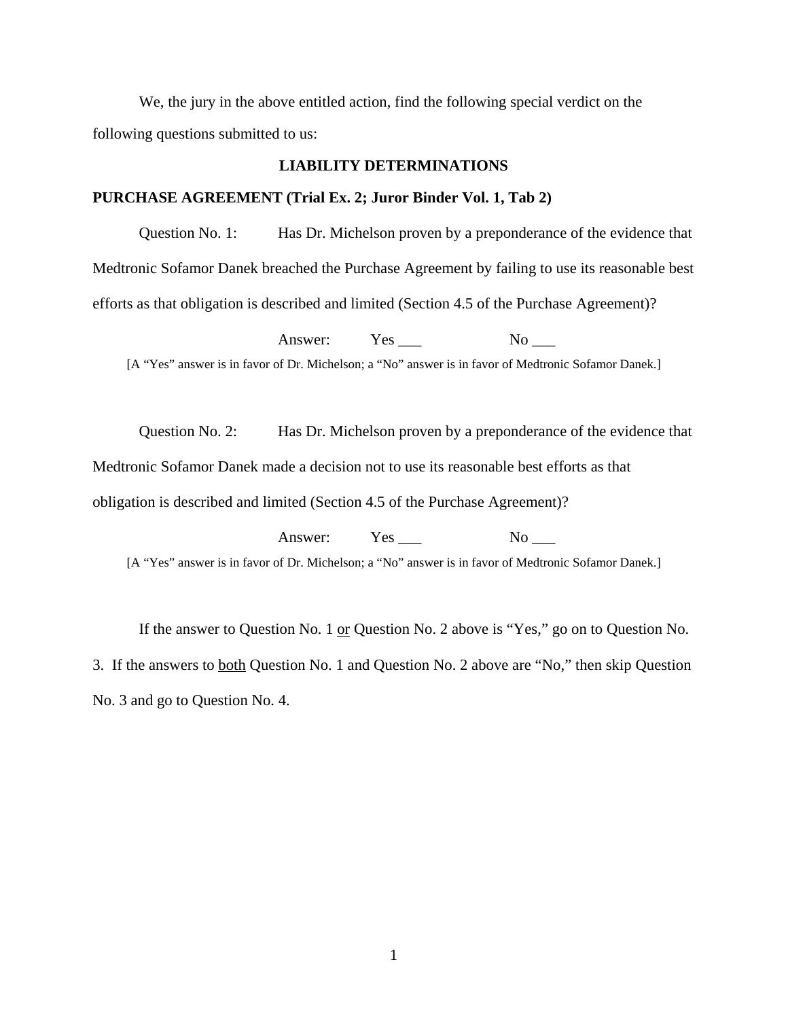We, the jury in the above entitled action, find the following special verdict on the following questions submitted to us:

## **LIABILITY DETERMINATIONS**

#### **PURCHASE AGREEMENT (Trial Ex. 2; Juror Binder Vol. 1, Tab 2)**

Question No. 1: Has Dr. Michelson proven by a preponderance of the evidence that Medtronic Sofamor Danek breached the Purchase Agreement by failing to use its reasonable best efforts as that obligation is described and limited (Section 4.5 of the Purchase Agreement)?

Answer: Yes No [A "Yes" answer is in favor of Dr. Michelson; a "No" answer is in favor of Medtronic Sofamor Danek.]

Question No. 2: Has Dr. Michelson proven by a preponderance of the evidence that Medtronic Sofamor Danek made a decision not to use its reasonable best efforts as that obligation is described and limited (Section 4.5 of the Purchase Agreement)?

Answer: Yes No [A "Yes" answer is in favor of Dr. Michelson; a "No" answer is in favor of Medtronic Sofamor Danek.]

If the answer to Question No. 1 or Question No. 2 above is "Yes," go on to Question No. 3. If the answers to both Question No. 1 and Question No. 2 above are "No," then skip Question No. 3 and go to Question No. 4.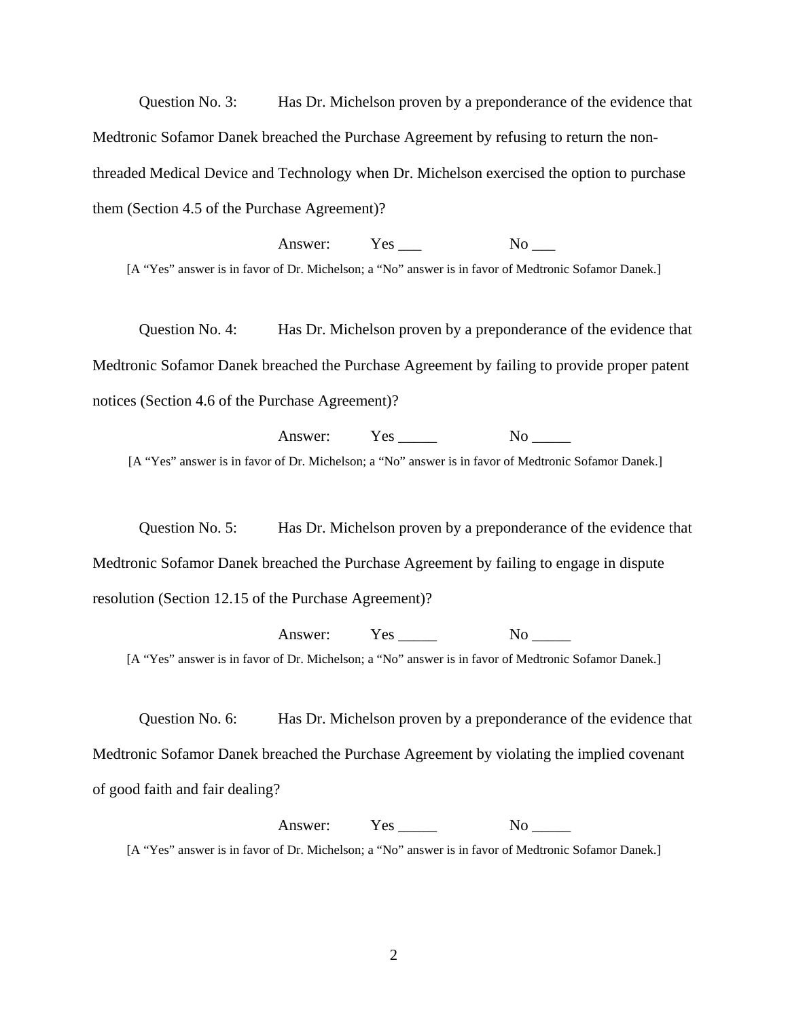Question No. 3: Has Dr. Michelson proven by a preponderance of the evidence that Medtronic Sofamor Danek breached the Purchase Agreement by refusing to return the nonthreaded Medical Device and Technology when Dr. Michelson exercised the option to purchase them (Section 4.5 of the Purchase Agreement)?

Answer: Yes No [A "Yes" answer is in favor of Dr. Michelson; a "No" answer is in favor of Medtronic Sofamor Danek.]

Question No. 4: Has Dr. Michelson proven by a preponderance of the evidence that Medtronic Sofamor Danek breached the Purchase Agreement by failing to provide proper patent notices (Section 4.6 of the Purchase Agreement)?

Answer: Yes \_\_\_\_\_ No \_\_\_\_\_ [A "Yes" answer is in favor of Dr. Michelson; a "No" answer is in favor of Medtronic Sofamor Danek.]

Question No. 5: Has Dr. Michelson proven by a preponderance of the evidence that Medtronic Sofamor Danek breached the Purchase Agreement by failing to engage in dispute resolution (Section 12.15 of the Purchase Agreement)?

Answer: Yes \_\_\_\_\_ No \_\_\_\_ [A "Yes" answer is in favor of Dr. Michelson; a "No" answer is in favor of Medtronic Sofamor Danek.]

Question No. 6: Has Dr. Michelson proven by a preponderance of the evidence that Medtronic Sofamor Danek breached the Purchase Agreement by violating the implied covenant of good faith and fair dealing?

Answer: Yes \_\_\_\_\_ No \_\_\_\_\_

[A "Yes" answer is in favor of Dr. Michelson; a "No" answer is in favor of Medtronic Sofamor Danek.]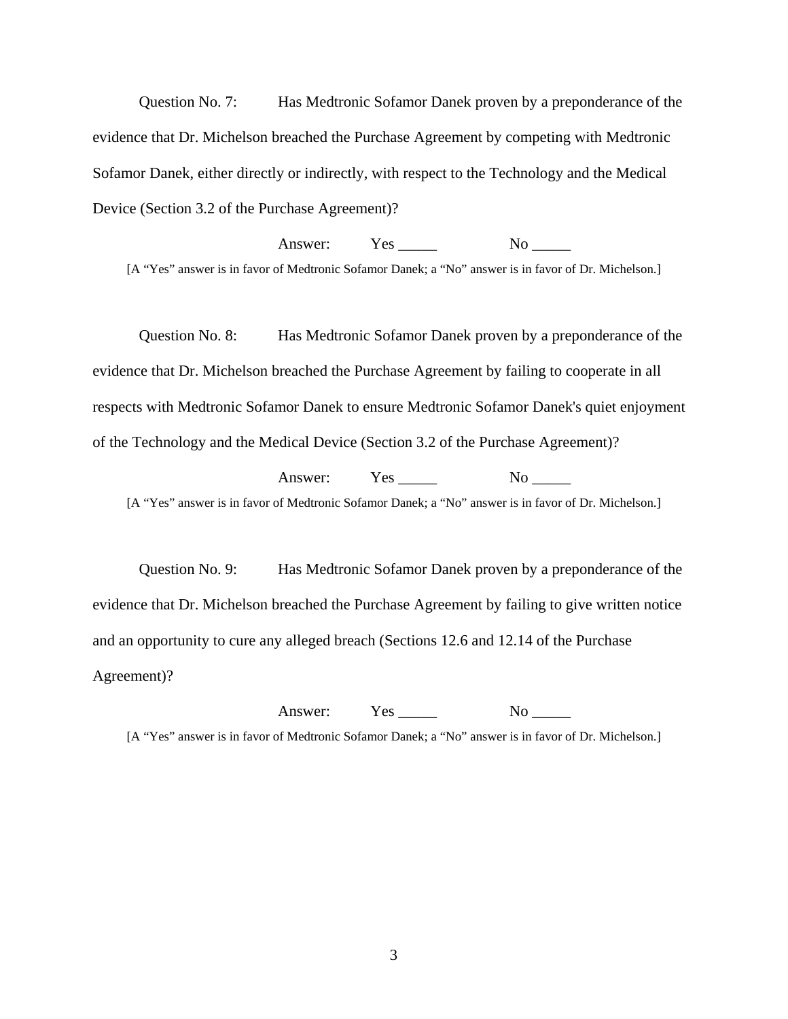Question No. 7: Has Medtronic Sofamor Danek proven by a preponderance of the evidence that Dr. Michelson breached the Purchase Agreement by competing with Medtronic Sofamor Danek, either directly or indirectly, with respect to the Technology and the Medical Device (Section 3.2 of the Purchase Agreement)?

Answer: Yes No [A "Yes" answer is in favor of Medtronic Sofamor Danek; a "No" answer is in favor of Dr. Michelson.]

Question No. 8: Has Medtronic Sofamor Danek proven by a preponderance of the evidence that Dr. Michelson breached the Purchase Agreement by failing to cooperate in all respects with Medtronic Sofamor Danek to ensure Medtronic Sofamor Danek's quiet enjoyment of the Technology and the Medical Device (Section 3.2 of the Purchase Agreement)?

Answer: Yes No [A "Yes" answer is in favor of Medtronic Sofamor Danek; a "No" answer is in favor of Dr. Michelson.]

Question No. 9: Has Medtronic Sofamor Danek proven by a preponderance of the evidence that Dr. Michelson breached the Purchase Agreement by failing to give written notice and an opportunity to cure any alleged breach (Sections 12.6 and 12.14 of the Purchase Agreement)?

Answer: Yes \_\_\_\_\_ No \_\_\_\_\_ [A "Yes" answer is in favor of Medtronic Sofamor Danek; a "No" answer is in favor of Dr. Michelson.]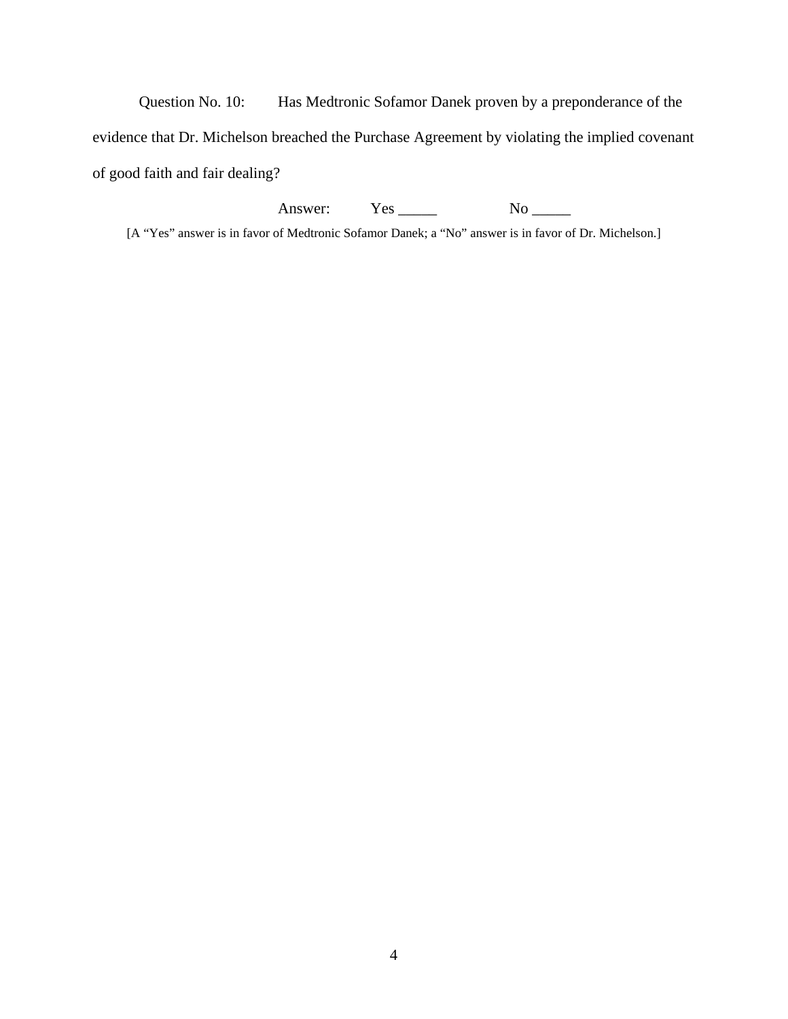Question No. 10: Has Medtronic Sofamor Danek proven by a preponderance of the evidence that Dr. Michelson breached the Purchase Agreement by violating the implied covenant of good faith and fair dealing?

Answer: Yes \_\_\_\_\_ No \_\_\_\_\_

[A "Yes" answer is in favor of Medtronic Sofamor Danek; a "No" answer is in favor of Dr. Michelson.]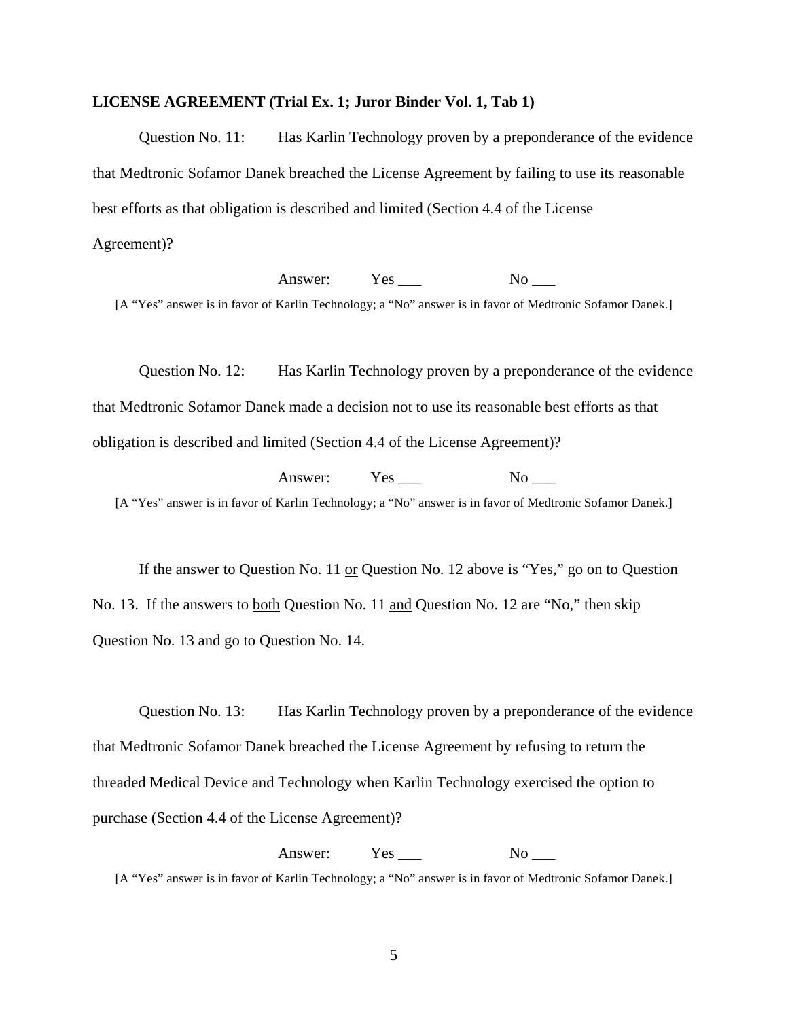#### **LICENSE AGREEMENT (Trial Ex. 1; Juror Binder Vol. 1, Tab 1)**

Question No. 11: Has Karlin Technology proven by a preponderance of the evidence that Medtronic Sofamor Danek breached the License Agreement by failing to use its reasonable best efforts as that obligation is described and limited (Section 4.4 of the License Agreement)?

Answer: Yes No

[A "Yes" answer is in favor of Karlin Technology; a "No" answer is in favor of Medtronic Sofamor Danek.]

Question No. 12: Has Karlin Technology proven by a preponderance of the evidence that Medtronic Sofamor Danek made a decision not to use its reasonable best efforts as that obligation is described and limited (Section 4.4 of the License Agreement)?

Answer: Yes No [A "Yes" answer is in favor of Karlin Technology; a "No" answer is in favor of Medtronic Sofamor Danek.]

If the answer to Question No. 11 or Question No. 12 above is "Yes," go on to Question No. 13. If the answers to both Question No. 11 and Question No. 12 are "No," then skip Question No. 13 and go to Question No. 14.

Question No. 13: Has Karlin Technology proven by a preponderance of the evidence that Medtronic Sofamor Danek breached the License Agreement by refusing to return the threaded Medical Device and Technology when Karlin Technology exercised the option to purchase (Section 4.4 of the License Agreement)?

Answer: Yes \_\_\_ No \_\_\_ [A "Yes" answer is in favor of Karlin Technology; a "No" answer is in favor of Medtronic Sofamor Danek.]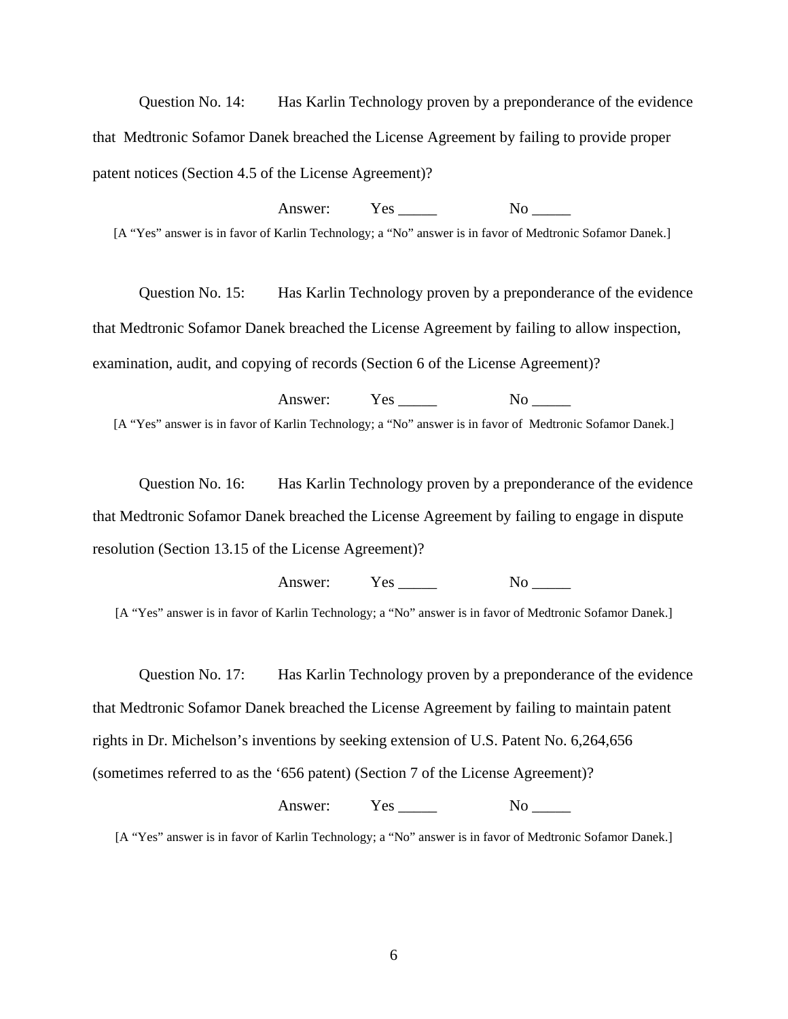Question No. 14: Has Karlin Technology proven by a preponderance of the evidence that Medtronic Sofamor Danek breached the License Agreement by failing to provide proper patent notices (Section 4.5 of the License Agreement)?

Answer: Yes No [A "Yes" answer is in favor of Karlin Technology; a "No" answer is in favor of Medtronic Sofamor Danek.]

Question No. 15: Has Karlin Technology proven by a preponderance of the evidence that Medtronic Sofamor Danek breached the License Agreement by failing to allow inspection, examination, audit, and copying of records (Section 6 of the License Agreement)?

Answer: Yes No [A "Yes" answer is in favor of Karlin Technology; a "No" answer is in favor of Medtronic Sofamor Danek.]

Question No. 16: Has Karlin Technology proven by a preponderance of the evidence that Medtronic Sofamor Danek breached the License Agreement by failing to engage in dispute resolution (Section 13.15 of the License Agreement)?

Answer: Yes No

[A "Yes" answer is in favor of Karlin Technology; a "No" answer is in favor of Medtronic Sofamor Danek.]

Question No. 17: Has Karlin Technology proven by a preponderance of the evidence that Medtronic Sofamor Danek breached the License Agreement by failing to maintain patent rights in Dr. Michelson's inventions by seeking extension of U.S. Patent No. 6,264,656 (sometimes referred to as the '656 patent) (Section 7 of the License Agreement)?

Answer: Yes \_\_\_\_\_ No \_\_\_\_\_

[A "Yes" answer is in favor of Karlin Technology; a "No" answer is in favor of Medtronic Sofamor Danek.]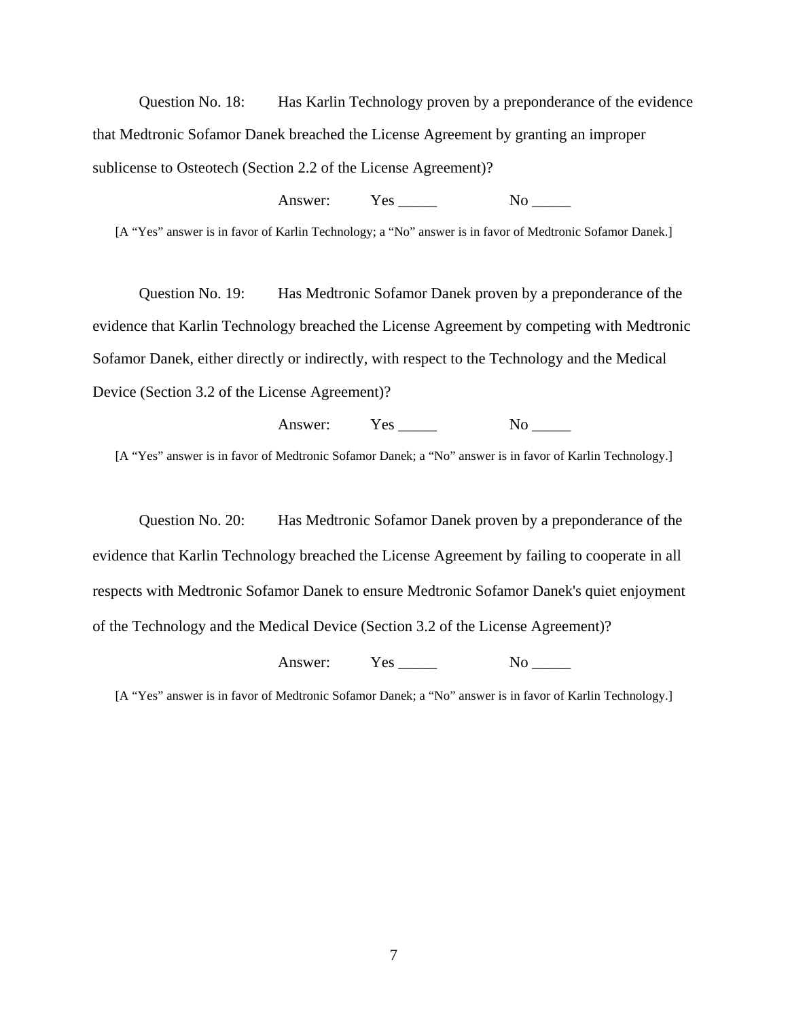Question No. 18: Has Karlin Technology proven by a preponderance of the evidence that Medtronic Sofamor Danek breached the License Agreement by granting an improper sublicense to Osteotech (Section 2.2 of the License Agreement)?

# Answer: Yes No

[A "Yes" answer is in favor of Karlin Technology; a "No" answer is in favor of Medtronic Sofamor Danek.]

Question No. 19: Has Medtronic Sofamor Danek proven by a preponderance of the evidence that Karlin Technology breached the License Agreement by competing with Medtronic Sofamor Danek, either directly or indirectly, with respect to the Technology and the Medical Device (Section 3.2 of the License Agreement)?

Answer: Yes \_\_\_\_\_ No \_\_\_\_

[A "Yes" answer is in favor of Medtronic Sofamor Danek; a "No" answer is in favor of Karlin Technology.]

Question No. 20: Has Medtronic Sofamor Danek proven by a preponderance of the evidence that Karlin Technology breached the License Agreement by failing to cooperate in all respects with Medtronic Sofamor Danek to ensure Medtronic Sofamor Danek's quiet enjoyment of the Technology and the Medical Device (Section 3.2 of the License Agreement)?

Answer: Yes \_\_\_\_\_ No \_\_\_\_\_

[A "Yes" answer is in favor of Medtronic Sofamor Danek; a "No" answer is in favor of Karlin Technology.]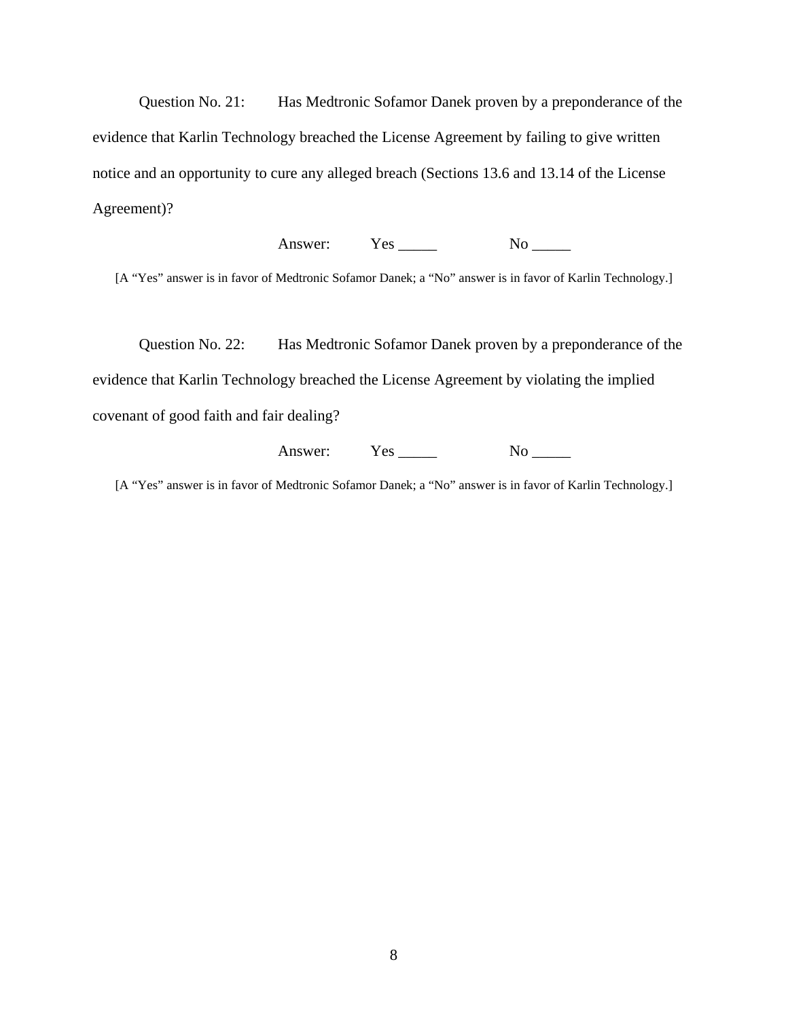Question No. 21: Has Medtronic Sofamor Danek proven by a preponderance of the evidence that Karlin Technology breached the License Agreement by failing to give written notice and an opportunity to cure any alleged breach (Sections 13.6 and 13.14 of the License Agreement)?

Answer: Yes <u>No</u>

[A "Yes" answer is in favor of Medtronic Sofamor Danek; a "No" answer is in favor of Karlin Technology.]

Question No. 22: Has Medtronic Sofamor Danek proven by a preponderance of the evidence that Karlin Technology breached the License Agreement by violating the implied covenant of good faith and fair dealing?

Answer: Yes \_\_\_\_\_ No \_\_\_\_\_

[A "Yes" answer is in favor of Medtronic Sofamor Danek; a "No" answer is in favor of Karlin Technology.]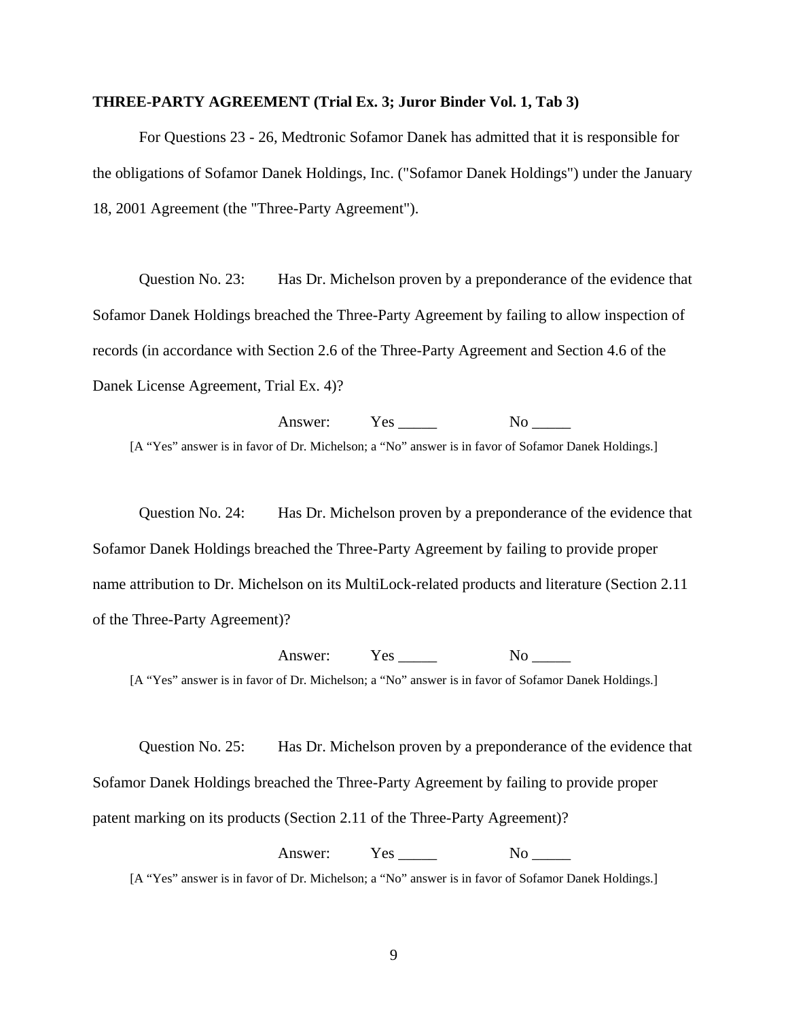#### **THREE-PARTY AGREEMENT (Trial Ex. 3; Juror Binder Vol. 1, Tab 3)**

For Questions 23 - 26, Medtronic Sofamor Danek has admitted that it is responsible for the obligations of Sofamor Danek Holdings, Inc. ("Sofamor Danek Holdings") under the January 18, 2001 Agreement (the "Three-Party Agreement").

Question No. 23: Has Dr. Michelson proven by a preponderance of the evidence that Sofamor Danek Holdings breached the Three-Party Agreement by failing to allow inspection of records (in accordance with Section 2.6 of the Three-Party Agreement and Section 4.6 of the Danek License Agreement, Trial Ex. 4)?

Answer: Yes No [A "Yes" answer is in favor of Dr. Michelson; a "No" answer is in favor of Sofamor Danek Holdings.]

Question No. 24: Has Dr. Michelson proven by a preponderance of the evidence that Sofamor Danek Holdings breached the Three-Party Agreement by failing to provide proper name attribution to Dr. Michelson on its MultiLock-related products and literature (Section 2.11 of the Three-Party Agreement)?

Answer: Yes \_\_\_\_\_ No \_\_\_\_\_ [A "Yes" answer is in favor of Dr. Michelson; a "No" answer is in favor of Sofamor Danek Holdings.]

Question No. 25: Has Dr. Michelson proven by a preponderance of the evidence that Sofamor Danek Holdings breached the Three-Party Agreement by failing to provide proper patent marking on its products (Section 2.11 of the Three-Party Agreement)?

Answer: Yes \_\_\_\_\_ No \_\_\_\_\_

[A "Yes" answer is in favor of Dr. Michelson; a "No" answer is in favor of Sofamor Danek Holdings.]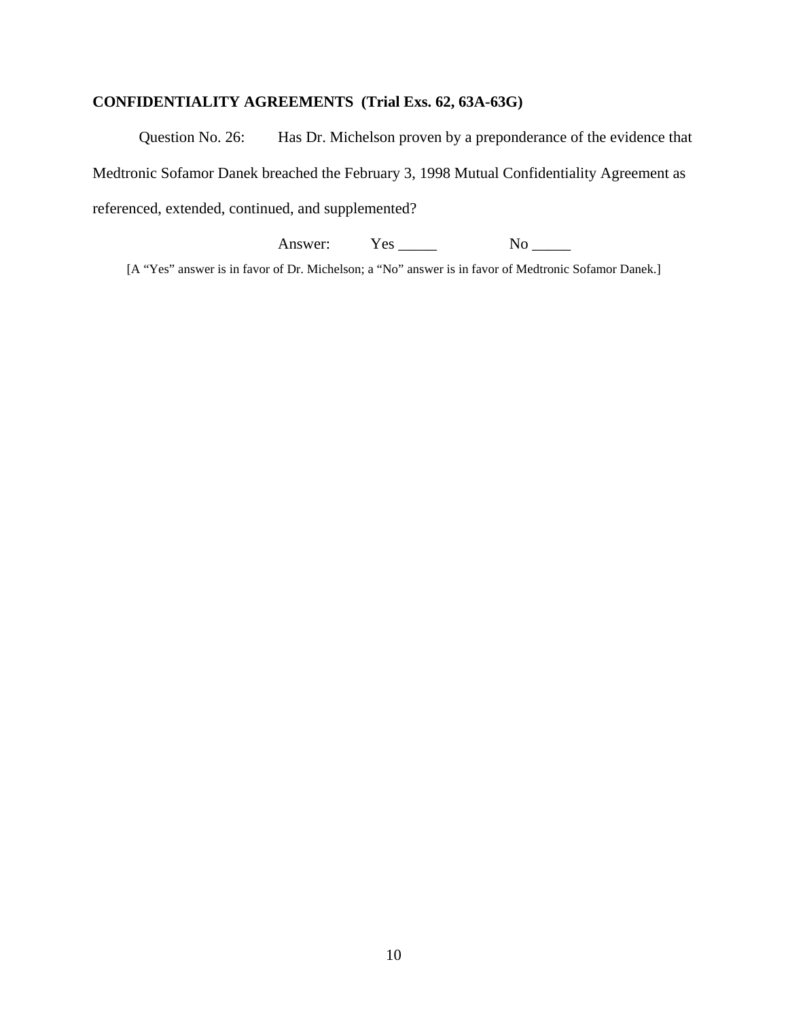# **CONFIDENTIALITY AGREEMENTS (Trial Exs. 62, 63A-63G)**

Question No. 26: Has Dr. Michelson proven by a preponderance of the evidence that Medtronic Sofamor Danek breached the February 3, 1998 Mutual Confidentiality Agreement as referenced, extended, continued, and supplemented?

Answer: Yes <u>No</u>

[A "Yes" answer is in favor of Dr. Michelson; a "No" answer is in favor of Medtronic Sofamor Danek.]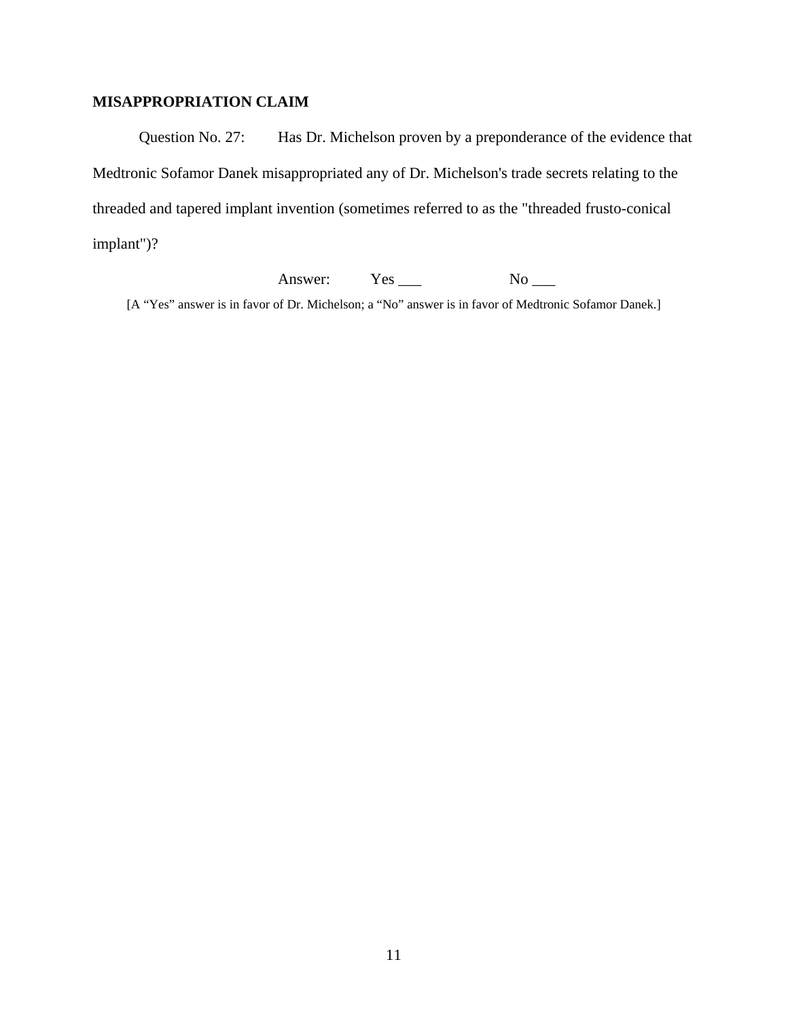# **MISAPPROPRIATION CLAIM**

Question No. 27: Has Dr. Michelson proven by a preponderance of the evidence that Medtronic Sofamor Danek misappropriated any of Dr. Michelson's trade secrets relating to the threaded and tapered implant invention (sometimes referred to as the "threaded frusto-conical implant")?

Answer: Yes \_\_\_ No \_\_\_

[A "Yes" answer is in favor of Dr. Michelson; a "No" answer is in favor of Medtronic Sofamor Danek.]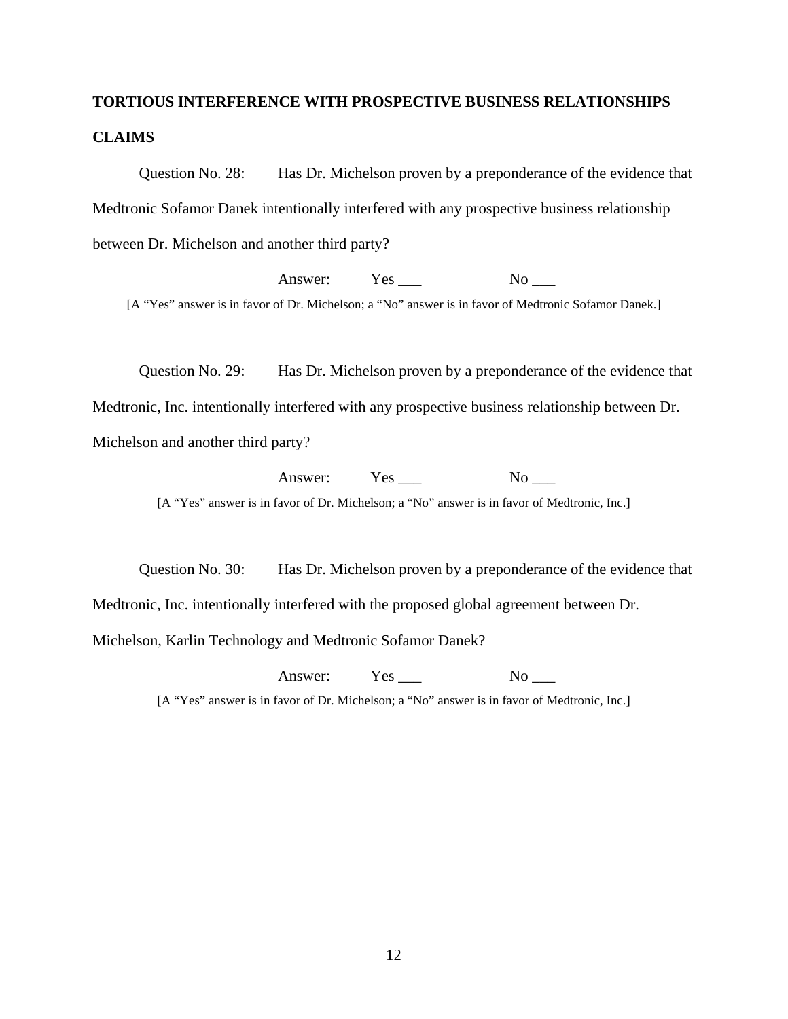# **TORTIOUS INTERFERENCE WITH PROSPECTIVE BUSINESS RELATIONSHIPS CLAIMS**

Question No. 28: Has Dr. Michelson proven by a preponderance of the evidence that Medtronic Sofamor Danek intentionally interfered with any prospective business relationship between Dr. Michelson and another third party?

Answer: Yes \_\_\_ No \_\_\_

[A "Yes" answer is in favor of Dr. Michelson; a "No" answer is in favor of Medtronic Sofamor Danek.]

Question No. 29: Has Dr. Michelson proven by a preponderance of the evidence that Medtronic, Inc. intentionally interfered with any prospective business relationship between Dr. Michelson and another third party?

> Answer: Yes No [A "Yes" answer is in favor of Dr. Michelson; a "No" answer is in favor of Medtronic, Inc.]

Question No. 30: Has Dr. Michelson proven by a preponderance of the evidence that Medtronic, Inc. intentionally interfered with the proposed global agreement between Dr. Michelson, Karlin Technology and Medtronic Sofamor Danek?

Answer: Yes \_\_\_ No \_\_\_

[A "Yes" answer is in favor of Dr. Michelson; a "No" answer is in favor of Medtronic, Inc.]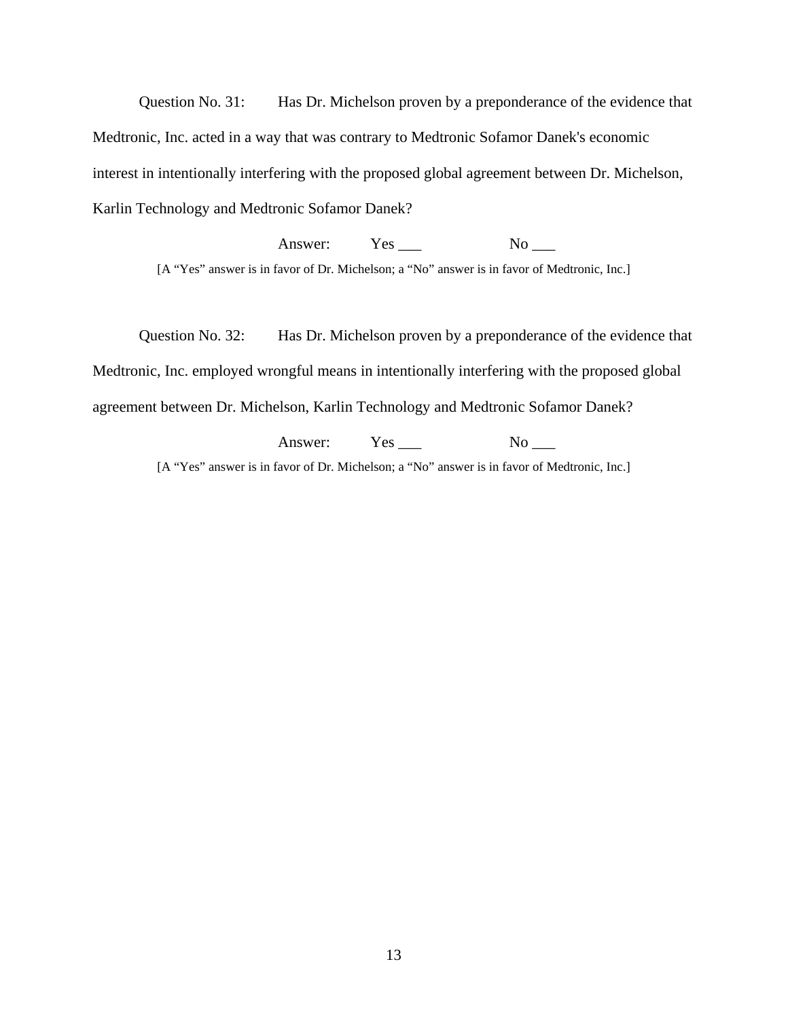Question No. 31: Has Dr. Michelson proven by a preponderance of the evidence that Medtronic, Inc. acted in a way that was contrary to Medtronic Sofamor Danek's economic interest in intentionally interfering with the proposed global agreement between Dr. Michelson, Karlin Technology and Medtronic Sofamor Danek?

Answer: Yes No [A "Yes" answer is in favor of Dr. Michelson; a "No" answer is in favor of Medtronic, Inc.]

Question No. 32: Has Dr. Michelson proven by a preponderance of the evidence that Medtronic, Inc. employed wrongful means in intentionally interfering with the proposed global agreement between Dr. Michelson, Karlin Technology and Medtronic Sofamor Danek?

> Answer: Yes \_\_\_ No \_\_\_ [A "Yes" answer is in favor of Dr. Michelson; a "No" answer is in favor of Medtronic, Inc.]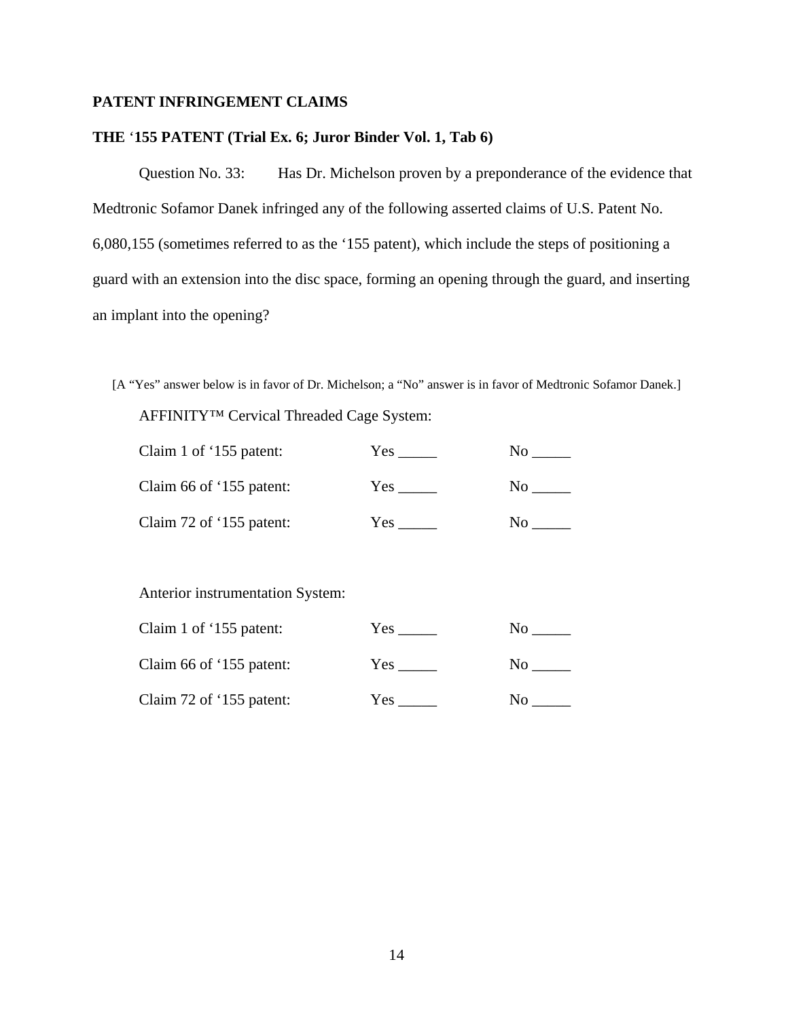# **PATENT INFRINGEMENT CLAIMS**

#### **THE** '**155 PATENT (Trial Ex. 6; Juror Binder Vol. 1, Tab 6)**

Question No. 33: Has Dr. Michelson proven by a preponderance of the evidence that Medtronic Sofamor Danek infringed any of the following asserted claims of U.S. Patent No. 6,080,155 (sometimes referred to as the '155 patent), which include the steps of positioning a guard with an extension into the disc space, forming an opening through the guard, and inserting an implant into the opening?

[A "Yes" answer below is in favor of Dr. Michelson; a "No" answer is in favor of Medtronic Sofamor Danek.] AFFINITY™ Cervical Threaded Cage System:

| Claim 1 of '155 patent:  | Yes | Nο |
|--------------------------|-----|----|
| Claim 66 of '155 patent: | Yes | No |
| Claim 72 of '155 patent: | Yes | Nο |

Anterior instrumentation System:

| Claim 1 of '155 patent:  | Yes  | N٥  |
|--------------------------|------|-----|
| Claim 66 of '155 patent: | Yes. | No. |
| Claim 72 of '155 patent: | Yes. | No  |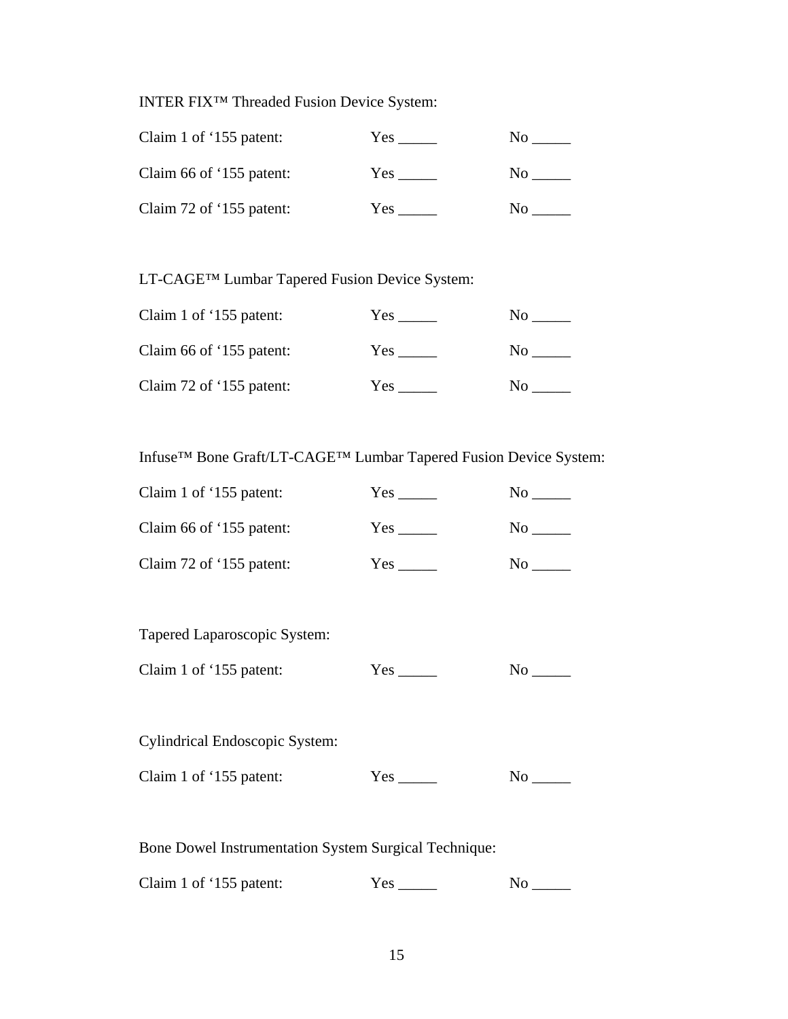INTER FIX™ Threaded Fusion Device System:

| Claim 1 of '155 patent:  | Yes: | Nο |
|--------------------------|------|----|
| Claim 66 of '155 patent: | Yes. | NΩ |
| Claim 72 of '155 patent: | Yes. | Nο |

LT-CAGE™ Lumbar Tapered Fusion Device System:

| Claim 1 of '155 patent:  | Yes. | No.            |
|--------------------------|------|----------------|
| Claim 66 of '155 patent: | Yes. | N <sub>0</sub> |
| Claim 72 of '155 patent: | Yes  | No.            |

Infuse™ Bone Graft/LT-CAGE™ Lumbar Tapered Fusion Device System:

| Claim 1 of '155 patent:  | Yes | Nο             |
|--------------------------|-----|----------------|
| Claim 66 of '155 patent: | Yes | N <sub>0</sub> |
| Claim 72 of '155 patent: | Yes | No             |

Tapered Laparoscopic System:

| Claim 1 of '155 patent: | Yes |  |
|-------------------------|-----|--|
|-------------------------|-----|--|

Cylindrical Endoscopic System:

Claim 1 of '155 patent: Yes \_\_\_\_\_ No \_\_\_\_

Bone Dowel Instrumentation System Surgical Technique:

Claim 1 of '155 patent: Yes \_\_\_\_\_ No \_\_\_\_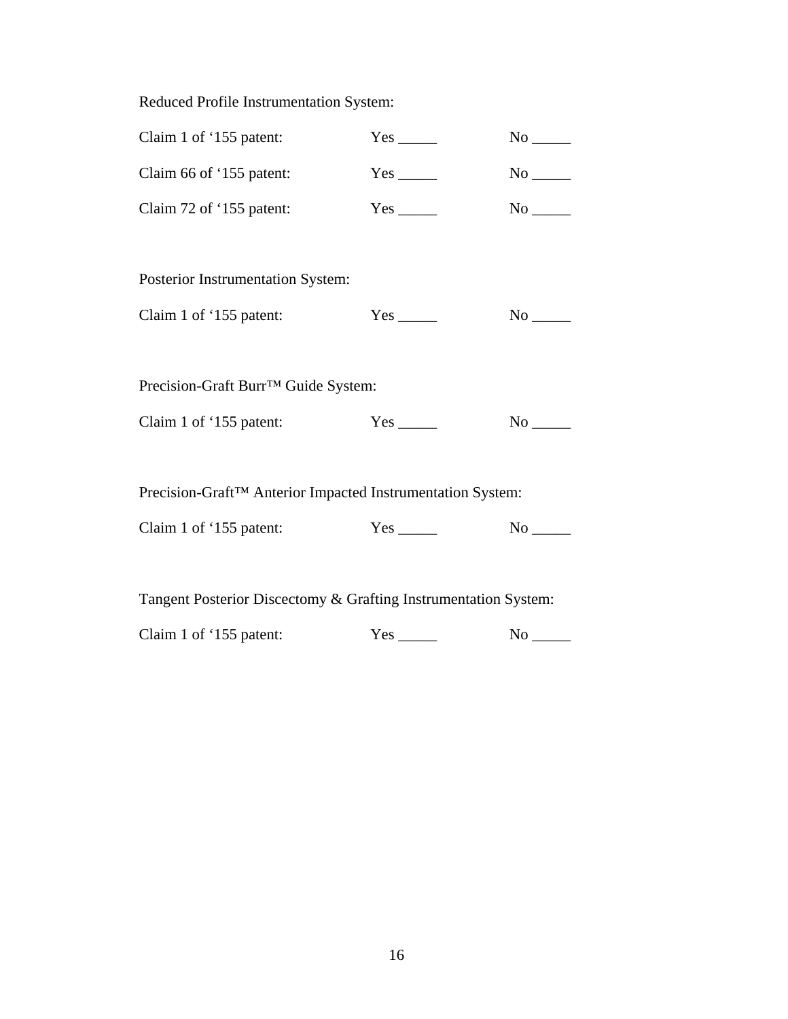Reduced Profile Instrumentation System:

| Claim 1 of '155 patent:                                    |                           |                        |
|------------------------------------------------------------|---------------------------|------------------------|
| Claim 66 of '155 patent:                                   | $Yes$ <sub>______</sub>   | $No$ <sub>______</sub> |
| Claim 72 of '155 patent:                                   | $Yes$ <sub>_______</sub>  | $No$ <sub>_____</sub>  |
|                                                            |                           |                        |
| Posterior Instrumentation System:                          |                           |                        |
| Claim 1 of '155 patent:                                    |                           |                        |
|                                                            |                           |                        |
| Precision-Graft Burr™ Guide System:                        |                           |                        |
| Claim 1 of '155 patent:                                    | $Yes$ <sub>________</sub> | $No$ <sub>______</sub> |
|                                                            |                           |                        |
| Precision-Graft™ Anterior Impacted Instrumentation System: |                           |                        |
| Claim 1 of '155 patent:                                    | $Yes$ <sub>______</sub>   |                        |

Tangent Posterior Discectomy & Grafting Instrumentation System:

Claim 1 of '155 patent: Yes \_\_\_\_\_ No \_\_\_\_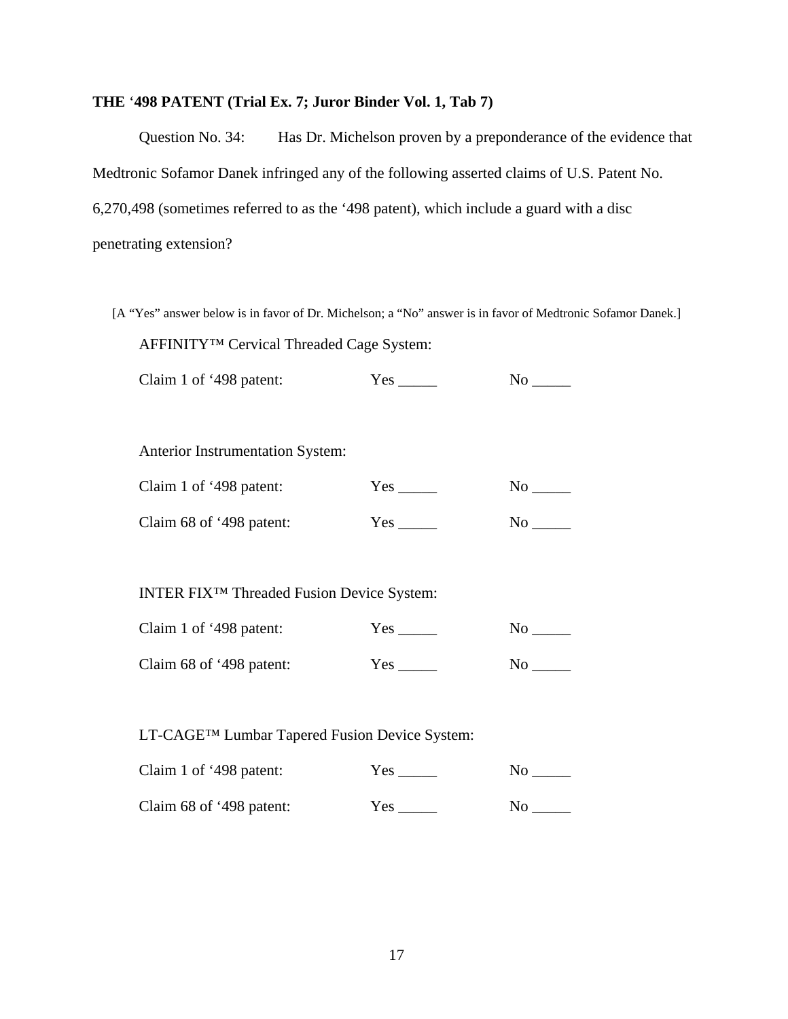# **THE** '**498 PATENT (Trial Ex. 7; Juror Binder Vol. 1, Tab 7)**

Question No. 34: Has Dr. Michelson proven by a preponderance of the evidence that Medtronic Sofamor Danek infringed any of the following asserted claims of U.S. Patent No. 6,270,498 (sometimes referred to as the '498 patent), which include a guard with a disc penetrating extension?

[A "Yes" answer below is in favor of Dr. Michelson; a "No" answer is in favor of Medtronic Sofamor Danek.] AFFINITY™ Cervical Threaded Cage System:

Claim 1 of '498 patent: Yes \_\_\_\_\_ No \_\_\_\_

Anterior Instrumentation System:

| Claim 1 of '498 patent:  | Yes | N <sub>0</sub> |
|--------------------------|-----|----------------|
| Claim 68 of '498 patent: | Yes | No.            |

INTER FIX™ Threaded Fusion Device System:

| Claim 1 of '498 patent:  | Yes  | No |
|--------------------------|------|----|
| Claim 68 of '498 patent: | Yes. | No |

LT-CAGE™ Lumbar Tapered Fusion Device System:

| Claim 1 of '498 patent:  | Yes        | No  |
|--------------------------|------------|-----|
| Claim 68 of '498 patent: | <b>Yes</b> | No. |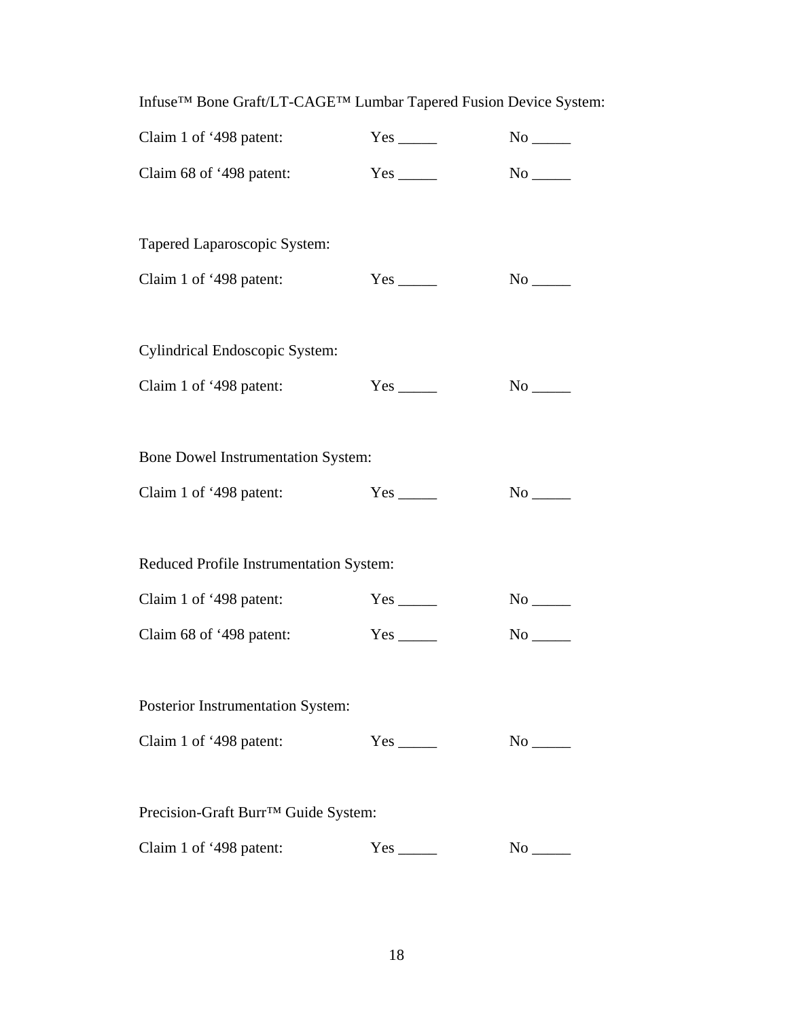| Claim 1 of '498 patent:                   |                           | $No$ <sub>______</sub> |
|-------------------------------------------|---------------------------|------------------------|
| Claim 68 of '498 patent:                  | $Yes$ <sub>________</sub> | $No$ <sub>______</sub> |
|                                           |                           |                        |
| Tapered Laparoscopic System:              |                           |                        |
| Claim 1 of '498 patent:                   | $Yes$ <sub>_____</sub>    |                        |
|                                           |                           |                        |
| <b>Cylindrical Endoscopic System:</b>     |                           |                        |
| Claim 1 of '498 patent:                   | $Yes$ <sub>_____</sub>    |                        |
|                                           |                           |                        |
| <b>Bone Dowel Instrumentation System:</b> |                           |                        |
| Claim 1 of '498 patent:                   |                           | $No$ <sub>_____</sub>  |
|                                           |                           |                        |
| Reduced Profile Instrumentation System:   |                           |                        |
| Claim 1 of '498 patent:                   |                           | $No$ <sub>______</sub> |
| Claim 68 of '498 patent:                  | $Yes$ <sub>_____</sub>    |                        |
|                                           |                           |                        |
| Posterior Instrumentation System:         |                           |                        |
| Claim 1 of '498 patent:                   |                           |                        |
|                                           |                           |                        |
| Precision-Graft Burr™ Guide System:       |                           |                        |
| Claim 1 of '498 patent:                   | $Yes_$                    | No                     |

Infuse™ Bone Graft/LT-CAGE™ Lumbar Tapered Fusion Device System: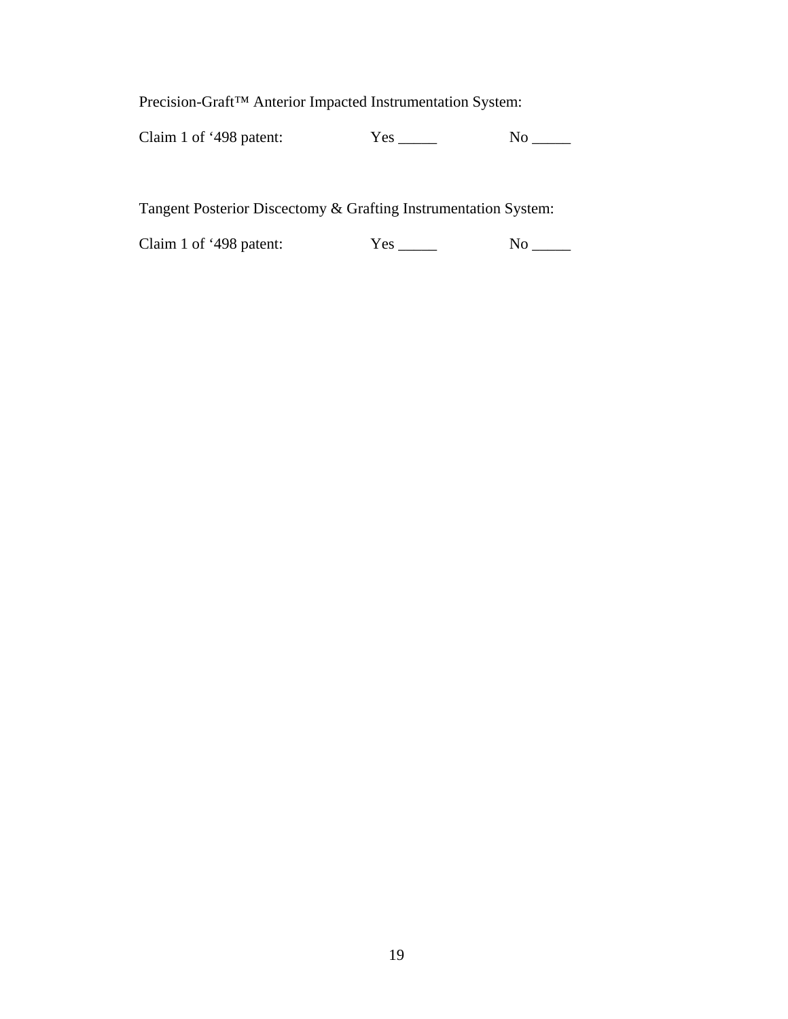Precision-Graft™ Anterior Impacted Instrumentation System:

Claim 1 of '498 patent: Yes \_\_\_\_\_ No \_\_\_\_

Tangent Posterior Discectomy & Grafting Instrumentation System:

Claim 1 of '498 patent: Yes \_\_\_\_\_ No \_\_\_\_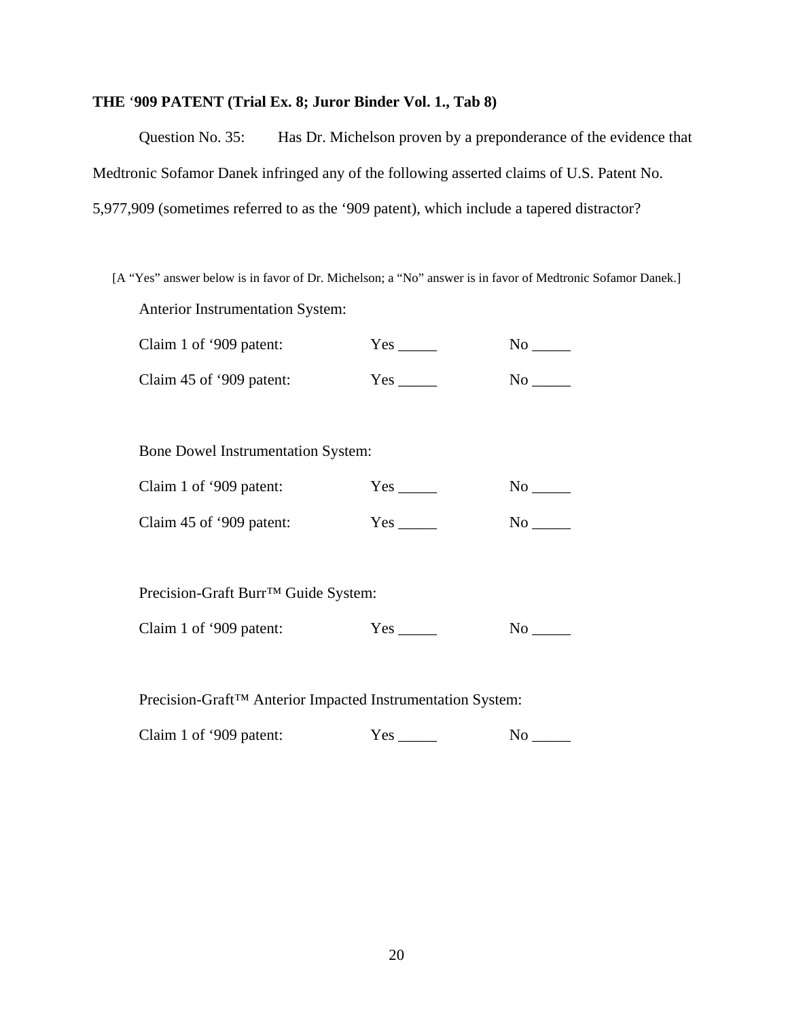# **THE** '**909 PATENT (Trial Ex. 8; Juror Binder Vol. 1., Tab 8)**

Question No. 35: Has Dr. Michelson proven by a preponderance of the evidence that Medtronic Sofamor Danek infringed any of the following asserted claims of U.S. Patent No. 5,977,909 (sometimes referred to as the '909 patent), which include a tapered distractor?

[A "Yes" answer below is in favor of Dr. Michelson; a "No" answer is in favor of Medtronic Sofamor Danek.] Anterior Instrumentation System:

| Claim 1 of '909 patent:  | Yes  | Nο |  |
|--------------------------|------|----|--|
| Claim 45 of '909 patent: | Yes. | Nο |  |

Bone Dowel Instrumentation System:

| Claim 1 of '909 patent:  | Yes | Nο  |
|--------------------------|-----|-----|
| Claim 45 of '909 patent: | Yes | No. |

Precision-Graft Burr™ Guide System:

| Claim 1 of '909 patent: | Y es |  |
|-------------------------|------|--|
|-------------------------|------|--|

Precision-Graft™ Anterior Impacted Instrumentation System:

Claim 1 of '909 patent: Yes \_\_\_\_\_ No \_\_\_\_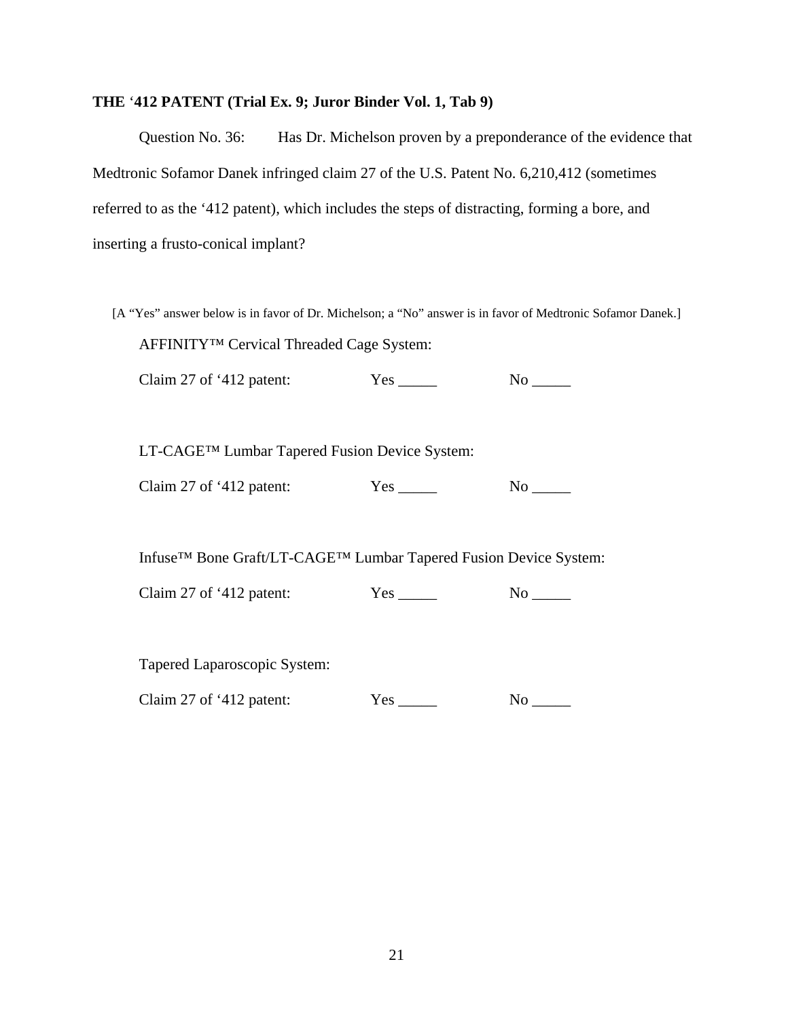#### **THE** '**412 PATENT (Trial Ex. 9; Juror Binder Vol. 1, Tab 9)**

Question No. 36: Has Dr. Michelson proven by a preponderance of the evidence that Medtronic Sofamor Danek infringed claim 27 of the U.S. Patent No. 6,210,412 (sometimes referred to as the '412 patent), which includes the steps of distracting, forming a bore, and inserting a frusto-conical implant?

[A "Yes" answer below is in favor of Dr. Michelson; a "No" answer is in favor of Medtronic Sofamor Danek.] AFFINITY™ Cervical Threaded Cage System:

Claim 27 of '412 patent: Yes \_\_\_\_\_ No \_\_\_\_

LT-CAGE™ Lumbar Tapered Fusion Device System:

Claim 27 of '412 patent: Yes \_\_\_\_\_ No \_\_\_\_

Infuse™ Bone Graft/LT-CAGE™ Lumbar Tapered Fusion Device System:

Claim 27 of '412 patent: Yes \_\_\_\_\_ No \_\_\_\_

Tapered Laparoscopic System:

Claim 27 of '412 patent: Yes \_\_\_\_\_ No \_\_\_\_\_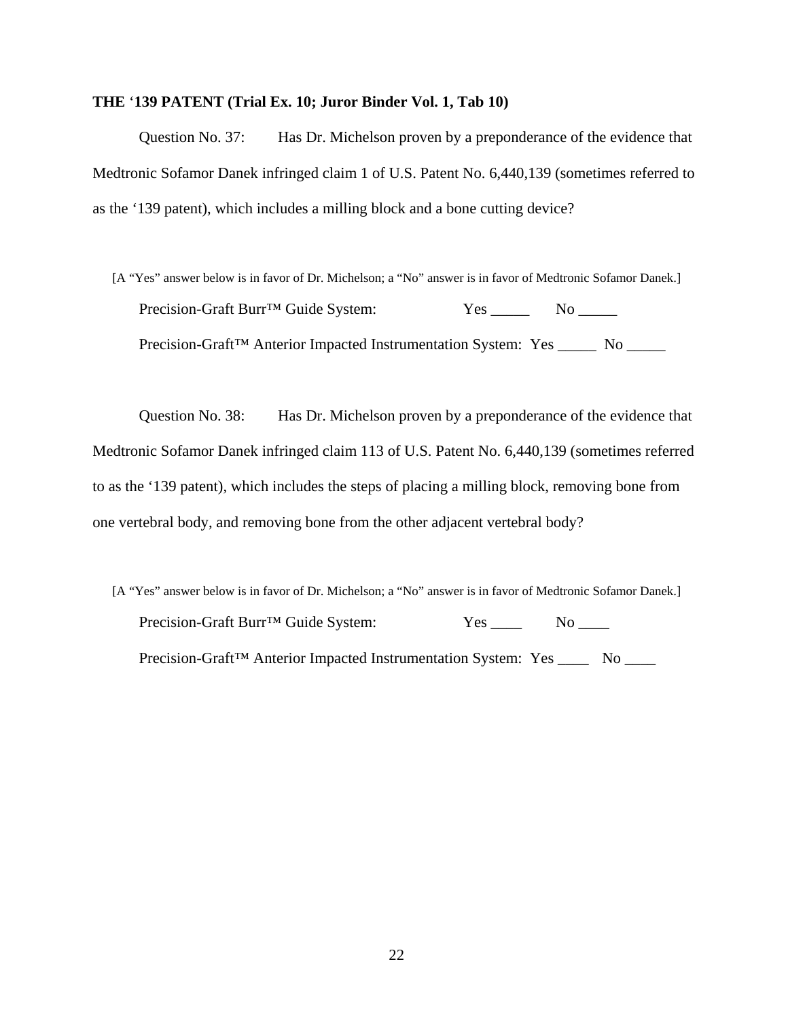#### **THE** '**139 PATENT (Trial Ex. 10; Juror Binder Vol. 1, Tab 10)**

Question No. 37: Has Dr. Michelson proven by a preponderance of the evidence that Medtronic Sofamor Danek infringed claim 1 of U.S. Patent No. 6,440,139 (sometimes referred to as the '139 patent), which includes a milling block and a bone cutting device?

[A "Yes" answer below is in favor of Dr. Michelson; a "No" answer is in favor of Medtronic Sofamor Danek.] Precision-Graft Burr™ Guide System: Yes \_\_\_\_\_ No \_\_\_\_\_ Precision-Graft<sup>™</sup> Anterior Impacted Instrumentation System: Yes \_\_\_\_\_ No \_\_\_\_\_

Question No. 38: Has Dr. Michelson proven by a preponderance of the evidence that Medtronic Sofamor Danek infringed claim 113 of U.S. Patent No. 6,440,139 (sometimes referred to as the '139 patent), which includes the steps of placing a milling block, removing bone from one vertebral body, and removing bone from the other adjacent vertebral body?

[A "Yes" answer below is in favor of Dr. Michelson; a "No" answer is in favor of Medtronic Sofamor Danek.] Precision-Graft Burr™ Guide System: Yes \_\_\_\_ No \_\_\_\_ Precision-Graft<sup>™</sup> Anterior Impacted Instrumentation System: Yes \_\_\_\_\_ No \_\_\_\_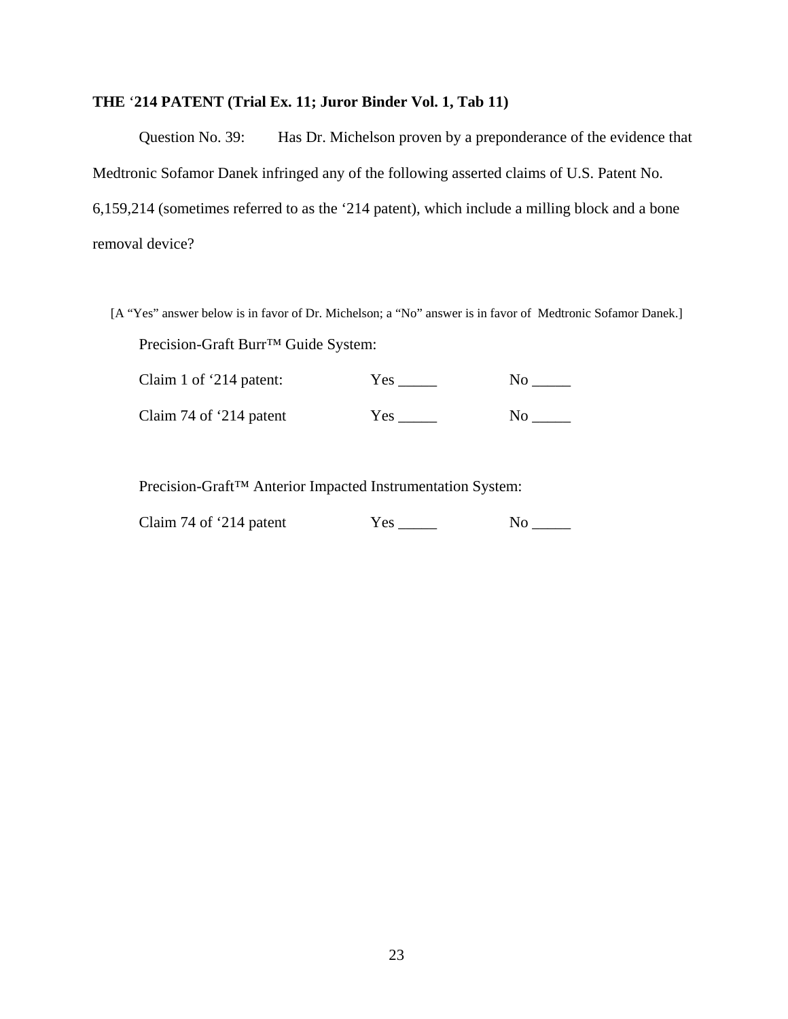# **THE** '**214 PATENT (Trial Ex. 11; Juror Binder Vol. 1, Tab 11)**

Question No. 39: Has Dr. Michelson proven by a preponderance of the evidence that Medtronic Sofamor Danek infringed any of the following asserted claims of U.S. Patent No. 6,159,214 (sometimes referred to as the '214 patent), which include a milling block and a bone removal device?

[A "Yes" answer below is in favor of Dr. Michelson; a "No" answer is in favor of Medtronic Sofamor Danek.] Precision-Graft Burr™ Guide System:

| Claim 1 of '214 patent:  | Yes | No |  |
|--------------------------|-----|----|--|
| Claim 74 of $214$ patent | Yes | Nο |  |

Precision-Graft™ Anterior Impacted Instrumentation System:

| Claim 74 of $214$ patent | Yes | Nο |
|--------------------------|-----|----|
|--------------------------|-----|----|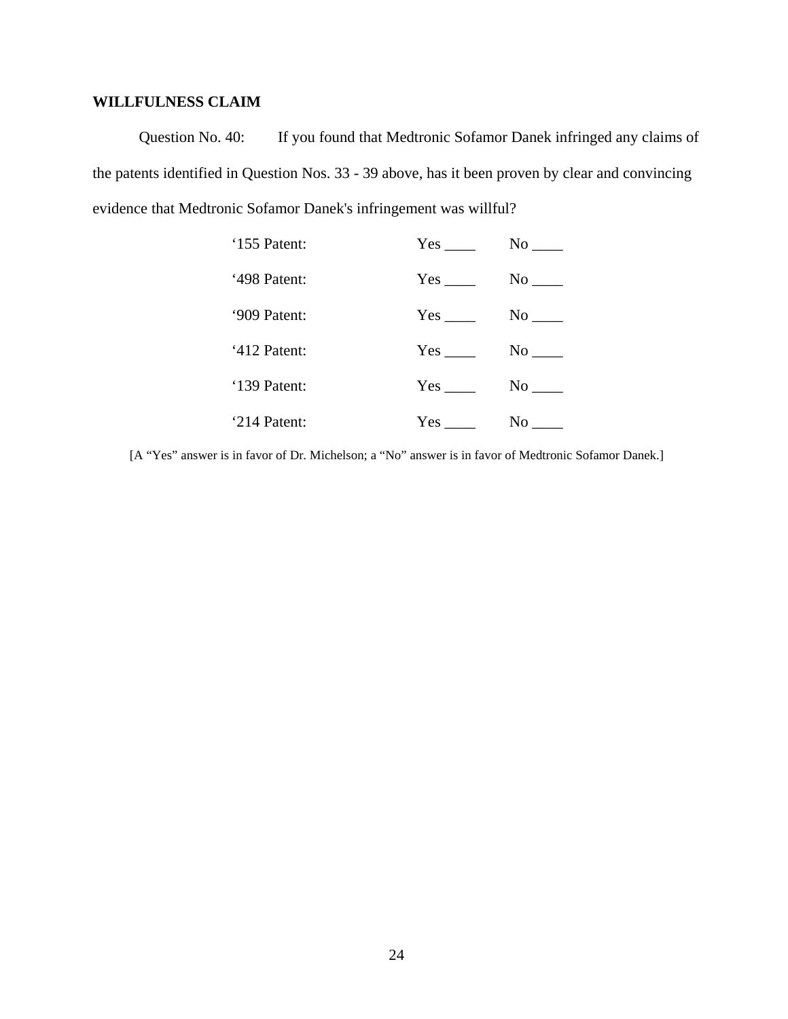# **WILLFULNESS CLAIM**

Question No. 40: If you found that Medtronic Sofamor Danek infringed any claims of the patents identified in Question Nos. 33 - 39 above, has it been proven by clear and convincing evidence that Medtronic Sofamor Danek's infringement was willful?

| '155 Patent: |                      |
|--------------|----------------------|
| '498 Patent: |                      |
| '909 Patent: | $No$ <sub>____</sub> |
| '412 Patent: |                      |
| '139 Patent: | $No$ <sub>____</sub> |
| '214 Patent: | No                   |

[A "Yes" answer is in favor of Dr. Michelson; a "No" answer is in favor of Medtronic Sofamor Danek.]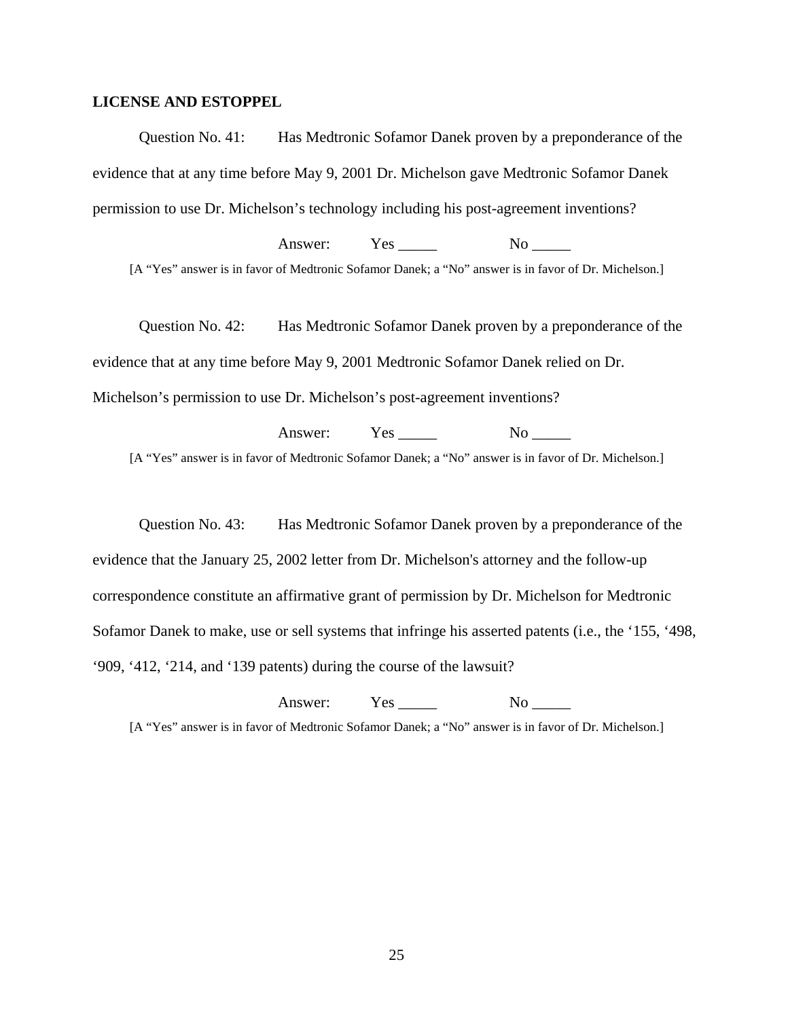#### **LICENSE AND ESTOPPEL**

Question No. 41: Has Medtronic Sofamor Danek proven by a preponderance of the evidence that at any time before May 9, 2001 Dr. Michelson gave Medtronic Sofamor Danek permission to use Dr. Michelson's technology including his post-agreement inventions?

Answer: Yes No [A "Yes" answer is in favor of Medtronic Sofamor Danek; a "No" answer is in favor of Dr. Michelson.]

Question No. 42: Has Medtronic Sofamor Danek proven by a preponderance of the evidence that at any time before May 9, 2001 Medtronic Sofamor Danek relied on Dr. Michelson's permission to use Dr. Michelson's post-agreement inventions?

Answer: Yes No [A "Yes" answer is in favor of Medtronic Sofamor Danek; a "No" answer is in favor of Dr. Michelson.]

Question No. 43: Has Medtronic Sofamor Danek proven by a preponderance of the evidence that the January 25, 2002 letter from Dr. Michelson's attorney and the follow-up correspondence constitute an affirmative grant of permission by Dr. Michelson for Medtronic Sofamor Danek to make, use or sell systems that infringe his asserted patents (i.e., the '155, '498, '909, '412, '214, and '139 patents) during the course of the lawsuit?

Answer: Yes No

[A "Yes" answer is in favor of Medtronic Sofamor Danek; a "No" answer is in favor of Dr. Michelson.]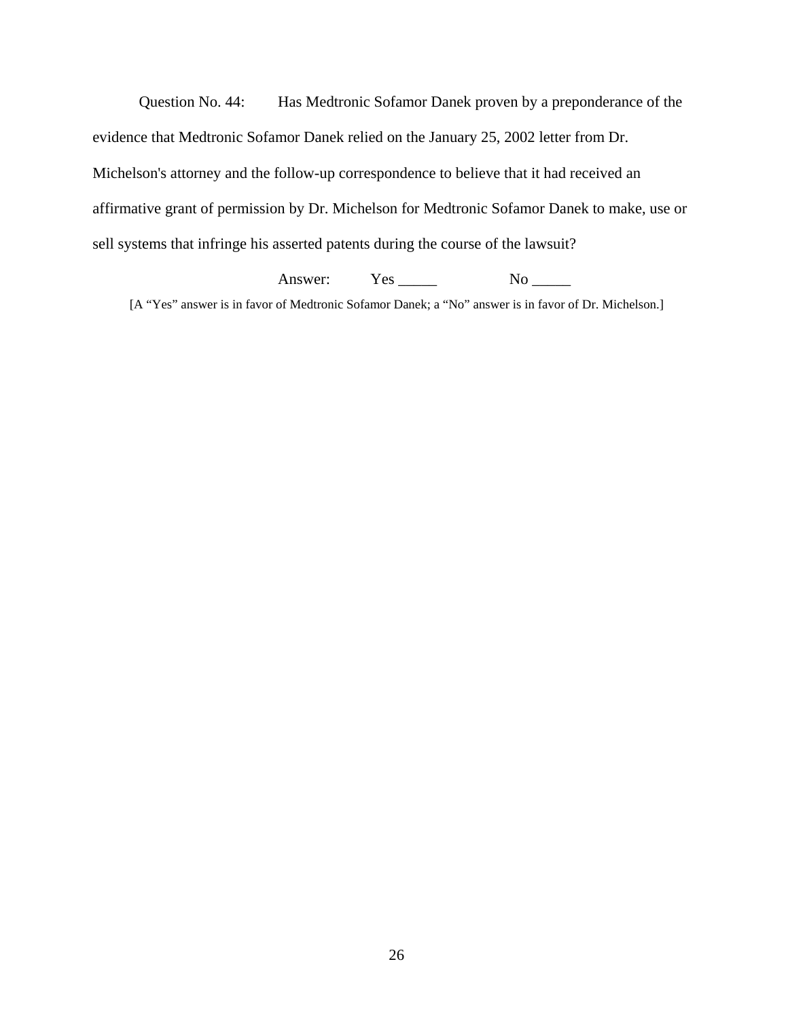Question No. 44: Has Medtronic Sofamor Danek proven by a preponderance of the evidence that Medtronic Sofamor Danek relied on the January 25, 2002 letter from Dr. Michelson's attorney and the follow-up correspondence to believe that it had received an affirmative grant of permission by Dr. Michelson for Medtronic Sofamor Danek to make, use or sell systems that infringe his asserted patents during the course of the lawsuit?

Answer: Yes \_\_\_\_\_ No \_\_\_\_

[A "Yes" answer is in favor of Medtronic Sofamor Danek; a "No" answer is in favor of Dr. Michelson.]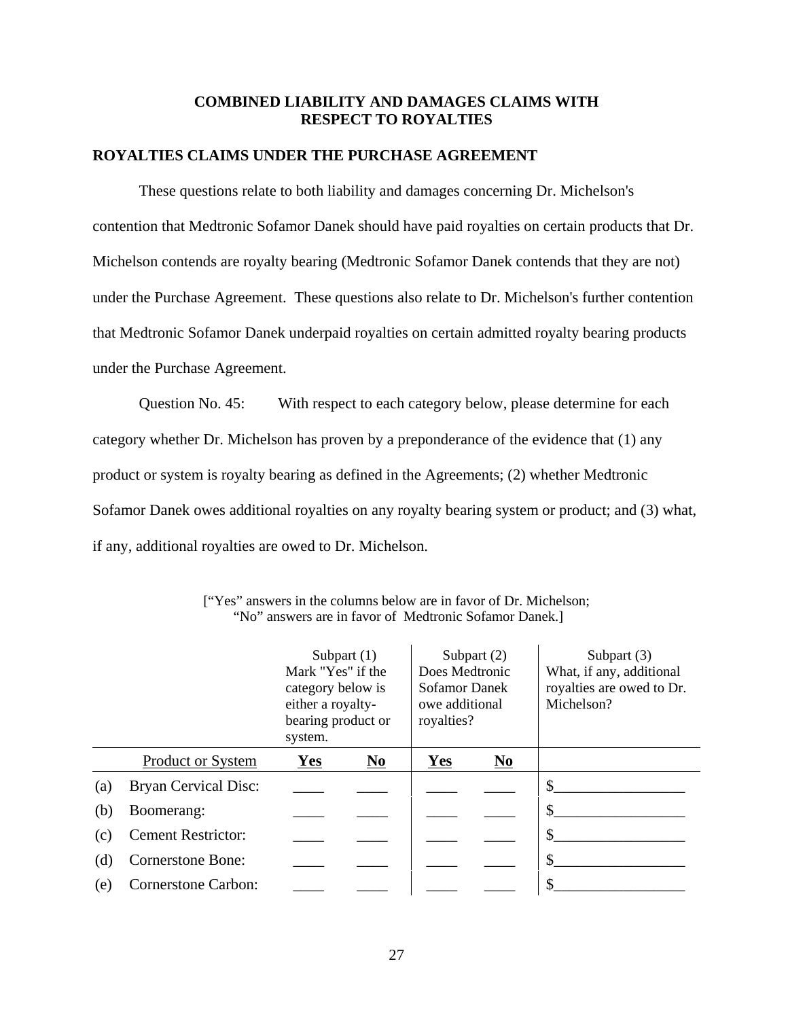## **COMBINED LIABILITY AND DAMAGES CLAIMS WITH RESPECT TO ROYALTIES**

#### **ROYALTIES CLAIMS UNDER THE PURCHASE AGREEMENT**

These questions relate to both liability and damages concerning Dr. Michelson's contention that Medtronic Sofamor Danek should have paid royalties on certain products that Dr. Michelson contends are royalty bearing (Medtronic Sofamor Danek contends that they are not) under the Purchase Agreement. These questions also relate to Dr. Michelson's further contention that Medtronic Sofamor Danek underpaid royalties on certain admitted royalty bearing products under the Purchase Agreement.

Question No. 45: With respect to each category below, please determine for each category whether Dr. Michelson has proven by a preponderance of the evidence that (1) any product or system is royalty bearing as defined in the Agreements; (2) whether Medtronic Sofamor Danek owes additional royalties on any royalty bearing system or product; and (3) what, if any, additional royalties are owed to Dr. Michelson.

|     |                             | Subpart $(1)$<br>Mark "Yes" if the<br>category below is<br>either a royalty-<br>bearing product or<br>system. |      | Does Medtronic<br>Sofamor Danek<br>owe additional<br>royalties? | Subpart $(2)$          | Subpart (3)<br>What, if any, additional<br>royalties are owed to Dr.<br>Michelson? |
|-----|-----------------------------|---------------------------------------------------------------------------------------------------------------|------|-----------------------------------------------------------------|------------------------|------------------------------------------------------------------------------------|
|     | <b>Product or System</b>    | Yes                                                                                                           | $No$ | Yes                                                             | $\mathbf{N}\mathbf{o}$ |                                                                                    |
| (a) | <b>Bryan Cervical Disc:</b> |                                                                                                               |      |                                                                 |                        | \$                                                                                 |
| (b) | Boomerang:                  |                                                                                                               |      |                                                                 |                        | \$                                                                                 |
| (c) | <b>Cement Restrictor:</b>   |                                                                                                               |      |                                                                 |                        | \$                                                                                 |
| (d) | <b>Cornerstone Bone:</b>    |                                                                                                               |      |                                                                 |                        | \$                                                                                 |
| (e) | <b>Cornerstone Carbon:</b>  |                                                                                                               |      |                                                                 |                        | \$                                                                                 |

<sup>[&</sup>quot;Yes" answers in the columns below are in favor of Dr. Michelson; "No" answers are in favor of Medtronic Sofamor Danek.]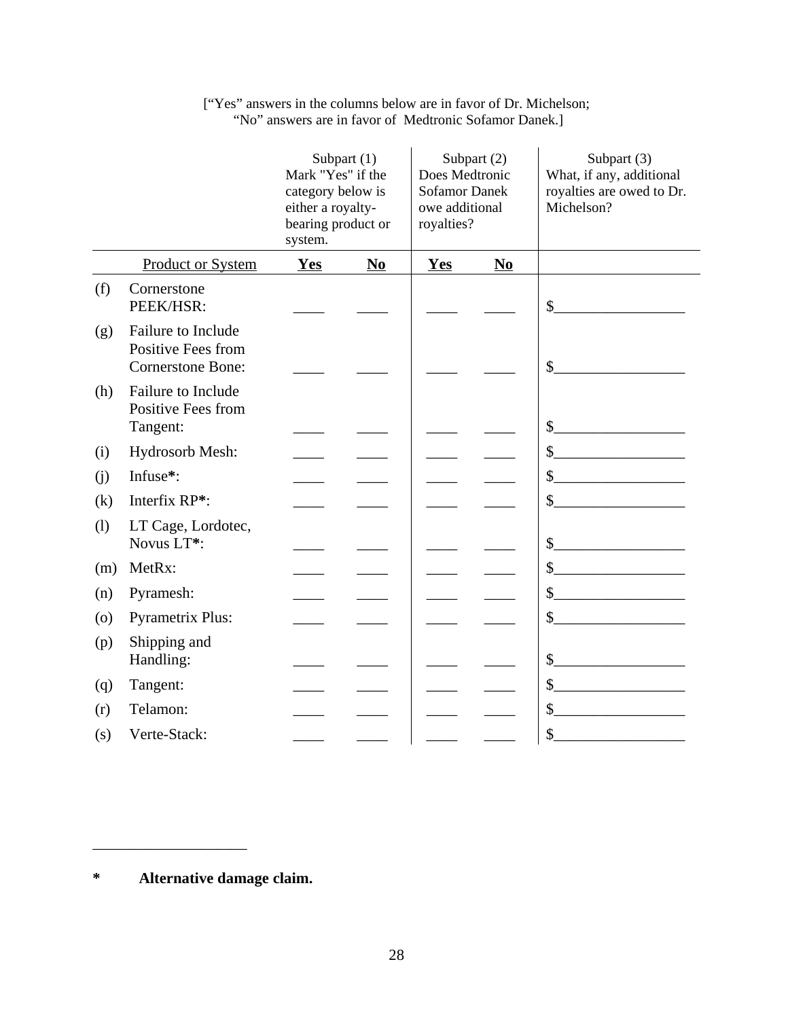|                    | Subpart $(1)$<br>Subpart (2)<br>Mark "Yes" if the<br>Does Medtronic<br>category below is<br><b>Sofamor Danek</b><br>either a royalty-<br>owe additional<br>bearing product or<br>royalties?<br>system. |            |      | Subpart (3)<br>What, if any, additional<br>royalties are owed to Dr.<br>Michelson? |                |                                                                                                                                                                                                                                                                                                                                                                                                                                                                                                                                                                              |
|--------------------|--------------------------------------------------------------------------------------------------------------------------------------------------------------------------------------------------------|------------|------|------------------------------------------------------------------------------------|----------------|------------------------------------------------------------------------------------------------------------------------------------------------------------------------------------------------------------------------------------------------------------------------------------------------------------------------------------------------------------------------------------------------------------------------------------------------------------------------------------------------------------------------------------------------------------------------------|
|                    | <b>Product or System</b>                                                                                                                                                                               | <b>Yes</b> | $No$ | Yes                                                                                | N <sub>0</sub> |                                                                                                                                                                                                                                                                                                                                                                                                                                                                                                                                                                              |
| (f)                | Cornerstone<br>PEEK/HSR:                                                                                                                                                                               |            |      |                                                                                    |                | $\begin{picture}(20,10) \put(0,0){\vector(1,0){100}} \put(15,0){\vector(1,0){100}} \put(15,0){\vector(1,0){100}} \put(15,0){\vector(1,0){100}} \put(15,0){\vector(1,0){100}} \put(15,0){\vector(1,0){100}} \put(15,0){\vector(1,0){100}} \put(15,0){\vector(1,0){100}} \put(15,0){\vector(1,0){100}} \put(15,0){\vector(1,0){100}} \put(15,0){\vector(1,0){100}} \$                                                                                                                                                                                                          |
| (g)                | Failure to Include<br>Positive Fees from<br><b>Cornerstone Bone:</b>                                                                                                                                   |            |      |                                                                                    |                | $\sim$                                                                                                                                                                                                                                                                                                                                                                                                                                                                                                                                                                       |
| (h)                | Failure to Include<br>Positive Fees from<br>Tangent:                                                                                                                                                   |            |      |                                                                                    |                | $\frac{1}{2}$                                                                                                                                                                                                                                                                                                                                                                                                                                                                                                                                                                |
| (i)                | Hydrosorb Mesh:                                                                                                                                                                                        |            |      |                                                                                    |                | $\begin{array}{c c} \n\multicolumn{3}{c }{\textbf{\textcolor{red}{\bf\textcolor{green}{\bf\textcolor{green}{\bf\textcolor{green}{\bf\textcolor{green}{\bf\textcolor{green}{\bf\textcolor{green}{\bf\textcolor{green}{\bf\textcolor{green}{\bf\textcolor{green}{\bf\textcolor{green}{\bf\textcolor{green}{\bf\textcolor{green}{\bf\textcolor{green}{\bf\textcolor{green}{\bf\textcolor{green}{\bf\textcolor{blue}{\bf\textcolor{blue}{\bf\textcolor{blue}{\bf\textcolor{blue}{\bf\textcolor{blue}{\bf\textcolor{blue}{\bf\textcolor{blue}{\bf\textcolor{blue}{\bf\textcolor{$ |
| (j)                | Infuse*:                                                                                                                                                                                               |            |      |                                                                                    |                | $\frac{\sqrt{2}}{2}$                                                                                                                                                                                                                                                                                                                                                                                                                                                                                                                                                         |
| (k)                | Interfix RP*:                                                                                                                                                                                          |            |      |                                                                                    |                | $\frac{1}{2}$                                                                                                                                                                                                                                                                                                                                                                                                                                                                                                                                                                |
| (1)                | LT Cage, Lordotec,<br>Novus LT*:                                                                                                                                                                       |            |      |                                                                                    |                | $\frac{1}{2}$                                                                                                                                                                                                                                                                                                                                                                                                                                                                                                                                                                |
| (m)                | MetRx:                                                                                                                                                                                                 |            |      |                                                                                    |                | $\frac{1}{2}$                                                                                                                                                                                                                                                                                                                                                                                                                                                                                                                                                                |
| (n)                | Pyramesh:                                                                                                                                                                                              |            |      |                                                                                    |                | s                                                                                                                                                                                                                                                                                                                                                                                                                                                                                                                                                                            |
| $\left( 0 \right)$ | <b>Pyrametrix Plus:</b>                                                                                                                                                                                |            |      |                                                                                    |                | $\begin{array}{c} \n \text{\bf 5} \quad \text{\bf \textcolor{red}{\bf 1} \quad \textcolor{red}{\bf 2} \quad \textcolor{red}{\bf 5} \quad \textcolor{red}{\bf 6} \quad \textcolor{red}{\bf 7} \quad \textcolor{red}{\bf 8} \quad \textcolor{red}{\bf 9} \quad \textcolor{red}{\bf 1} \quad \textcolor{red}{\bf 1} \quad \textcolor{red}{\bf 1} \quad \textcolor{red}{\bf 1} \quad \textcolor{red}{\bf 1} \quad \textcolor{red}{\bf 1} \quad \textcolor{red}{\bf 1} \quad \textcolor{red}{\bf 1} \quad \textcolor$                                                             |
| (p)                | Shipping and<br>Handling:                                                                                                                                                                              |            |      |                                                                                    |                | s                                                                                                                                                                                                                                                                                                                                                                                                                                                                                                                                                                            |
| (q)                | Tangent:                                                                                                                                                                                               |            |      |                                                                                    |                | $\begin{picture}(20,10) \put(0,0){\line(1,0){10}} \put(15,0){\line(1,0){10}} \put(15,0){\line(1,0){10}} \put(15,0){\line(1,0){10}} \put(15,0){\line(1,0){10}} \put(15,0){\line(1,0){10}} \put(15,0){\line(1,0){10}} \put(15,0){\line(1,0){10}} \put(15,0){\line(1,0){10}} \put(15,0){\line(1,0){10}} \put(15,0){\line(1,0){10}} \put(15,0){\line(1$                                                                                                                                                                                                                          |
| (r)                | Telamon:                                                                                                                                                                                               |            |      |                                                                                    |                | $\begin{picture}(20,10) \put(0,0){\line(1,0){100}} \put(15,0){\line(1,0){100}} \put(15,0){\line(1,0){100}} \put(15,0){\line(1,0){100}} \put(15,0){\line(1,0){100}} \put(15,0){\line(1,0){100}} \put(15,0){\line(1,0){100}} \put(15,0){\line(1,0){100}} \put(15,0){\line(1,0){100}} \put(15,0){\line(1,0){100}} \put(15,0){\line(1,0){100}} \$                                                                                                                                                                                                                                |
| (s)                | Verte-Stack:                                                                                                                                                                                           |            |      |                                                                                    |                | $\mathcal{S}_{-}$<br><u> 1990 - Johann Barbara, martxa eta </u>                                                                                                                                                                                                                                                                                                                                                                                                                                                                                                              |

# ["Yes" answers in the columns below are in favor of Dr. Michelson; "No" answers are in favor of Medtronic Sofamor Danek.]

**\* Alternative damage claim.**

\_\_\_\_\_\_\_\_\_\_\_\_\_\_\_\_\_\_\_\_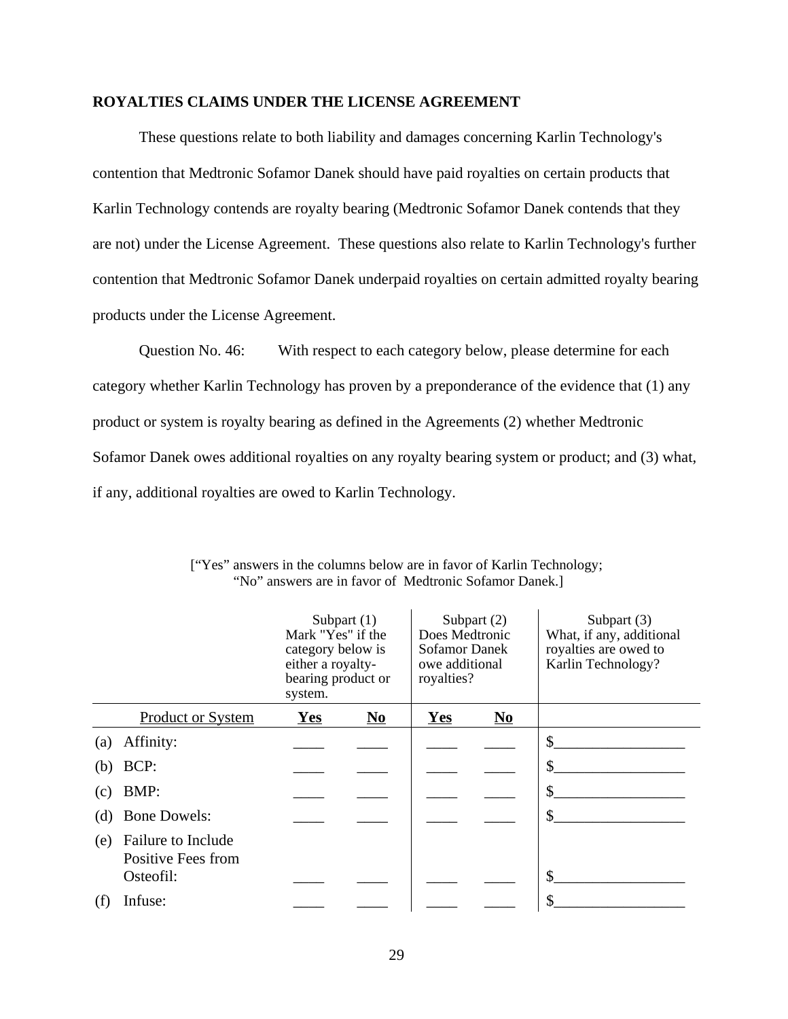#### **ROYALTIES CLAIMS UNDER THE LICENSE AGREEMENT**

These questions relate to both liability and damages concerning Karlin Technology's contention that Medtronic Sofamor Danek should have paid royalties on certain products that Karlin Technology contends are royalty bearing (Medtronic Sofamor Danek contends that they are not) under the License Agreement. These questions also relate to Karlin Technology's further contention that Medtronic Sofamor Danek underpaid royalties on certain admitted royalty bearing products under the License Agreement.

Question No. 46: With respect to each category below, please determine for each category whether Karlin Technology has proven by a preponderance of the evidence that (1) any product or system is royalty bearing as defined in the Agreements (2) whether Medtronic Sofamor Danek owes additional royalties on any royalty bearing system or product; and (3) what, if any, additional royalties are owed to Karlin Technology.

|     |                                                       | Mark "Yes" if the<br>category below is<br>either a royalty-<br>bearing product or<br>system. | Subpart $(1)$                      | Does Medtronic<br>Sofamor Danek<br>owe additional<br>royalties? | Subpart $(2)$                      | Subpart (3)<br>What, if any, additional<br>royalties are owed to<br>Karlin Technology? |
|-----|-------------------------------------------------------|----------------------------------------------------------------------------------------------|------------------------------------|-----------------------------------------------------------------|------------------------------------|----------------------------------------------------------------------------------------|
|     | <b>Product or System</b>                              | <b>Yes</b>                                                                                   | $\underline{\mathbf{N}\mathbf{o}}$ | <b>Yes</b>                                                      | $\underline{\mathbf{N}\mathbf{o}}$ |                                                                                        |
| (a) | Affinity:                                             |                                                                                              |                                    |                                                                 |                                    | \$                                                                                     |
| (b) | BCP:                                                  |                                                                                              |                                    |                                                                 |                                    | \$                                                                                     |
| (c) | BMP:                                                  |                                                                                              |                                    |                                                                 |                                    | \$                                                                                     |
| (d) | <b>Bone Dowels:</b>                                   |                                                                                              |                                    |                                                                 |                                    | \$                                                                                     |
| (e) | Failure to Include<br>Positive Fees from<br>Osteofil: |                                                                                              |                                    |                                                                 |                                    | \$                                                                                     |
| (t) | Infuse:                                               |                                                                                              |                                    |                                                                 |                                    | \$                                                                                     |

| ["Yes" answers in the columns below are in favor of Karlin Technology; |
|------------------------------------------------------------------------|
| "No" answers are in favor of Medtronic Sofamor Danek.]                 |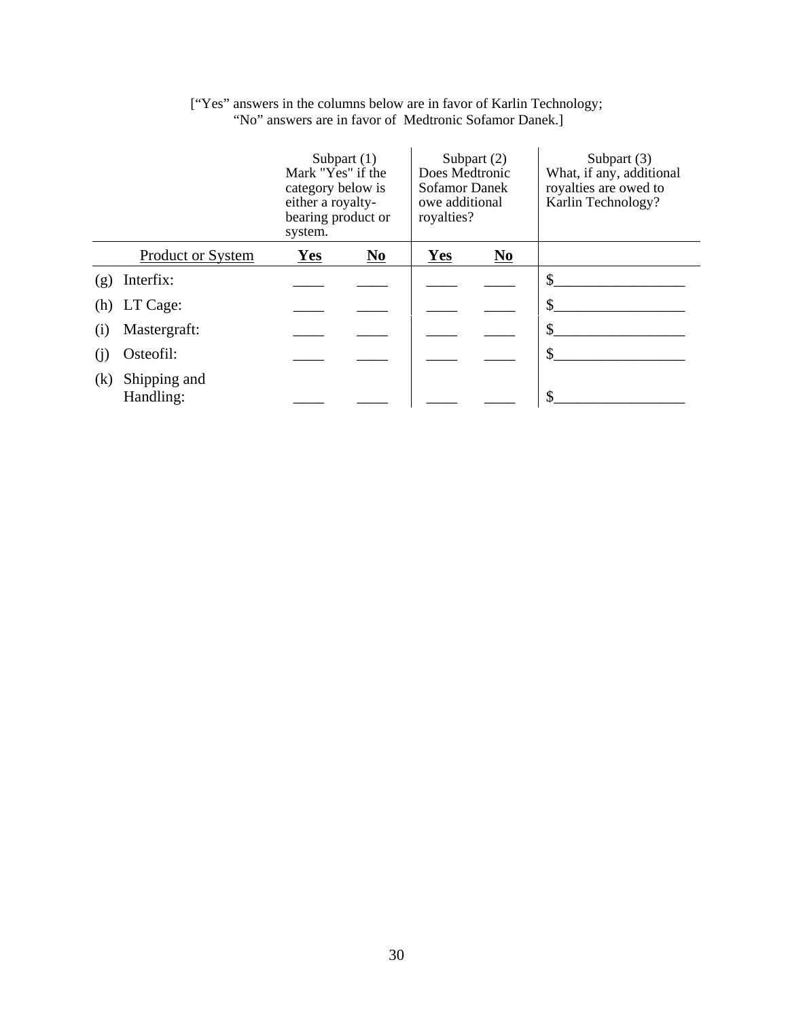|     |                           | Mark "Yes" if the<br>category below is<br>either a royalty-<br>bearing product or<br>system. | Subpart $(1)$                      | Does Medtronic<br><b>Sofamor Danek</b><br>owe additional<br>royalties? | Subpart (2) | Subpart (3)<br>What, if any, additional<br>royalties are owed to<br>Karlin Technology? |
|-----|---------------------------|----------------------------------------------------------------------------------------------|------------------------------------|------------------------------------------------------------------------|-------------|----------------------------------------------------------------------------------------|
|     | <b>Product or System</b>  | Yes                                                                                          | $\underline{\mathbf{N}\mathbf{o}}$ | Yes                                                                    | $No$        |                                                                                        |
| (g) | Interfix:                 |                                                                                              |                                    |                                                                        |             | \$                                                                                     |
|     | (h) LT Cage:              |                                                                                              |                                    |                                                                        |             | \$                                                                                     |
| (1) | Mastergraft:              |                                                                                              |                                    |                                                                        |             | \$                                                                                     |
| (1) | Osteofil:                 |                                                                                              |                                    |                                                                        |             | \$                                                                                     |
| (k) | Shipping and<br>Handling: |                                                                                              |                                    |                                                                        |             | \$                                                                                     |

### ["Yes" answers in the columns below are in favor of Karlin Technology; "No" answers are in favor of Medtronic Sofamor Danek.]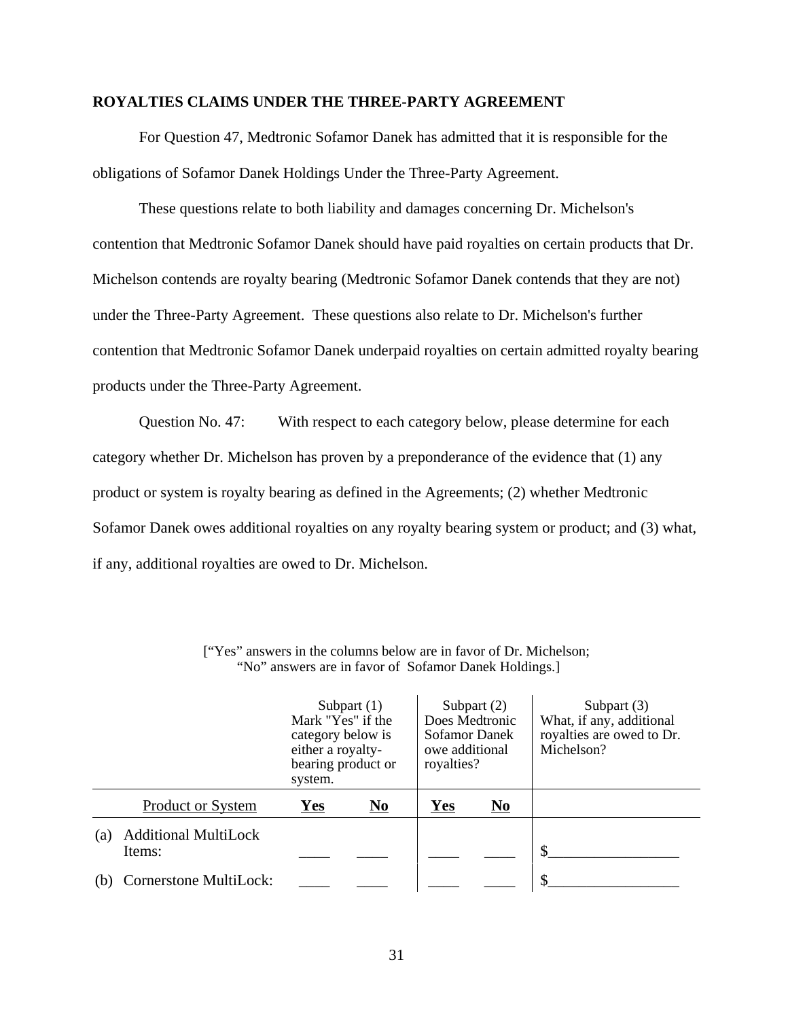## **ROYALTIES CLAIMS UNDER THE THREE-PARTY AGREEMENT**

For Question 47, Medtronic Sofamor Danek has admitted that it is responsible for the obligations of Sofamor Danek Holdings Under the Three-Party Agreement.

These questions relate to both liability and damages concerning Dr. Michelson's contention that Medtronic Sofamor Danek should have paid royalties on certain products that Dr. Michelson contends are royalty bearing (Medtronic Sofamor Danek contends that they are not) under the Three-Party Agreement. These questions also relate to Dr. Michelson's further contention that Medtronic Sofamor Danek underpaid royalties on certain admitted royalty bearing products under the Three-Party Agreement.

Question No. 47: With respect to each category below, please determine for each category whether Dr. Michelson has proven by a preponderance of the evidence that (1) any product or system is royalty bearing as defined in the Agreements; (2) whether Medtronic Sofamor Danek owes additional royalties on any royalty bearing system or product; and (3) what, if any, additional royalties are owed to Dr. Michelson.

|     |                                       | Mark "Yes" if the<br>category below is<br>either a royalty-<br>bearing product or<br>system. | Subpart $(1)$ | Does Medtronic<br>Sofamor Danek<br>owe additional<br>royalties? | Subpart $(2)$ | Subpart $(3)$<br>What, if any, additional<br>royalties are owed to Dr.<br>Michelson? |
|-----|---------------------------------------|----------------------------------------------------------------------------------------------|---------------|-----------------------------------------------------------------|---------------|--------------------------------------------------------------------------------------|
|     | <b>Product or System</b>              | Yes                                                                                          | $No$          | Yes                                                             | $No$          |                                                                                      |
| (a) | <b>Additional MultiLock</b><br>Items: |                                                                                              |               |                                                                 |               | \$                                                                                   |
| (b) | Cornerstone MultiLock:                |                                                                                              |               |                                                                 |               | \$                                                                                   |

["Yes" answers in the columns below are in favor of Dr. Michelson; "No" answers are in favor of Sofamor Danek Holdings.]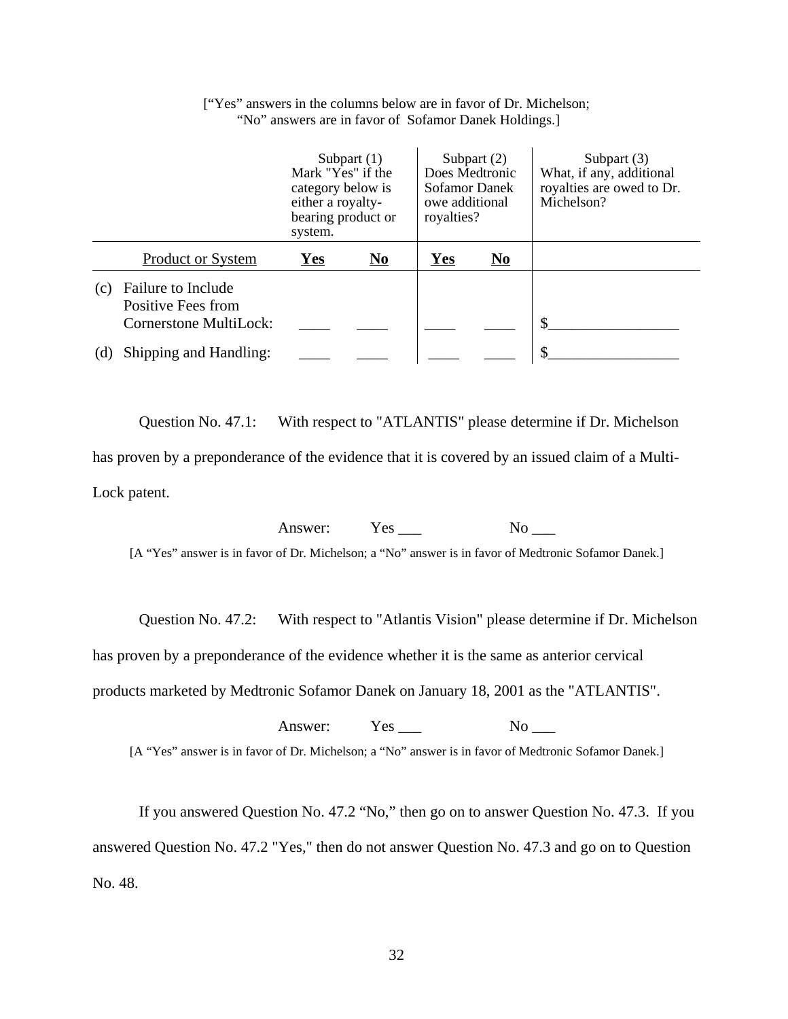|     |                                                                    | Mark "Yes" if the<br>category below is<br>either a royalty-<br>bearing product or<br>system. | Subpart $(1)$ | Does Medtronic<br><b>Sofamor Danek</b><br>owe additional<br>royalties? | Subpart $(2)$ | Subpart $(3)$<br>What, if any, additional<br>royalties are owed to Dr.<br>Michelson? |
|-----|--------------------------------------------------------------------|----------------------------------------------------------------------------------------------|---------------|------------------------------------------------------------------------|---------------|--------------------------------------------------------------------------------------|
|     | <b>Product or System</b>                                           | Yes                                                                                          | No.           | <b>Yes</b>                                                             | $No$          |                                                                                      |
| (c) | Failure to Include<br>Positive Fees from<br>Cornerstone MultiLock: |                                                                                              |               |                                                                        |               | S                                                                                    |
| (d) | Shipping and Handling:                                             |                                                                                              |               |                                                                        |               |                                                                                      |

["Yes" answers in the columns below are in favor of Dr. Michelson; "No" answers are in favor of Sofamor Danek Holdings.]

Question No. 47.1: With respect to "ATLANTIS" please determine if Dr. Michelson has proven by a preponderance of the evidence that it is covered by an issued claim of a Multi-Lock patent.

Answer: Yes \_\_\_ No \_\_\_

[A "Yes" answer is in favor of Dr. Michelson; a "No" answer is in favor of Medtronic Sofamor Danek.]

Question No. 47.2: With respect to "Atlantis Vision" please determine if Dr. Michelson

has proven by a preponderance of the evidence whether it is the same as anterior cervical

products marketed by Medtronic Sofamor Danek on January 18, 2001 as the "ATLANTIS".

| Answer: Yes | $N_{\Omega}$                                                                                         |
|-------------|------------------------------------------------------------------------------------------------------|
|             | [A "Yes" answer is in favor of Dr. Michelson; a "No" answer is in favor of Medtronic Sofamor Danek.] |

If you answered Question No. 47.2 "No," then go on to answer Question No. 47.3. If you answered Question No. 47.2 "Yes," then do not answer Question No. 47.3 and go on to Question No. 48.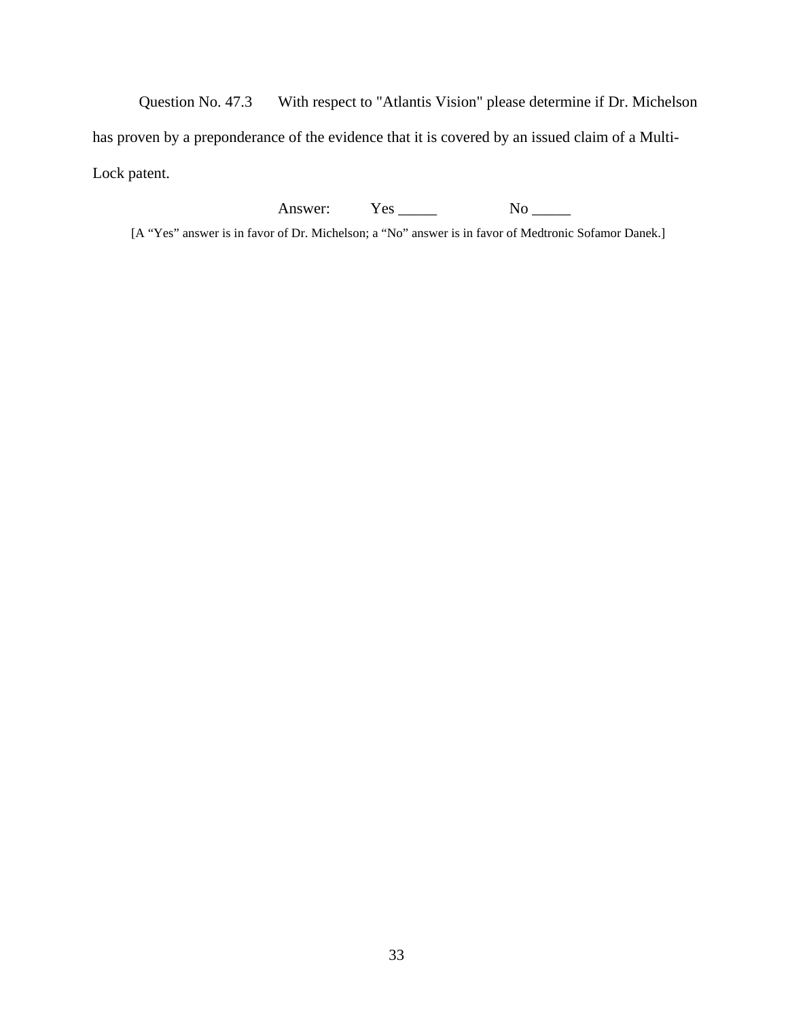Question No. 47.3 With respect to "Atlantis Vision" please determine if Dr. Michelson has proven by a preponderance of the evidence that it is covered by an issued claim of a Multi-Lock patent.

Answer: Yes \_\_\_\_\_ No \_\_\_\_\_

[A "Yes" answer is in favor of Dr. Michelson; a "No" answer is in favor of Medtronic Sofamor Danek.]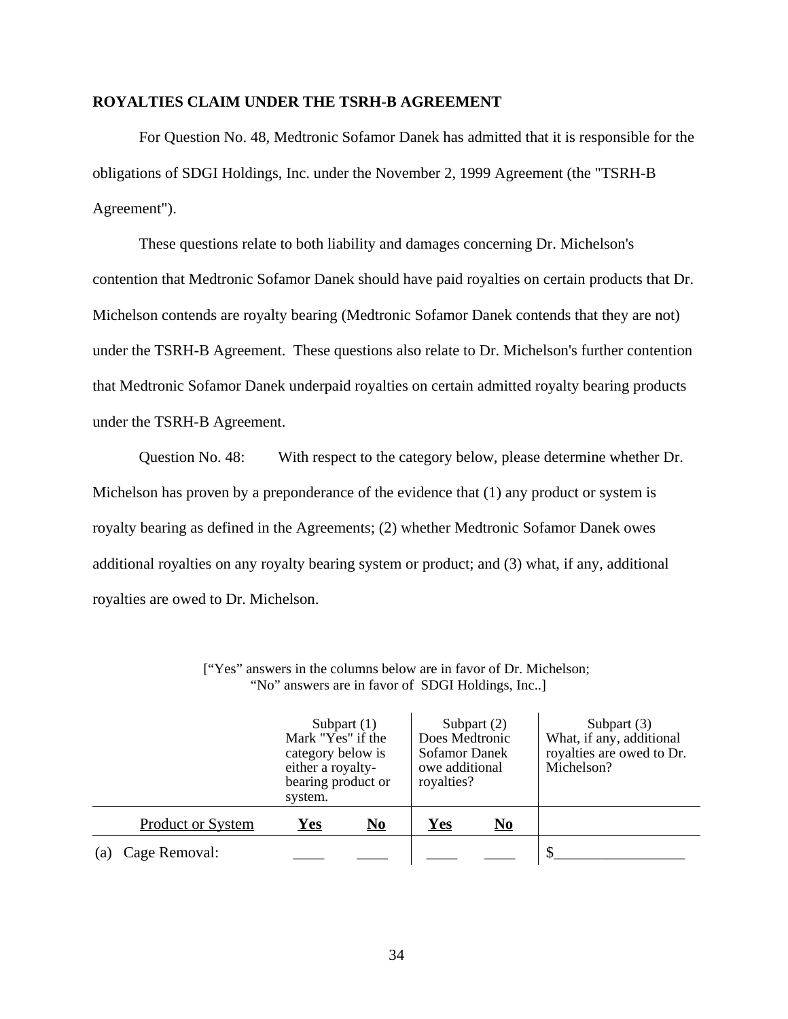#### **ROYALTIES CLAIM UNDER THE TSRH-B AGREEMENT**

For Question No. 48, Medtronic Sofamor Danek has admitted that it is responsible for the obligations of SDGI Holdings, Inc. under the November 2, 1999 Agreement (the "TSRH-B Agreement").

These questions relate to both liability and damages concerning Dr. Michelson's contention that Medtronic Sofamor Danek should have paid royalties on certain products that Dr. Michelson contends are royalty bearing (Medtronic Sofamor Danek contends that they are not) under the TSRH-B Agreement. These questions also relate to Dr. Michelson's further contention that Medtronic Sofamor Danek underpaid royalties on certain admitted royalty bearing products under the TSRH-B Agreement.

Question No. 48: With respect to the category below, please determine whether Dr. Michelson has proven by a preponderance of the evidence that (1) any product or system is royalty bearing as defined in the Agreements; (2) whether Medtronic Sofamor Danek owes additional royalties on any royalty bearing system or product; and (3) what, if any, additional royalties are owed to Dr. Michelson.

|     |                   | Mark "Yes" if the<br>category below is<br>either a royalty-<br>bearing product or<br>system. | Subpart $(1)$             | Does Medtronic<br>Sofamor Danek<br>owe additional<br>royalties? | Subpart $(2)$             | Subpart $(3)$<br>What, if any, additional<br>royalties are owed to Dr.<br>Michelson? |
|-----|-------------------|----------------------------------------------------------------------------------------------|---------------------------|-----------------------------------------------------------------|---------------------------|--------------------------------------------------------------------------------------|
|     | Product or System | Yes                                                                                          | $\underline{\mathbf{No}}$ | <u>Yes</u>                                                      | $\underline{\mathrm{No}}$ |                                                                                      |
| (a) | Cage Removal:     |                                                                                              |                           |                                                                 |                           |                                                                                      |

["Yes" answers in the columns below are in favor of Dr. Michelson; "No" answers are in favor of SDGI Holdings, Inc..]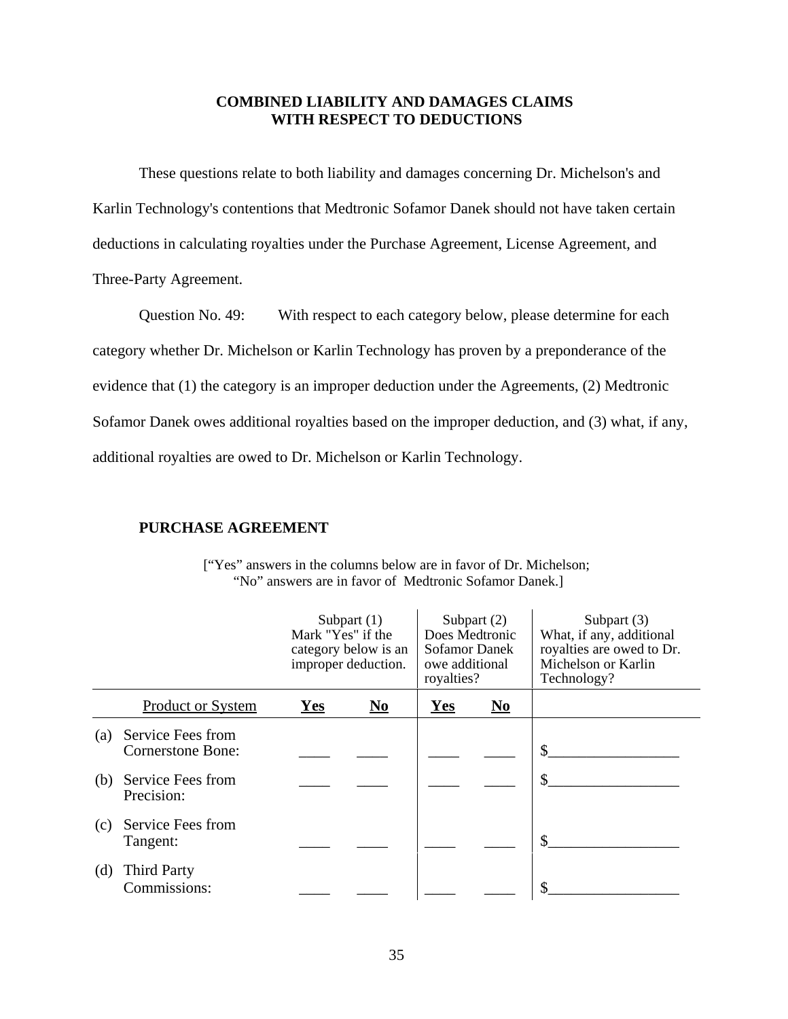# **COMBINED LIABILITY AND DAMAGES CLAIMS WITH RESPECT TO DEDUCTIONS**

These questions relate to both liability and damages concerning Dr. Michelson's and Karlin Technology's contentions that Medtronic Sofamor Danek should not have taken certain deductions in calculating royalties under the Purchase Agreement, License Agreement, and Three-Party Agreement.

Question No. 49: With respect to each category below, please determine for each category whether Dr. Michelson or Karlin Technology has proven by a preponderance of the evidence that (1) the category is an improper deduction under the Agreements, (2) Medtronic Sofamor Danek owes additional royalties based on the improper deduction, and (3) what, if any, additional royalties are owed to Dr. Michelson or Karlin Technology.

#### **PURCHASE AGREEMENT**

|     |                                        | Subpart $(1)$<br>Mark "Yes" if the<br>category below is an<br>improper deduction. |                | Subpart $(2)$<br>Does Medtronic<br>Sofamor Danek<br>owe additional<br>royalties? |                                      | Subpart $(3)$<br>What, if any, additional<br>royalties are owed to Dr.<br>Michelson or Karlin<br>Technology? |
|-----|----------------------------------------|-----------------------------------------------------------------------------------|----------------|----------------------------------------------------------------------------------|--------------------------------------|--------------------------------------------------------------------------------------------------------------|
|     | <b>Product or System</b>               | Yes                                                                               | N <sub>0</sub> | Yes                                                                              | $\overline{\mathbf{N}}$ <sub>0</sub> |                                                                                                              |
| (a) | Service Fees from<br>Cornerstone Bone: |                                                                                   |                |                                                                                  |                                      | \$                                                                                                           |
| (b) | Service Fees from<br>Precision:        |                                                                                   |                |                                                                                  |                                      | \$                                                                                                           |
| (c) | Service Fees from<br>Tangent:          |                                                                                   |                |                                                                                  |                                      | \$                                                                                                           |
| (d) | <b>Third Party</b><br>Commissions:     |                                                                                   |                |                                                                                  |                                      | \$                                                                                                           |

["Yes" answers in the columns below are in favor of Dr. Michelson; "No" answers are in favor of Medtronic Sofamor Danek.]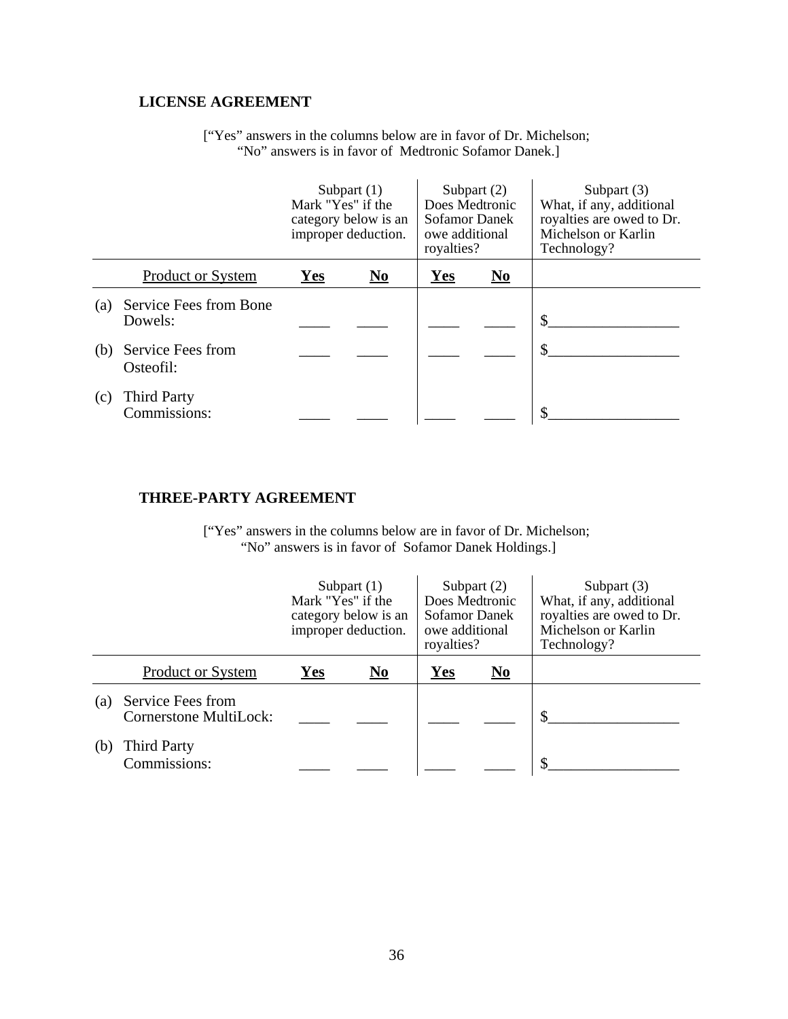# **LICENSE AGREEMENT**

["Yes" answers in the columns below are in favor of Dr. Michelson; "No" answers is in favor of Medtronic Sofamor Danek.]

|     |                                    | Mark "Yes" if the | Subpart $(1)$<br>category below is an<br>improper deduction. | Does Medtronic<br><b>Sofamor Danek</b><br>owe additional<br>royalties? | Subpart $(2)$           | Subpart $(3)$<br>What, if any, additional<br>royalties are owed to Dr.<br>Michelson or Karlin<br>Technology? |
|-----|------------------------------------|-------------------|--------------------------------------------------------------|------------------------------------------------------------------------|-------------------------|--------------------------------------------------------------------------------------------------------------|
|     | <b>Product or System</b>           | Yes               | $\mathbf{N}\mathbf{0}$                                       | <b>Yes</b>                                                             | $\overline{\mathbf{N}}$ |                                                                                                              |
| (a) | Service Fees from Bone<br>Dowels:  |                   |                                                              |                                                                        |                         | \$                                                                                                           |
| (b) | Service Fees from<br>Osteofil:     |                   |                                                              |                                                                        |                         |                                                                                                              |
| (c) | <b>Third Party</b><br>Commissions: |                   |                                                              |                                                                        |                         | ¢                                                                                                            |

# **THREE-PARTY AGREEMENT**

["Yes" answers in the columns below are in favor of Dr. Michelson; "No" answers is in favor of Sofamor Danek Holdings.]

|     |                                                    | Mark "Yes" if the | Subpart $(1)$<br>category below is an<br>improper deduction. | Does Medtronic<br>Sofamor Danek<br>owe additional<br>royalties? | Subpart $(2)$                      | Subpart (3)<br>What, if any, additional<br>royalties are owed to Dr.<br>Michelson or Karlin<br>Technology? |
|-----|----------------------------------------------------|-------------------|--------------------------------------------------------------|-----------------------------------------------------------------|------------------------------------|------------------------------------------------------------------------------------------------------------|
|     | <b>Product or System</b>                           | Yes               | No                                                           | Yes                                                             | $\underline{\mathbf{N}\mathbf{o}}$ |                                                                                                            |
| (a) | Service Fees from<br><b>Cornerstone MultiLock:</b> |                   |                                                              |                                                                 |                                    |                                                                                                            |
| (b) | <b>Third Party</b><br>Commissions:                 |                   |                                                              |                                                                 |                                    |                                                                                                            |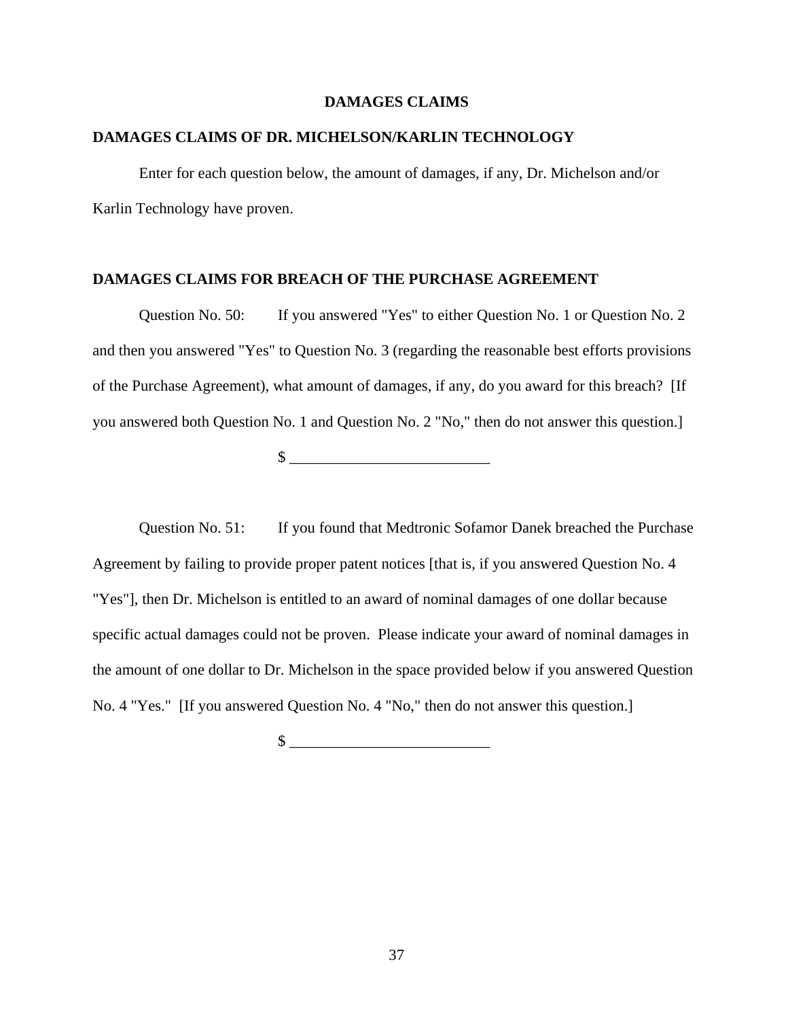#### **DAMAGES CLAIMS**

# **DAMAGES CLAIMS OF DR. MICHELSON/KARLIN TECHNOLOGY**

Enter for each question below, the amount of damages, if any, Dr. Michelson and/or Karlin Technology have proven.

#### **DAMAGES CLAIMS FOR BREACH OF THE PURCHASE AGREEMENT**

Question No. 50: If you answered "Yes" to either Question No. 1 or Question No. 2 and then you answered "Yes" to Question No. 3 (regarding the reasonable best efforts provisions of the Purchase Agreement), what amount of damages, if any, do you award for this breach? [If you answered both Question No. 1 and Question No. 2 "No," then do not answer this question.]

 $\frac{1}{2}$   $\frac{1}{2}$   $\frac{1}{2}$   $\frac{1}{2}$   $\frac{1}{2}$   $\frac{1}{2}$   $\frac{1}{2}$   $\frac{1}{2}$   $\frac{1}{2}$   $\frac{1}{2}$   $\frac{1}{2}$   $\frac{1}{2}$   $\frac{1}{2}$   $\frac{1}{2}$   $\frac{1}{2}$   $\frac{1}{2}$   $\frac{1}{2}$   $\frac{1}{2}$   $\frac{1}{2}$   $\frac{1}{2}$   $\frac{1}{2}$   $\frac{1}{2}$ 

Question No. 51: If you found that Medtronic Sofamor Danek breached the Purchase Agreement by failing to provide proper patent notices [that is, if you answered Question No. 4 "Yes"], then Dr. Michelson is entitled to an award of nominal damages of one dollar because specific actual damages could not be proven. Please indicate your award of nominal damages in the amount of one dollar to Dr. Michelson in the space provided below if you answered Question No. 4 "Yes." [If you answered Question No. 4 "No," then do not answer this question.]

 $\mathbb{S}$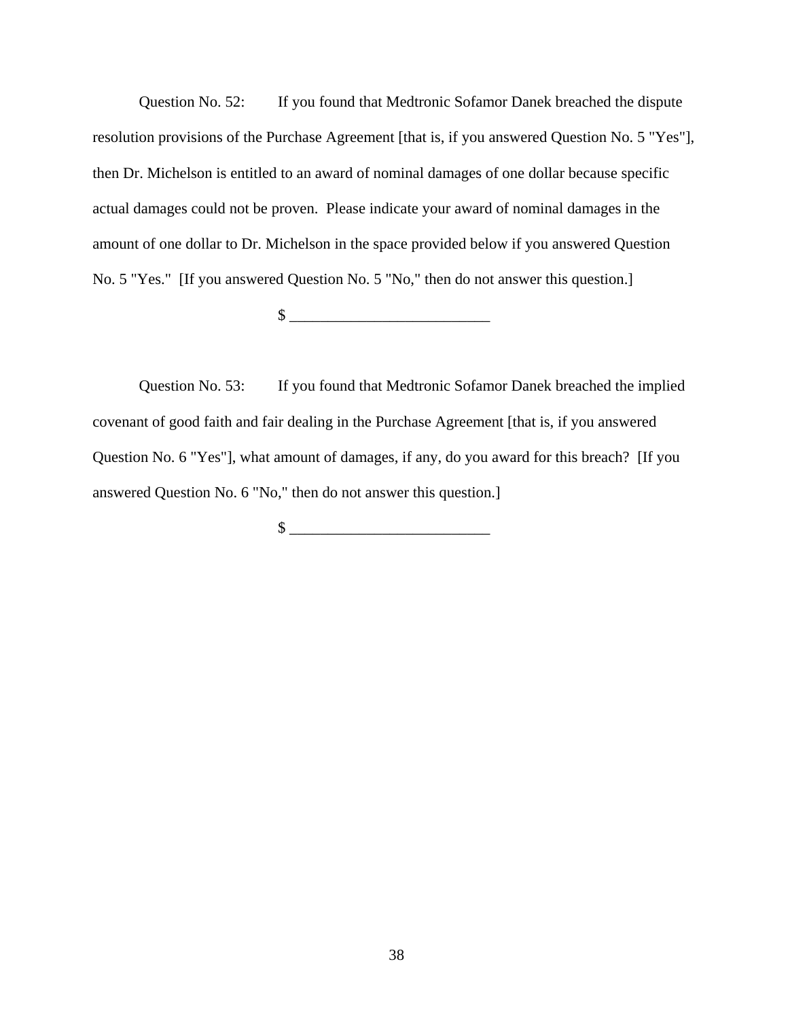Question No. 52: If you found that Medtronic Sofamor Danek breached the dispute resolution provisions of the Purchase Agreement [that is, if you answered Question No. 5 "Yes"], then Dr. Michelson is entitled to an award of nominal damages of one dollar because specific actual damages could not be proven. Please indicate your award of nominal damages in the amount of one dollar to Dr. Michelson in the space provided below if you answered Question No. 5 "Yes." [If you answered Question No. 5 "No," then do not answer this question.]

 $\frac{1}{2}$   $\frac{1}{2}$   $\frac{1}{2}$   $\frac{1}{2}$   $\frac{1}{2}$   $\frac{1}{2}$   $\frac{1}{2}$   $\frac{1}{2}$   $\frac{1}{2}$   $\frac{1}{2}$   $\frac{1}{2}$   $\frac{1}{2}$   $\frac{1}{2}$   $\frac{1}{2}$   $\frac{1}{2}$   $\frac{1}{2}$   $\frac{1}{2}$   $\frac{1}{2}$   $\frac{1}{2}$   $\frac{1}{2}$   $\frac{1}{2}$   $\frac{1}{2}$ 

Question No. 53: If you found that Medtronic Sofamor Danek breached the implied covenant of good faith and fair dealing in the Purchase Agreement [that is, if you answered Question No. 6 "Yes"], what amount of damages, if any, do you award for this breach? [If you answered Question No. 6 "No," then do not answer this question.]

 $\frac{1}{2}$   $\frac{1}{2}$   $\frac{1}{2}$   $\frac{1}{2}$   $\frac{1}{2}$   $\frac{1}{2}$   $\frac{1}{2}$   $\frac{1}{2}$   $\frac{1}{2}$   $\frac{1}{2}$   $\frac{1}{2}$   $\frac{1}{2}$   $\frac{1}{2}$   $\frac{1}{2}$   $\frac{1}{2}$   $\frac{1}{2}$   $\frac{1}{2}$   $\frac{1}{2}$   $\frac{1}{2}$   $\frac{1}{2}$   $\frac{1}{2}$   $\frac{1}{2}$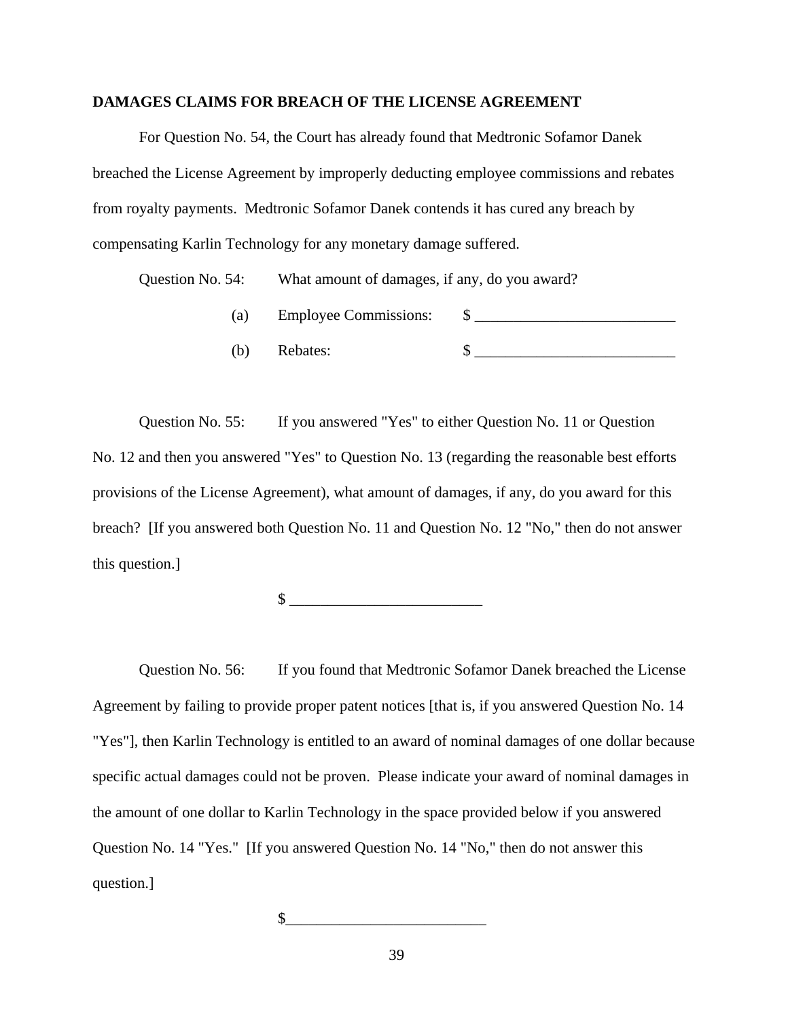#### **DAMAGES CLAIMS FOR BREACH OF THE LICENSE AGREEMENT**

For Question No. 54, the Court has already found that Medtronic Sofamor Danek breached the License Agreement by improperly deducting employee commissions and rebates from royalty payments. Medtronic Sofamor Danek contends it has cured any breach by compensating Karlin Technology for any monetary damage suffered.

Question No. 54: What amount of damages, if any, do you award?

(a) Employee Commissions:  $\qquad$   $\qquad$   $\qquad$ (b) Rebates:  $\qquad \qquad$  \[ \]

Question No. 55: If you answered "Yes" to either Question No. 11 or Question No. 12 and then you answered "Yes" to Question No. 13 (regarding the reasonable best efforts provisions of the License Agreement), what amount of damages, if any, do you award for this breach? [If you answered both Question No. 11 and Question No. 12 "No," then do not answer this question.]

 $\frac{1}{2}$   $\frac{1}{2}$   $\frac{1}{2}$   $\frac{1}{2}$   $\frac{1}{2}$   $\frac{1}{2}$   $\frac{1}{2}$   $\frac{1}{2}$   $\frac{1}{2}$   $\frac{1}{2}$   $\frac{1}{2}$   $\frac{1}{2}$   $\frac{1}{2}$   $\frac{1}{2}$   $\frac{1}{2}$   $\frac{1}{2}$   $\frac{1}{2}$   $\frac{1}{2}$   $\frac{1}{2}$   $\frac{1}{2}$   $\frac{1}{2}$   $\frac{1}{2}$ 

Question No. 56: If you found that Medtronic Sofamor Danek breached the License Agreement by failing to provide proper patent notices [that is, if you answered Question No. 14 "Yes"], then Karlin Technology is entitled to an award of nominal damages of one dollar because specific actual damages could not be proven. Please indicate your award of nominal damages in the amount of one dollar to Karlin Technology in the space provided below if you answered Question No. 14 "Yes." [If you answered Question No. 14 "No," then do not answer this question.]

 $\mathbb$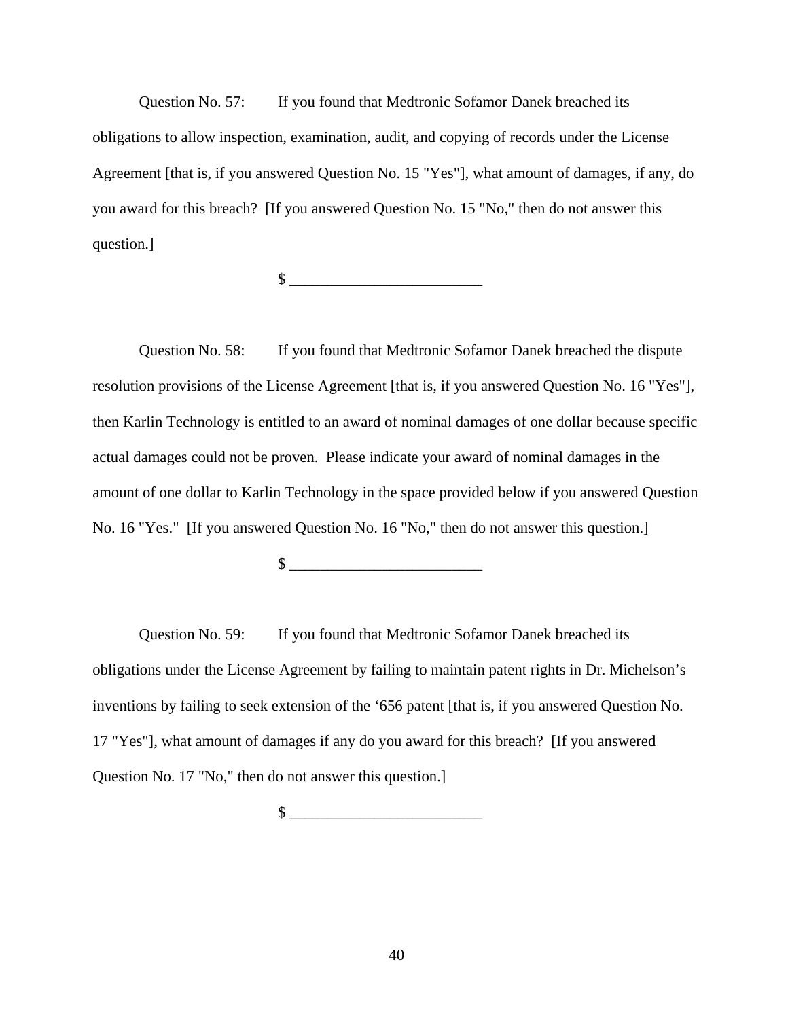Question No. 57: If you found that Medtronic Sofamor Danek breached its obligations to allow inspection, examination, audit, and copying of records under the License Agreement [that is, if you answered Question No. 15 "Yes"], what amount of damages, if any, do you award for this breach? [If you answered Question No. 15 "No," then do not answer this question.]

 $\frac{1}{2}$ 

Question No. 58: If you found that Medtronic Sofamor Danek breached the dispute resolution provisions of the License Agreement [that is, if you answered Question No. 16 "Yes"], then Karlin Technology is entitled to an award of nominal damages of one dollar because specific actual damages could not be proven. Please indicate your award of nominal damages in the amount of one dollar to Karlin Technology in the space provided below if you answered Question No. 16 "Yes." [If you answered Question No. 16 "No," then do not answer this question.]

 $\frac{\text{S}}{\text{S}}$ 

Question No. 59: If you found that Medtronic Sofamor Danek breached its obligations under the License Agreement by failing to maintain patent rights in Dr. Michelson's inventions by failing to seek extension of the '656 patent [that is, if you answered Question No. 17 "Yes"], what amount of damages if any do you award for this breach? [If you answered Question No. 17 "No," then do not answer this question.]

 $\frac{1}{2}$   $\frac{1}{2}$   $\frac{1}{2}$   $\frac{1}{2}$   $\frac{1}{2}$   $\frac{1}{2}$   $\frac{1}{2}$   $\frac{1}{2}$   $\frac{1}{2}$   $\frac{1}{2}$   $\frac{1}{2}$   $\frac{1}{2}$   $\frac{1}{2}$   $\frac{1}{2}$   $\frac{1}{2}$   $\frac{1}{2}$   $\frac{1}{2}$   $\frac{1}{2}$   $\frac{1}{2}$   $\frac{1}{2}$   $\frac{1}{2}$   $\frac{1}{2}$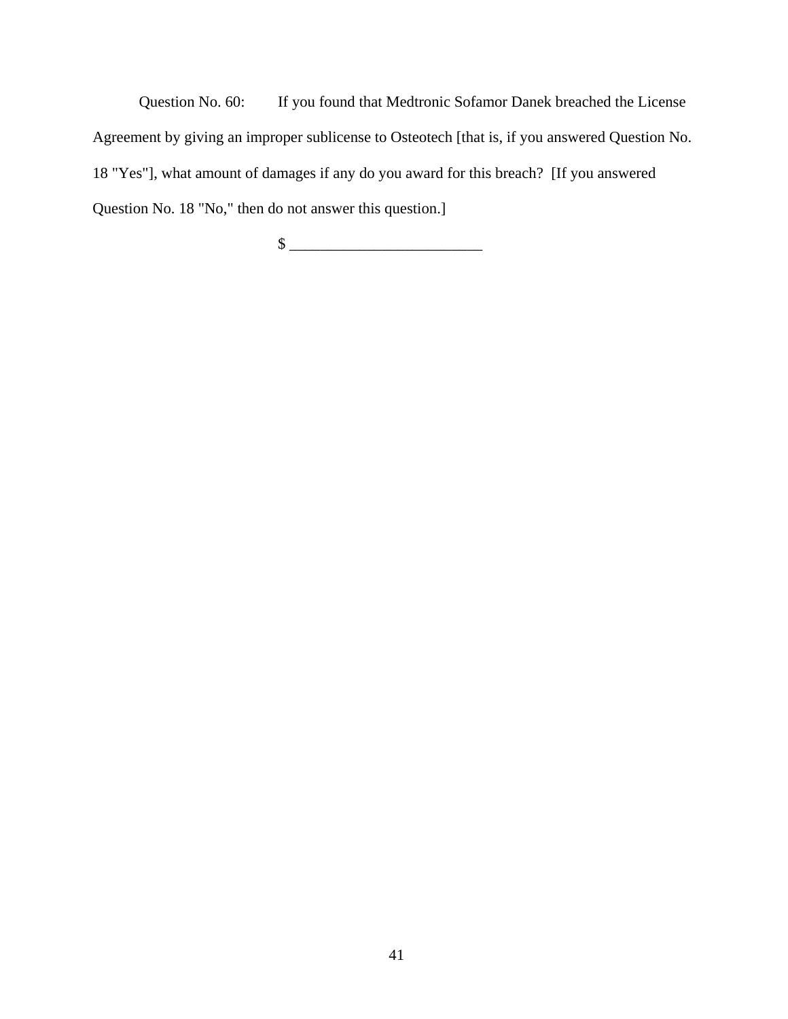Question No. 60: If you found that Medtronic Sofamor Danek breached the License Agreement by giving an improper sublicense to Osteotech [that is, if you answered Question No. 18 "Yes"], what amount of damages if any do you award for this breach? [If you answered Question No. 18 "No," then do not answer this question.]

 $\frac{1}{2}$   $\frac{1}{2}$   $\frac{1}{2}$   $\frac{1}{2}$   $\frac{1}{2}$   $\frac{1}{2}$   $\frac{1}{2}$   $\frac{1}{2}$   $\frac{1}{2}$   $\frac{1}{2}$   $\frac{1}{2}$   $\frac{1}{2}$   $\frac{1}{2}$   $\frac{1}{2}$   $\frac{1}{2}$   $\frac{1}{2}$   $\frac{1}{2}$   $\frac{1}{2}$   $\frac{1}{2}$   $\frac{1}{2}$   $\frac{1}{2}$   $\frac{1}{2}$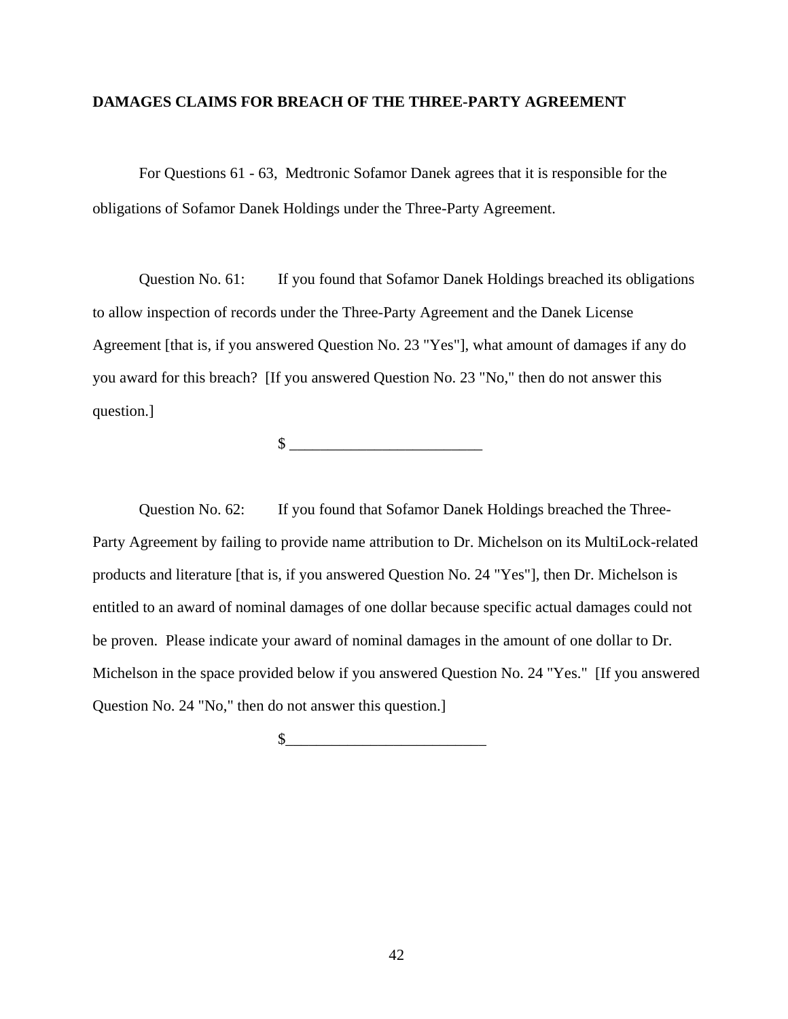### **DAMAGES CLAIMS FOR BREACH OF THE THREE-PARTY AGREEMENT**

For Questions 61 - 63, Medtronic Sofamor Danek agrees that it is responsible for the obligations of Sofamor Danek Holdings under the Three-Party Agreement.

Question No. 61: If you found that Sofamor Danek Holdings breached its obligations to allow inspection of records under the Three-Party Agreement and the Danek License Agreement [that is, if you answered Question No. 23 "Yes"], what amount of damages if any do you award for this breach? [If you answered Question No. 23 "No," then do not answer this question.]

 $\frac{\text{S}}{\text{S}}$ 

Question No. 62: If you found that Sofamor Danek Holdings breached the Three-Party Agreement by failing to provide name attribution to Dr. Michelson on its MultiLock-related products and literature [that is, if you answered Question No. 24 "Yes"], then Dr. Michelson is entitled to an award of nominal damages of one dollar because specific actual damages could not be proven. Please indicate your award of nominal damages in the amount of one dollar to Dr. Michelson in the space provided below if you answered Question No. 24 "Yes." [If you answered Question No. 24 "No," then do not answer this question.]

 $\circ$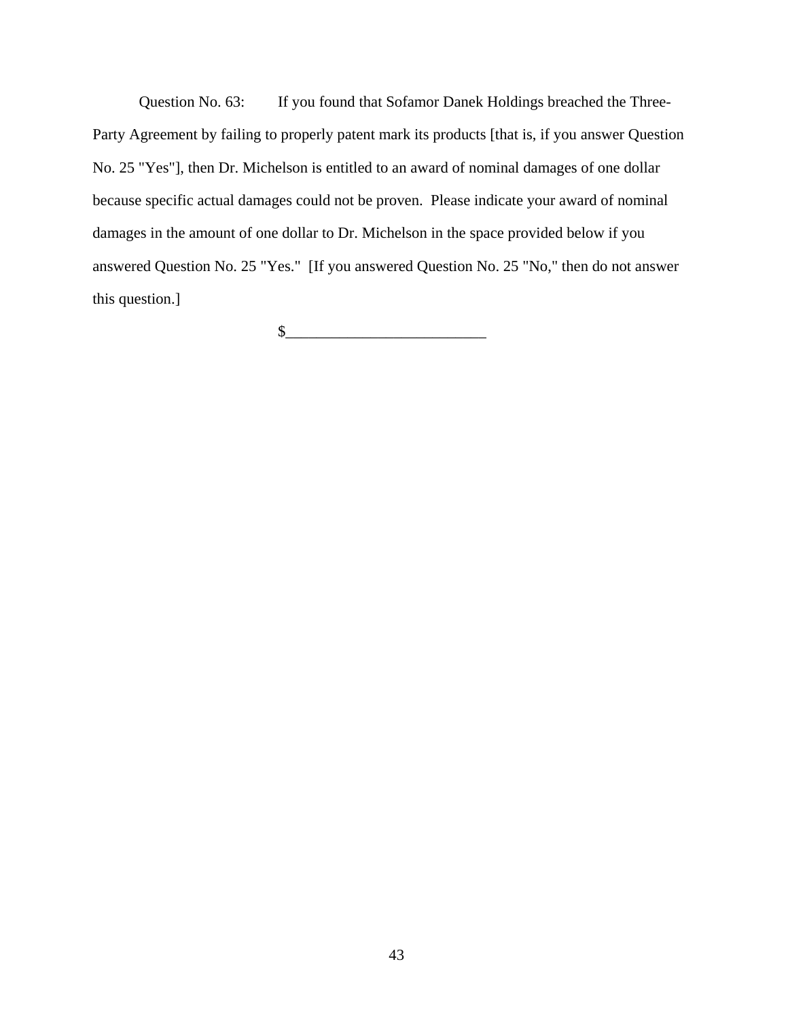Question No. 63: If you found that Sofamor Danek Holdings breached the Three-Party Agreement by failing to properly patent mark its products [that is, if you answer Question No. 25 "Yes"], then Dr. Michelson is entitled to an award of nominal damages of one dollar because specific actual damages could not be proven. Please indicate your award of nominal damages in the amount of one dollar to Dr. Michelson in the space provided below if you answered Question No. 25 "Yes." [If you answered Question No. 25 "No," then do not answer this question.]

 $\frac{1}{2}$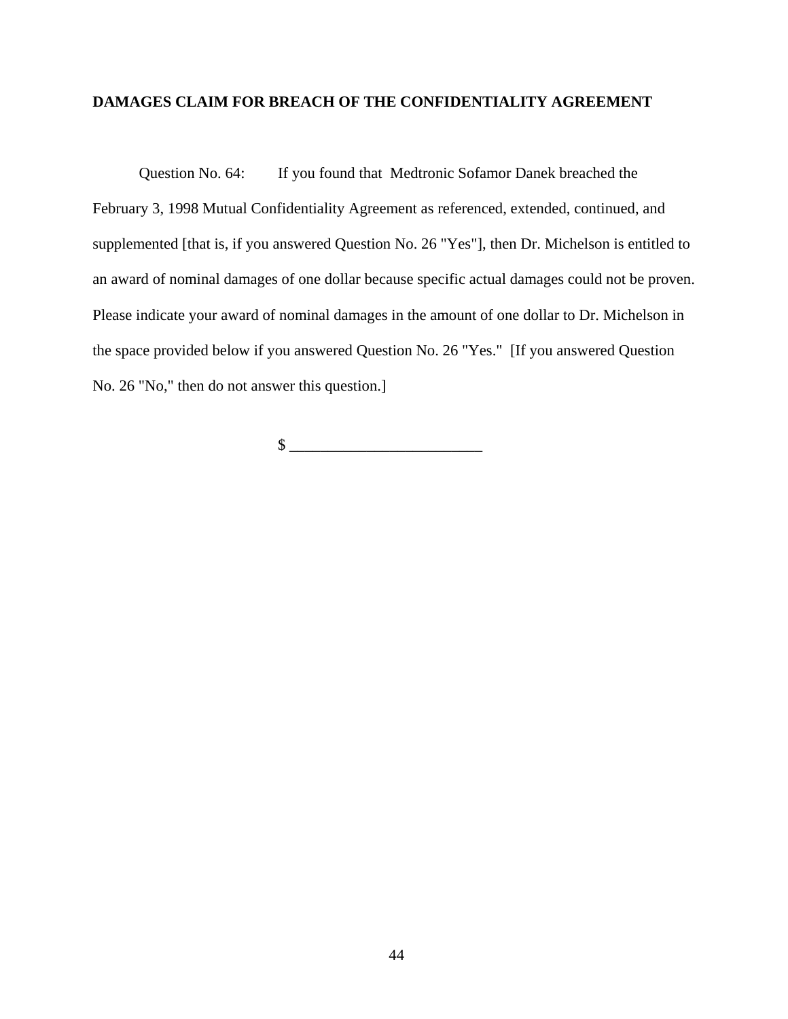# **DAMAGES CLAIM FOR BREACH OF THE CONFIDENTIALITY AGREEMENT**

Question No. 64: If you found that Medtronic Sofamor Danek breached the February 3, 1998 Mutual Confidentiality Agreement as referenced, extended, continued, and supplemented [that is, if you answered Question No. 26 "Yes"], then Dr. Michelson is entitled to an award of nominal damages of one dollar because specific actual damages could not be proven. Please indicate your award of nominal damages in the amount of one dollar to Dr. Michelson in the space provided below if you answered Question No. 26 "Yes." [If you answered Question No. 26 "No," then do not answer this question.]

 $\frac{1}{2}$   $\frac{1}{2}$   $\frac{1}{2}$   $\frac{1}{2}$   $\frac{1}{2}$   $\frac{1}{2}$   $\frac{1}{2}$   $\frac{1}{2}$   $\frac{1}{2}$   $\frac{1}{2}$   $\frac{1}{2}$   $\frac{1}{2}$   $\frac{1}{2}$   $\frac{1}{2}$   $\frac{1}{2}$   $\frac{1}{2}$   $\frac{1}{2}$   $\frac{1}{2}$   $\frac{1}{2}$   $\frac{1}{2}$   $\frac{1}{2}$   $\frac{1}{2}$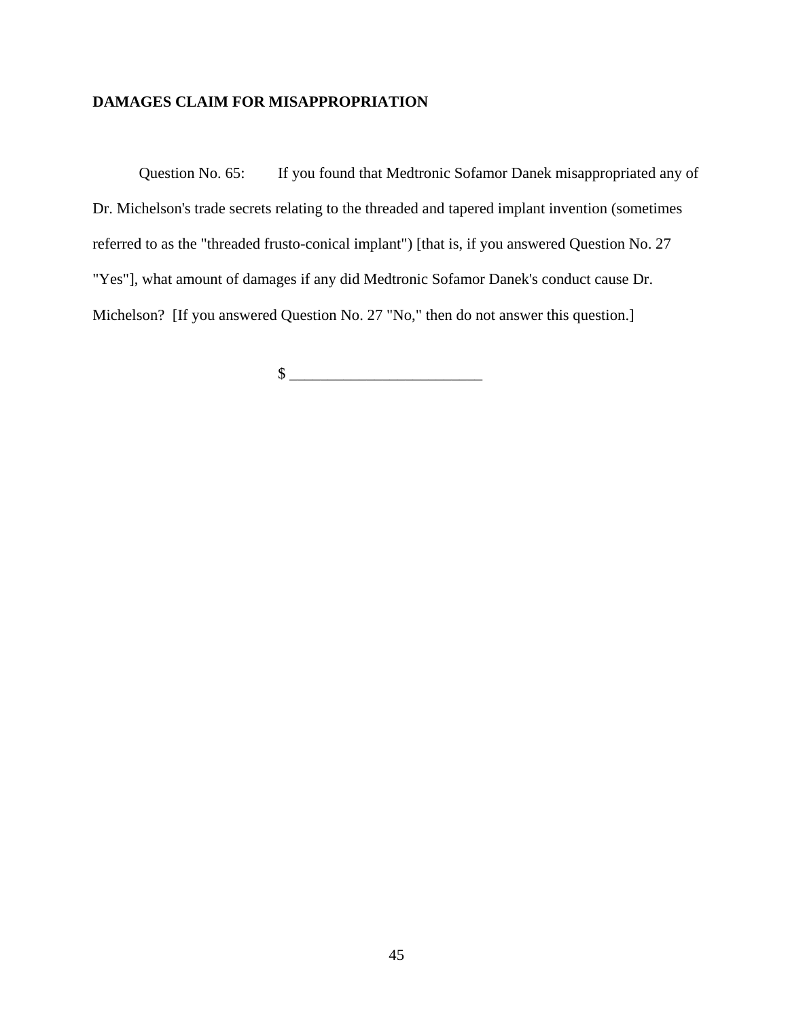# **DAMAGES CLAIM FOR MISAPPROPRIATION**

Question No. 65: If you found that Medtronic Sofamor Danek misappropriated any of Dr. Michelson's trade secrets relating to the threaded and tapered implant invention (sometimes referred to as the "threaded frusto-conical implant") [that is, if you answered Question No. 27 "Yes"], what amount of damages if any did Medtronic Sofamor Danek's conduct cause Dr. Michelson? [If you answered Question No. 27 "No," then do not answer this question.]

 $\frac{1}{2}$   $\frac{1}{2}$   $\frac{1}{2}$   $\frac{1}{2}$   $\frac{1}{2}$   $\frac{1}{2}$   $\frac{1}{2}$   $\frac{1}{2}$   $\frac{1}{2}$   $\frac{1}{2}$   $\frac{1}{2}$   $\frac{1}{2}$   $\frac{1}{2}$   $\frac{1}{2}$   $\frac{1}{2}$   $\frac{1}{2}$   $\frac{1}{2}$   $\frac{1}{2}$   $\frac{1}{2}$   $\frac{1}{2}$   $\frac{1}{2}$   $\frac{1}{2}$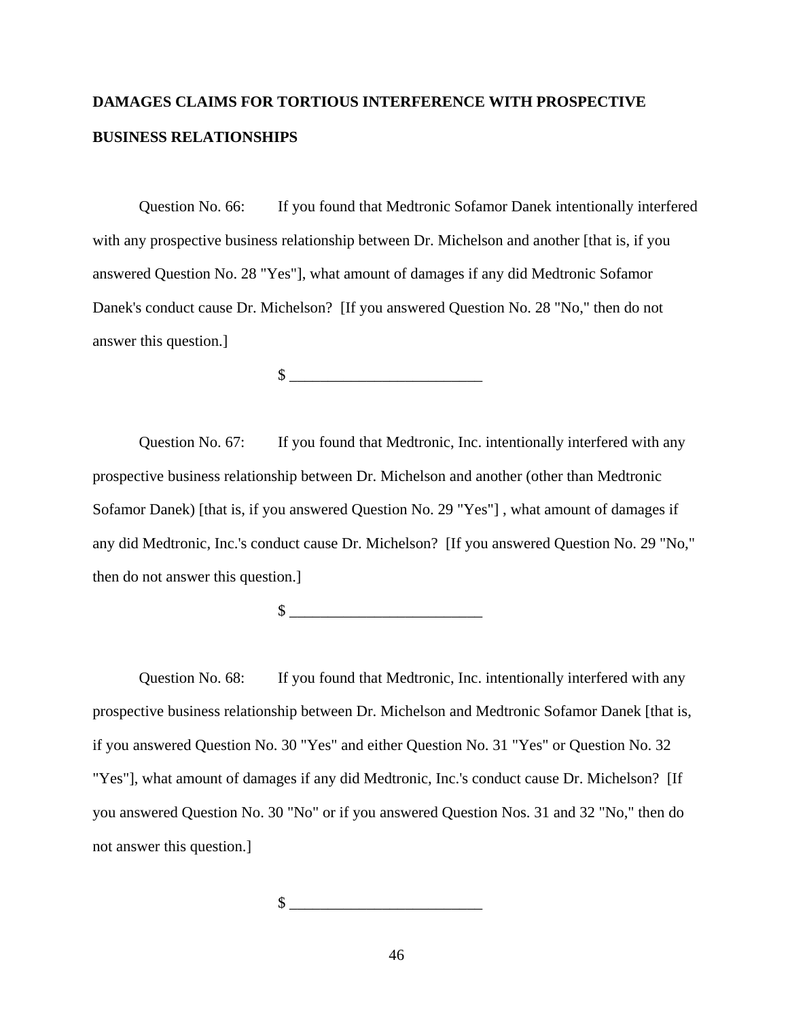# **DAMAGES CLAIMS FOR TORTIOUS INTERFERENCE WITH PROSPECTIVE BUSINESS RELATIONSHIPS**

Question No. 66: If you found that Medtronic Sofamor Danek intentionally interfered with any prospective business relationship between Dr. Michelson and another [that is, if you answered Question No. 28 "Yes"], what amount of damages if any did Medtronic Sofamor Danek's conduct cause Dr. Michelson? [If you answered Question No. 28 "No," then do not answer this question.]

 $\frac{\text{S}}{\text{S}}$ 

Question No. 67: If you found that Medtronic, Inc. intentionally interfered with any prospective business relationship between Dr. Michelson and another (other than Medtronic Sofamor Danek) [that is, if you answered Question No. 29 "Yes"] , what amount of damages if any did Medtronic, Inc.'s conduct cause Dr. Michelson? [If you answered Question No. 29 "No," then do not answer this question.]

 $\frac{1}{2}$ 

Question No. 68: If you found that Medtronic, Inc. intentionally interfered with any prospective business relationship between Dr. Michelson and Medtronic Sofamor Danek [that is, if you answered Question No. 30 "Yes" and either Question No. 31 "Yes" or Question No. 32 "Yes"], what amount of damages if any did Medtronic, Inc.'s conduct cause Dr. Michelson? [If you answered Question No. 30 "No" or if you answered Question Nos. 31 and 32 "No," then do not answer this question.]

 $\frac{1}{2}$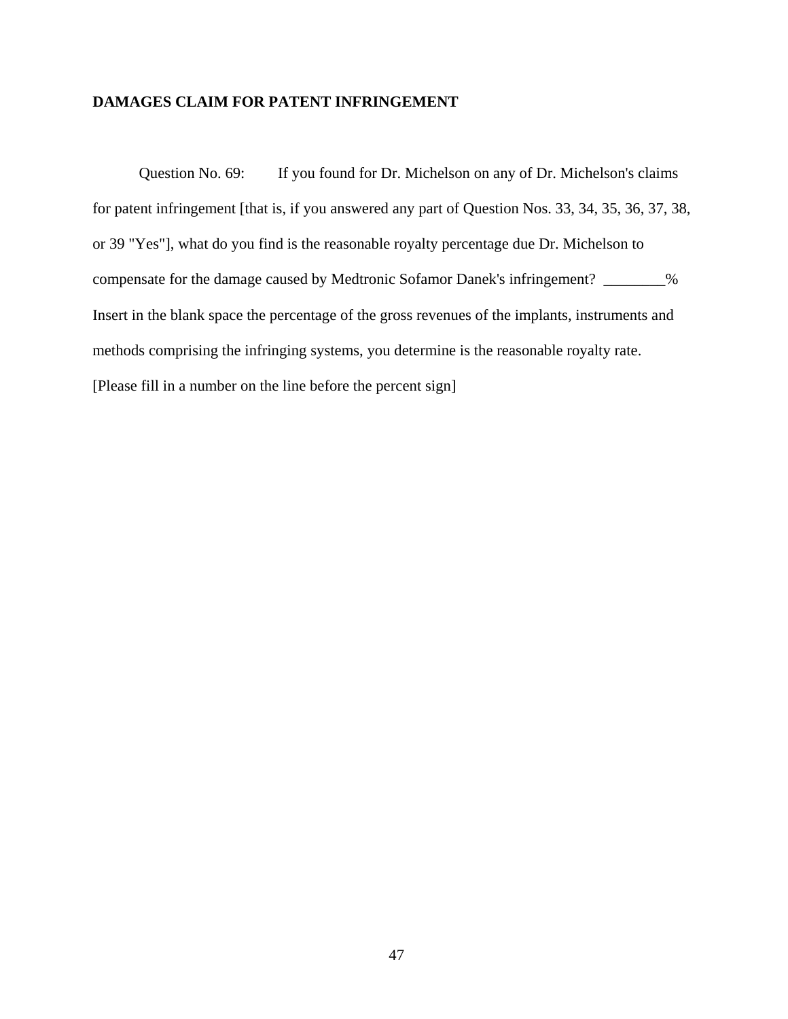# **DAMAGES CLAIM FOR PATENT INFRINGEMENT**

Question No. 69: If you found for Dr. Michelson on any of Dr. Michelson's claims for patent infringement [that is, if you answered any part of Question Nos. 33, 34, 35, 36, 37, 38, or 39 "Yes"], what do you find is the reasonable royalty percentage due Dr. Michelson to compensate for the damage caused by Medtronic Sofamor Danek's infringement? \_\_\_\_\_\_\_\_% Insert in the blank space the percentage of the gross revenues of the implants, instruments and methods comprising the infringing systems, you determine is the reasonable royalty rate. [Please fill in a number on the line before the percent sign]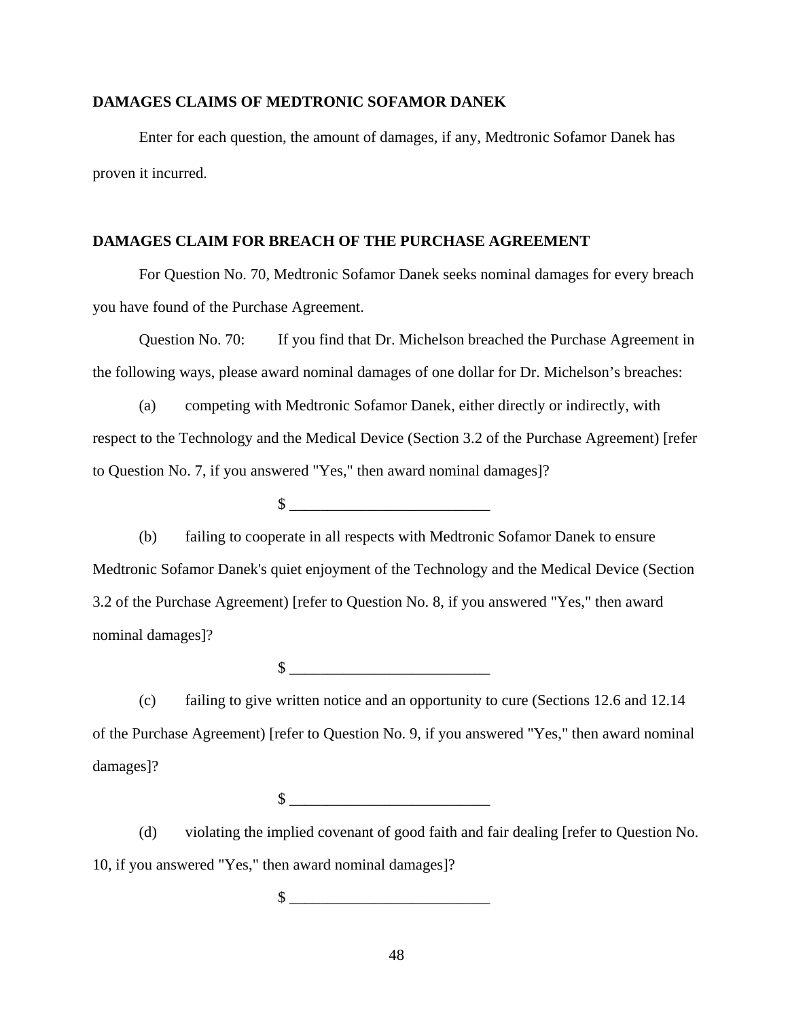#### **DAMAGES CLAIMS OF MEDTRONIC SOFAMOR DANEK**

Enter for each question, the amount of damages, if any, Medtronic Sofamor Danek has proven it incurred.

# **DAMAGES CLAIM FOR BREACH OF THE PURCHASE AGREEMENT**

For Question No. 70, Medtronic Sofamor Danek seeks nominal damages for every breach you have found of the Purchase Agreement.

Question No. 70: If you find that Dr. Michelson breached the Purchase Agreement in the following ways, please award nominal damages of one dollar for Dr. Michelson's breaches:

(a) competing with Medtronic Sofamor Danek, either directly or indirectly, with respect to the Technology and the Medical Device (Section 3.2 of the Purchase Agreement) [refer to Question No. 7, if you answered "Yes," then award nominal damages]?

 $\mathbb{S}$ 

(b) failing to cooperate in all respects with Medtronic Sofamor Danek to ensure Medtronic Sofamor Danek's quiet enjoyment of the Technology and the Medical Device (Section 3.2 of the Purchase Agreement) [refer to Question No. 8, if you answered "Yes," then award nominal damages]?

 $\frac{\sqrt{2}}{2}$ 

(c) failing to give written notice and an opportunity to cure (Sections 12.6 and 12.14 of the Purchase Agreement) [refer to Question No. 9, if you answered "Yes," then award nominal damages]?

 $\frac{1}{2}$ 

(d) violating the implied covenant of good faith and fair dealing [refer to Question No. 10, if you answered "Yes," then award nominal damages]?

 $\frac{1}{2}$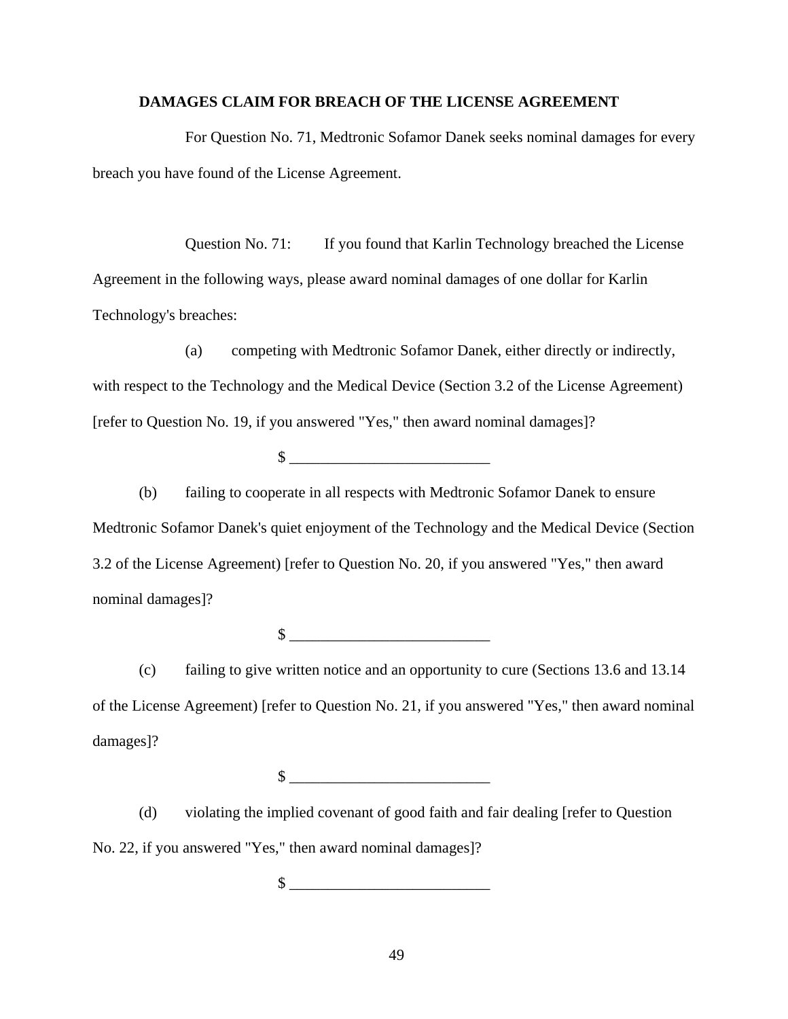#### **DAMAGES CLAIM FOR BREACH OF THE LICENSE AGREEMENT**

For Question No. 71, Medtronic Sofamor Danek seeks nominal damages for every breach you have found of the License Agreement.

Question No. 71: If you found that Karlin Technology breached the License Agreement in the following ways, please award nominal damages of one dollar for Karlin Technology's breaches:

(a) competing with Medtronic Sofamor Danek, either directly or indirectly, with respect to the Technology and the Medical Device (Section 3.2 of the License Agreement) [refer to Question No. 19, if you answered "Yes," then award nominal damages]?

 $\mathbb{S}$ 

(b) failing to cooperate in all respects with Medtronic Sofamor Danek to ensure Medtronic Sofamor Danek's quiet enjoyment of the Technology and the Medical Device (Section 3.2 of the License Agreement) [refer to Question No. 20, if you answered "Yes," then award nominal damages]?

 $\frac{\sqrt{3}}{2}$ 

(c) failing to give written notice and an opportunity to cure (Sections 13.6 and 13.14 of the License Agreement) [refer to Question No. 21, if you answered "Yes," then award nominal damages]?

 $\circ$ 

(d) violating the implied covenant of good faith and fair dealing [refer to Question No. 22, if you answered "Yes," then award nominal damages]?

 $\frac{1}{2}$   $\frac{1}{2}$   $\frac{1}{2}$   $\frac{1}{2}$   $\frac{1}{2}$   $\frac{1}{2}$   $\frac{1}{2}$   $\frac{1}{2}$   $\frac{1}{2}$   $\frac{1}{2}$   $\frac{1}{2}$   $\frac{1}{2}$   $\frac{1}{2}$   $\frac{1}{2}$   $\frac{1}{2}$   $\frac{1}{2}$   $\frac{1}{2}$   $\frac{1}{2}$   $\frac{1}{2}$   $\frac{1}{2}$   $\frac{1}{2}$   $\frac{1}{2}$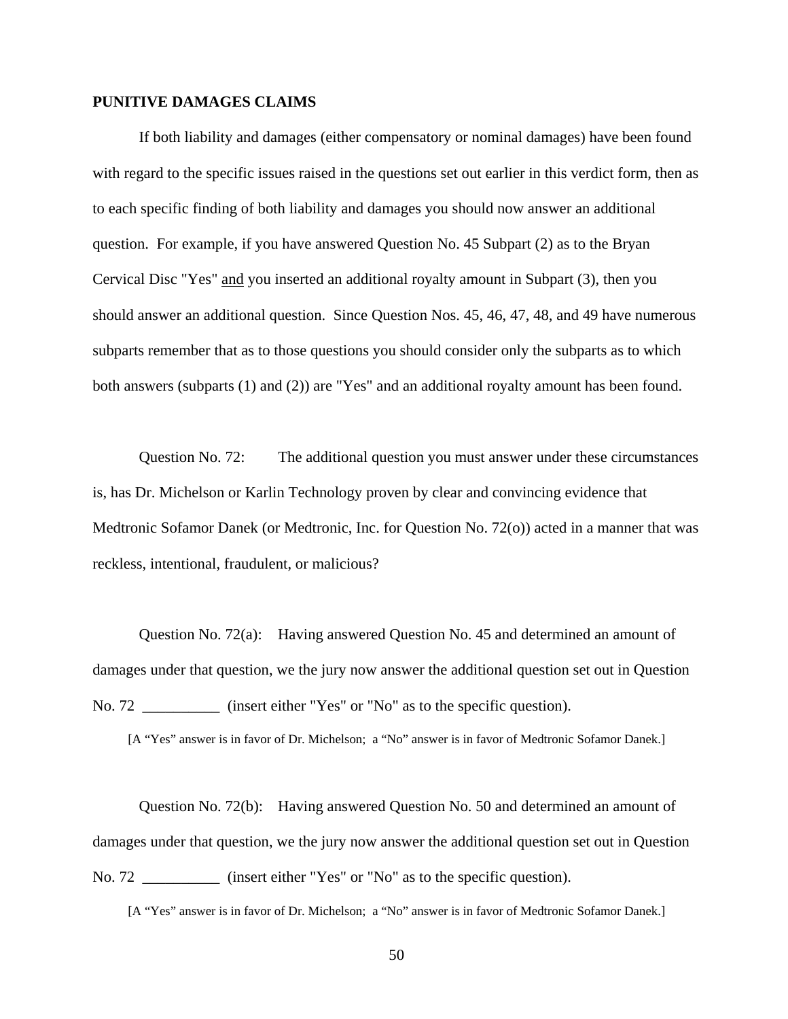#### **PUNITIVE DAMAGES CLAIMS**

If both liability and damages (either compensatory or nominal damages) have been found with regard to the specific issues raised in the questions set out earlier in this verdict form, then as to each specific finding of both liability and damages you should now answer an additional question. For example, if you have answered Question No. 45 Subpart (2) as to the Bryan Cervical Disc "Yes" and you inserted an additional royalty amount in Subpart (3), then you should answer an additional question. Since Question Nos. 45, 46, 47, 48, and 49 have numerous subparts remember that as to those questions you should consider only the subparts as to which both answers (subparts (1) and (2)) are "Yes" and an additional royalty amount has been found.

Question No. 72: The additional question you must answer under these circumstances is, has Dr. Michelson or Karlin Technology proven by clear and convincing evidence that Medtronic Sofamor Danek (or Medtronic, Inc. for Question No. 72(o)) acted in a manner that was reckless, intentional, fraudulent, or malicious?

Question No. 72(a): Having answered Question No. 45 and determined an amount of damages under that question, we the jury now answer the additional question set out in Question No. 72 \_\_\_\_\_\_\_\_\_\_ (insert either "Yes" or "No" as to the specific question).

[A "Yes" answer is in favor of Dr. Michelson; a "No" answer is in favor of Medtronic Sofamor Danek.]

Question No. 72(b): Having answered Question No. 50 and determined an amount of damages under that question, we the jury now answer the additional question set out in Question No. 72 \_\_\_\_\_\_\_\_\_\_ (insert either "Yes" or "No" as to the specific question).

[A "Yes" answer is in favor of Dr. Michelson; a "No" answer is in favor of Medtronic Sofamor Danek.]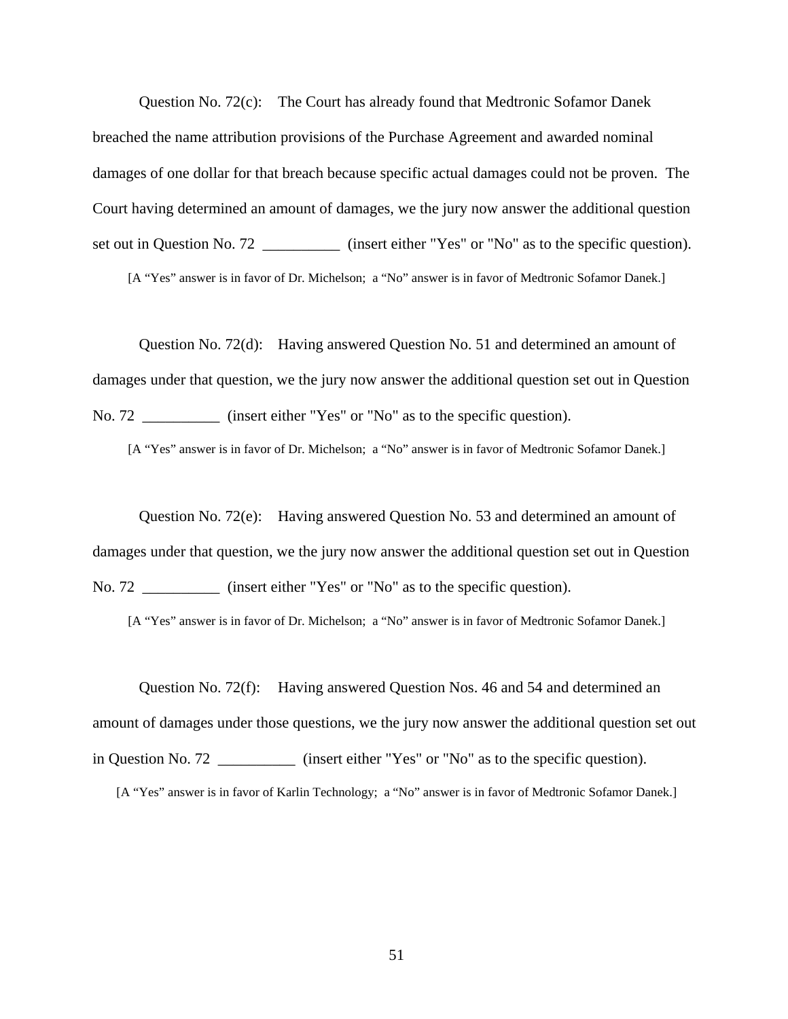Question No. 72(c): The Court has already found that Medtronic Sofamor Danek breached the name attribution provisions of the Purchase Agreement and awarded nominal damages of one dollar for that breach because specific actual damages could not be proven. The Court having determined an amount of damages, we the jury now answer the additional question set out in Question No. 72 \_\_\_\_\_\_\_\_\_\_\_\_ (insert either "Yes" or "No" as to the specific question).

[A "Yes" answer is in favor of Dr. Michelson; a "No" answer is in favor of Medtronic Sofamor Danek.]

Question No. 72(d): Having answered Question No. 51 and determined an amount of damages under that question, we the jury now answer the additional question set out in Question No. 72 \_\_\_\_\_\_\_\_\_\_\_ (insert either "Yes" or "No" as to the specific question).

[A "Yes" answer is in favor of Dr. Michelson; a "No" answer is in favor of Medtronic Sofamor Danek.]

Question No. 72(e): Having answered Question No. 53 and determined an amount of damages under that question, we the jury now answer the additional question set out in Question No. 72 \_\_\_\_\_\_\_\_\_\_\_ (insert either "Yes" or "No" as to the specific question).

[A "Yes" answer is in favor of Dr. Michelson; a "No" answer is in favor of Medtronic Sofamor Danek.]

Question No. 72(f): Having answered Question Nos. 46 and 54 and determined an amount of damages under those questions, we the jury now answer the additional question set out in Question No. 72  $\qquad \qquad$  (insert either "Yes" or "No" as to the specific question).

[A "Yes" answer is in favor of Karlin Technology; a "No" answer is in favor of Medtronic Sofamor Danek.]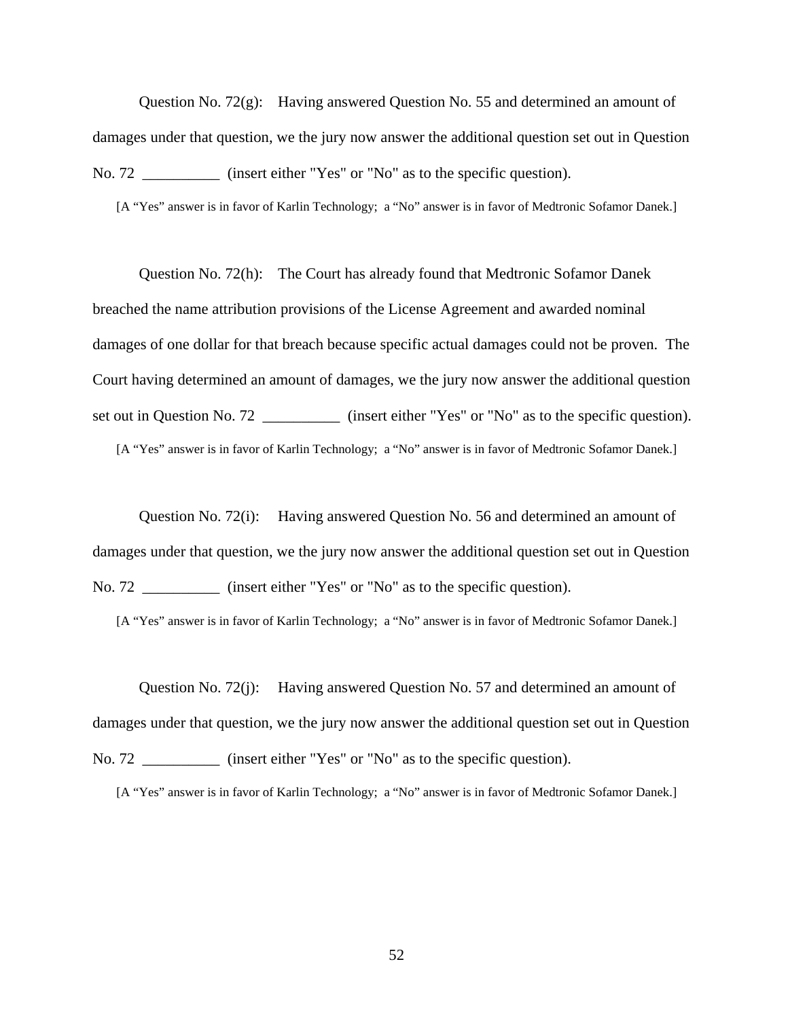Question No. 72(g): Having answered Question No. 55 and determined an amount of damages under that question, we the jury now answer the additional question set out in Question No. 72 \_\_\_\_\_\_\_\_\_\_\_\_ (insert either "Yes" or "No" as to the specific question).

[A "Yes" answer is in favor of Karlin Technology; a "No" answer is in favor of Medtronic Sofamor Danek.]

Question No. 72(h): The Court has already found that Medtronic Sofamor Danek breached the name attribution provisions of the License Agreement and awarded nominal damages of one dollar for that breach because specific actual damages could not be proven. The Court having determined an amount of damages, we the jury now answer the additional question set out in Question No. 72 \_\_\_\_\_\_\_\_\_\_\_\_ (insert either "Yes" or "No" as to the specific question). [A "Yes" answer is in favor of Karlin Technology; a "No" answer is in favor of Medtronic Sofamor Danek.]

Question No. 72(i): Having answered Question No. 56 and determined an amount of damages under that question, we the jury now answer the additional question set out in Question No. 72 **and September** (insert either "Yes" or "No" as to the specific question).

[A "Yes" answer is in favor of Karlin Technology; a "No" answer is in favor of Medtronic Sofamor Danek.]

Question No. 72(j): Having answered Question No. 57 and determined an amount of damages under that question, we the jury now answer the additional question set out in Question No. 72 **and insert either "Yes" or "No" as to the specific question).** 

[A "Yes" answer is in favor of Karlin Technology; a "No" answer is in favor of Medtronic Sofamor Danek.]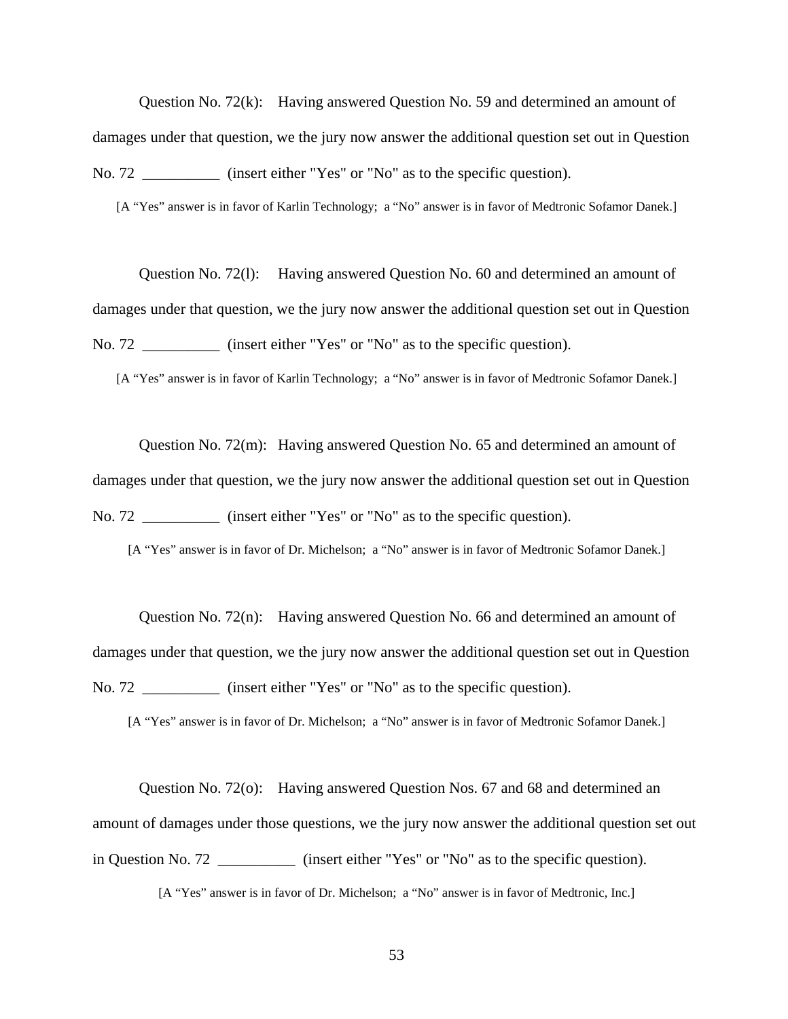Question No. 72(k): Having answered Question No. 59 and determined an amount of damages under that question, we the jury now answer the additional question set out in Question No. 72 \_\_\_\_\_\_\_\_\_\_\_\_ (insert either "Yes" or "No" as to the specific question).

[A "Yes" answer is in favor of Karlin Technology; a "No" answer is in favor of Medtronic Sofamor Danek.]

Question No. 72(l): Having answered Question No. 60 and determined an amount of damages under that question, we the jury now answer the additional question set out in Question No. 72 **and September** (insert either "Yes" or "No" as to the specific question).

[A "Yes" answer is in favor of Karlin Technology; a "No" answer is in favor of Medtronic Sofamor Danek.]

Question No. 72(m): Having answered Question No. 65 and determined an amount of damages under that question, we the jury now answer the additional question set out in Question No. 72 \_\_\_\_\_\_\_\_\_\_\_ (insert either "Yes" or "No" as to the specific question).

[A "Yes" answer is in favor of Dr. Michelson; a "No" answer is in favor of Medtronic Sofamor Danek.]

Question No. 72(n): Having answered Question No. 66 and determined an amount of damages under that question, we the jury now answer the additional question set out in Question No. 72 \_\_\_\_\_\_\_\_\_\_\_ (insert either "Yes" or "No" as to the specific question).

[A "Yes" answer is in favor of Dr. Michelson; a "No" answer is in favor of Medtronic Sofamor Danek.]

Question No. 72(o): Having answered Question Nos. 67 and 68 and determined an amount of damages under those questions, we the jury now answer the additional question set out in Question No. 72 \_\_\_\_\_\_\_\_\_\_ (insert either "Yes" or "No" as to the specific question).

[A "Yes" answer is in favor of Dr. Michelson; a "No" answer is in favor of Medtronic, Inc.]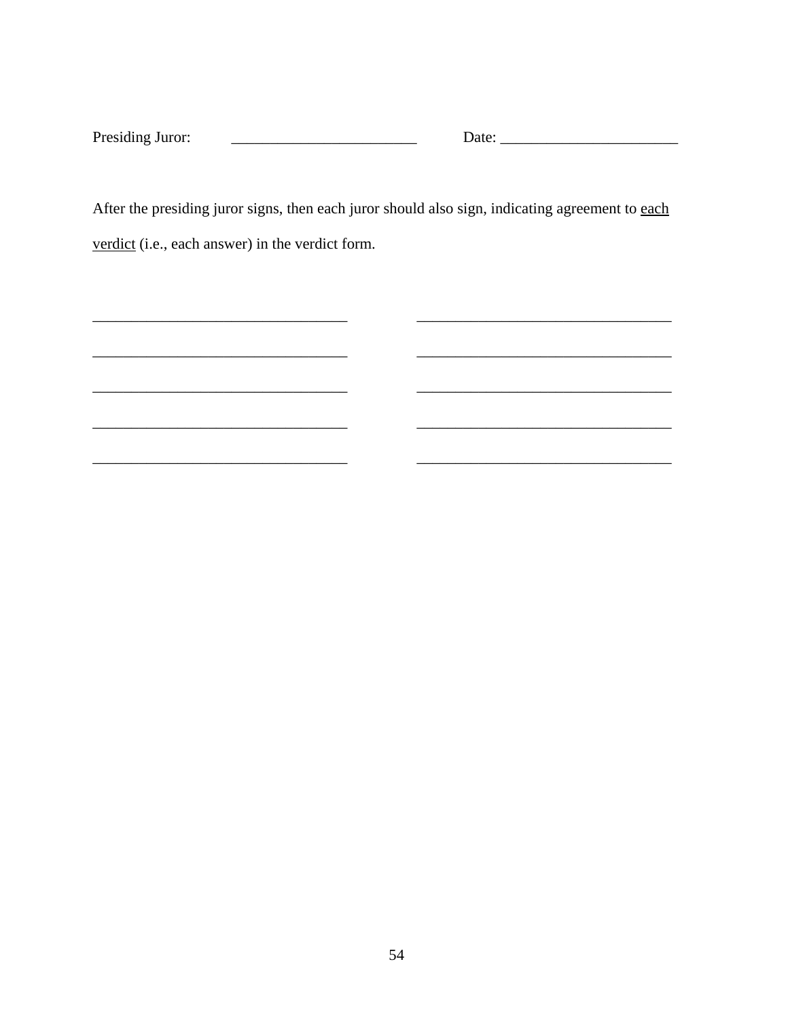| Presiding<br>: Juror: |  |
|-----------------------|--|
|                       |  |

After the presiding juror signs, then each juror should also sign, indicating agreement to each verdict (i.e., each answer) in the verdict form.

<u> Alexandro de la contrada de la contrada de la contrada de la contrada de la contrada de la contrada de la con</u>

<u> 1989 - Johann Barn, mars ar breithinn ar chwaraeth a bhaile ann an t-</u>

<u> 1999 - Jan Jawa</u>